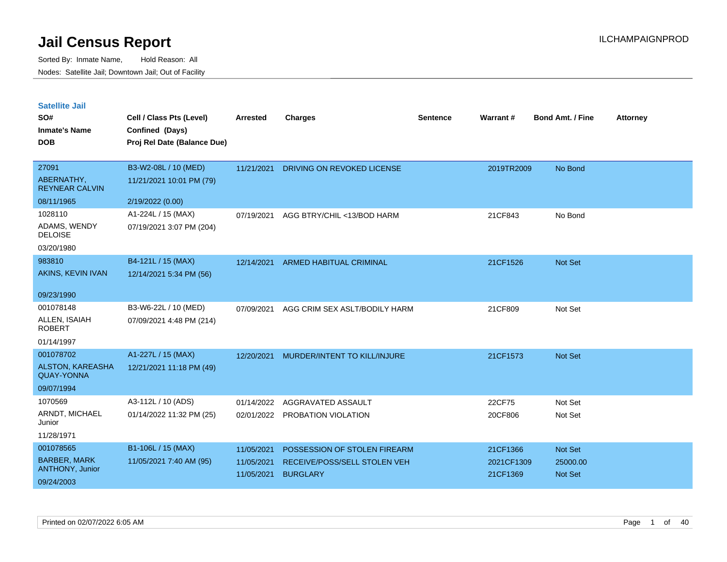| <b>Satellite Jail</b> |  |
|-----------------------|--|
|                       |  |

| SO#<br><b>Inmate's Name</b><br><b>DOB</b>               | Cell / Class Pts (Level)<br>Confined (Days)<br>Proj Rel Date (Balance Due) | <b>Arrested</b>          | <b>Charges</b>                                       | <b>Sentence</b> | Warrant#               | <b>Bond Amt. / Fine</b>    | <b>Attorney</b> |
|---------------------------------------------------------|----------------------------------------------------------------------------|--------------------------|------------------------------------------------------|-----------------|------------------------|----------------------------|-----------------|
| 27091<br>ABERNATHY,<br><b>REYNEAR CALVIN</b>            | B3-W2-08L / 10 (MED)<br>11/21/2021 10:01 PM (79)                           | 11/21/2021               | DRIVING ON REVOKED LICENSE                           |                 | 2019TR2009             | No Bond                    |                 |
| 08/11/1965                                              | 2/19/2022 (0.00)                                                           |                          |                                                      |                 |                        |                            |                 |
| 1028110<br>ADAMS, WENDY<br><b>DELOISE</b><br>03/20/1980 | A1-224L / 15 (MAX)<br>07/19/2021 3:07 PM (204)                             | 07/19/2021               | AGG BTRY/CHIL <13/BOD HARM                           |                 | 21CF843                | No Bond                    |                 |
| 983810<br>AKINS, KEVIN IVAN                             | B4-121L / 15 (MAX)<br>12/14/2021 5:34 PM (56)                              | 12/14/2021               | <b>ARMED HABITUAL CRIMINAL</b>                       |                 | 21CF1526               | Not Set                    |                 |
| 09/23/1990                                              |                                                                            |                          |                                                      |                 |                        |                            |                 |
| 001078148<br>ALLEN, ISAIAH<br><b>ROBERT</b>             | B3-W6-22L / 10 (MED)<br>07/09/2021 4:48 PM (214)                           | 07/09/2021               | AGG CRIM SEX ASLT/BODILY HARM                        |                 | 21CF809                | Not Set                    |                 |
| 01/14/1997<br>001078702                                 |                                                                            |                          |                                                      |                 |                        |                            |                 |
| ALSTON, KAREASHA<br><b>QUAY-YONNA</b>                   | A1-227L / 15 (MAX)<br>12/21/2021 11:18 PM (49)                             | 12/20/2021               | MURDER/INTENT TO KILL/INJURE                         |                 | 21CF1573               | <b>Not Set</b>             |                 |
| 09/07/1994                                              |                                                                            |                          |                                                      |                 |                        |                            |                 |
| 1070569<br>ARNDT, MICHAEL<br>Junior<br>11/28/1971       | A3-112L / 10 (ADS)<br>01/14/2022 11:32 PM (25)                             | 01/14/2022               | AGGRAVATED ASSAULT<br>02/01/2022 PROBATION VIOLATION |                 | 22CF75<br>20CF806      | Not Set<br>Not Set         |                 |
| 001078565                                               | B1-106L / 15 (MAX)                                                         | 11/05/2021               | POSSESSION OF STOLEN FIREARM                         |                 | 21CF1366               | Not Set                    |                 |
| <b>BARBER, MARK</b><br>ANTHONY, Junior<br>09/24/2003    | 11/05/2021 7:40 AM (95)                                                    | 11/05/2021<br>11/05/2021 | RECEIVE/POSS/SELL STOLEN VEH<br><b>BURGLARY</b>      |                 | 2021CF1309<br>21CF1369 | 25000.00<br><b>Not Set</b> |                 |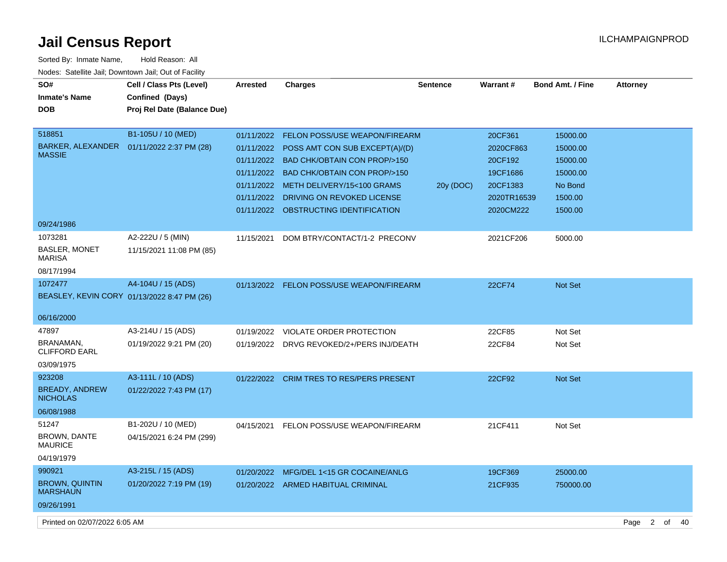| Sorted By: Inmate Name,                               | Hold Reason: All            |                 |                                           |                 |               |                         |                        |    |    |
|-------------------------------------------------------|-----------------------------|-----------------|-------------------------------------------|-----------------|---------------|-------------------------|------------------------|----|----|
| Nodes: Satellite Jail; Downtown Jail; Out of Facility |                             |                 |                                           |                 |               |                         |                        |    |    |
| SO#                                                   | Cell / Class Pts (Level)    | <b>Arrested</b> | Charges                                   | <b>Sentence</b> | Warrant#      | <b>Bond Amt. / Fine</b> | <b>Attorney</b>        |    |    |
| <b>Inmate's Name</b>                                  | Confined (Days)             |                 |                                           |                 |               |                         |                        |    |    |
| <b>DOB</b>                                            | Proj Rel Date (Balance Due) |                 |                                           |                 |               |                         |                        |    |    |
|                                                       |                             |                 |                                           |                 |               |                         |                        |    |    |
| 518851                                                | B1-105U / 10 (MED)          | 01/11/2022      | <b>FELON POSS/USE WEAPON/FIREARM</b>      |                 | 20CF361       | 15000.00                |                        |    |    |
| BARKER, ALEXANDER<br><b>MASSIE</b>                    | 01/11/2022 2:37 PM (28)     |                 | 01/11/2022 POSS AMT CON SUB EXCEPT(A)/(D) |                 | 2020CF863     | 15000.00                |                        |    |    |
|                                                       |                             |                 | 01/11/2022 BAD CHK/OBTAIN CON PROP/>150   |                 | 20CF192       | 15000.00                |                        |    |    |
|                                                       |                             |                 | 01/11/2022 BAD CHK/OBTAIN CON PROP/>150   |                 | 19CF1686      | 15000.00                |                        |    |    |
|                                                       |                             |                 | 01/11/2022 METH DELIVERY/15<100 GRAMS     | 20y (DOC)       | 20CF1383      | No Bond                 |                        |    |    |
|                                                       |                             | 01/11/2022      | DRIVING ON REVOKED LICENSE                |                 | 2020TR16539   | 1500.00                 |                        |    |    |
|                                                       |                             |                 | 01/11/2022 OBSTRUCTING IDENTIFICATION     |                 | 2020CM222     | 1500.00                 |                        |    |    |
| 09/24/1986                                            |                             |                 |                                           |                 |               |                         |                        |    |    |
| 1073281                                               | A2-222U / 5 (MIN)           | 11/15/2021      | DOM BTRY/CONTACT/1-2 PRECONV              |                 | 2021CF206     | 5000.00                 |                        |    |    |
| <b>BASLER, MONET</b><br><b>MARISA</b>                 | 11/15/2021 11:08 PM (85)    |                 |                                           |                 |               |                         |                        |    |    |
| 08/17/1994                                            |                             |                 |                                           |                 |               |                         |                        |    |    |
| 1072477                                               | A4-104U / 15 (ADS)          |                 | 01/13/2022 FELON POSS/USE WEAPON/FIREARM  |                 | <b>22CF74</b> | <b>Not Set</b>          |                        |    |    |
| BEASLEY, KEVIN CORY 01/13/2022 8:47 PM (26)           |                             |                 |                                           |                 |               |                         |                        |    |    |
|                                                       |                             |                 |                                           |                 |               |                         |                        |    |    |
| 06/16/2000                                            |                             |                 |                                           |                 |               |                         |                        |    |    |
| 47897                                                 | A3-214U / 15 (ADS)          | 01/19/2022      | VIOLATE ORDER PROTECTION                  |                 | 22CF85        | Not Set                 |                        |    |    |
| BRANAMAN,<br><b>CLIFFORD EARL</b>                     | 01/19/2022 9:21 PM (20)     |                 | 01/19/2022 DRVG REVOKED/2+/PERS INJ/DEATH |                 | 22CF84        | Not Set                 |                        |    |    |
| 03/09/1975                                            |                             |                 |                                           |                 |               |                         |                        |    |    |
| 923208                                                | A3-111L / 10 (ADS)          |                 | 01/22/2022 CRIM TRES TO RES/PERS PRESENT  |                 | 22CF92        | Not Set                 |                        |    |    |
| <b>BREADY, ANDREW</b><br><b>NICHOLAS</b>              | 01/22/2022 7:43 PM (17)     |                 |                                           |                 |               |                         |                        |    |    |
| 06/08/1988                                            |                             |                 |                                           |                 |               |                         |                        |    |    |
| 51247                                                 | B1-202U / 10 (MED)          | 04/15/2021      | FELON POSS/USE WEAPON/FIREARM             |                 | 21CF411       | Not Set                 |                        |    |    |
| <b>BROWN, DANTE</b><br><b>MAURICE</b>                 | 04/15/2021 6:24 PM (299)    |                 |                                           |                 |               |                         |                        |    |    |
| 04/19/1979                                            |                             |                 |                                           |                 |               |                         |                        |    |    |
| 990921                                                | A3-215L / 15 (ADS)          |                 | 01/20/2022 MFG/DEL 1<15 GR COCAINE/ANLG   |                 | 19CF369       | 25000.00                |                        |    |    |
| <b>BROWN, QUINTIN</b><br><b>MARSHAUN</b>              | 01/20/2022 7:19 PM (19)     |                 | 01/20/2022 ARMED HABITUAL CRIMINAL        |                 | 21CF935       | 750000.00               |                        |    |    |
| 09/26/1991                                            |                             |                 |                                           |                 |               |                         |                        |    |    |
| Printed on 02/07/2022 6:05 AM                         |                             |                 |                                           |                 |               |                         | $\overline{2}$<br>Page | of | 40 |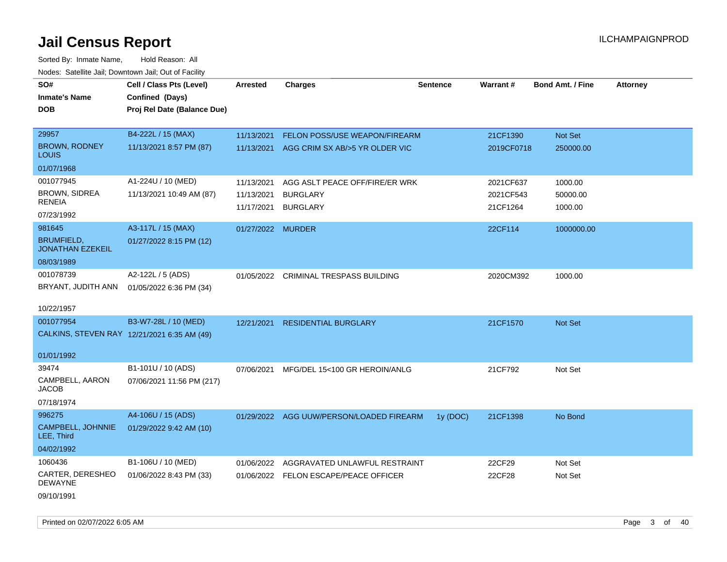Sorted By: Inmate Name, Hold Reason: All Nodes: Satellite Jail; Downtown Jail; Out of Facility

| SO#<br><b>Inmate's Name</b><br><b>DOB</b>    | Cell / Class Pts (Level)<br>Confined (Days)<br>Proj Rel Date (Balance Due) | <b>Arrested</b>          | <b>Charges</b>                                                         | <b>Sentence</b> | Warrant#               | <b>Bond Amt. / Fine</b> | <b>Attorney</b> |
|----------------------------------------------|----------------------------------------------------------------------------|--------------------------|------------------------------------------------------------------------|-----------------|------------------------|-------------------------|-----------------|
| 29957                                        | B4-222L / 15 (MAX)                                                         |                          |                                                                        |                 |                        |                         |                 |
| <b>BROWN, RODNEY</b>                         | 11/13/2021 8:57 PM (87)                                                    | 11/13/2021<br>11/13/2021 | <b>FELON POSS/USE WEAPON/FIREARM</b><br>AGG CRIM SX AB/>5 YR OLDER VIC |                 | 21CF1390<br>2019CF0718 | Not Set<br>250000.00    |                 |
| <b>LOUIS</b>                                 |                                                                            |                          |                                                                        |                 |                        |                         |                 |
| 01/07/1968                                   |                                                                            |                          |                                                                        |                 |                        |                         |                 |
| 001077945                                    | A1-224U / 10 (MED)                                                         | 11/13/2021               | AGG ASLT PEACE OFF/FIRE/ER WRK                                         |                 | 2021CF637              | 1000.00                 |                 |
| BROWN, SIDREA                                | 11/13/2021 10:49 AM (87)                                                   | 11/13/2021               | <b>BURGLARY</b>                                                        |                 | 2021CF543              | 50000.00                |                 |
| <b>RENEIA</b>                                |                                                                            | 11/17/2021               | <b>BURGLARY</b>                                                        |                 | 21CF1264               | 1000.00                 |                 |
| 07/23/1992                                   |                                                                            |                          |                                                                        |                 |                        |                         |                 |
| 981645                                       | A3-117L / 15 (MAX)                                                         | 01/27/2022 MURDER        |                                                                        |                 | 22CF114                | 1000000.00              |                 |
| <b>BRUMFIELD,</b><br><b>JONATHAN EZEKEIL</b> | 01/27/2022 8:15 PM (12)                                                    |                          |                                                                        |                 |                        |                         |                 |
| 08/03/1989                                   |                                                                            |                          |                                                                        |                 |                        |                         |                 |
| 001078739                                    | A2-122L / 5 (ADS)                                                          |                          | 01/05/2022 CRIMINAL TRESPASS BUILDING                                  |                 | 2020CM392              | 1000.00                 |                 |
| BRYANT, JUDITH ANN                           | 01/05/2022 6:36 PM (34)                                                    |                          |                                                                        |                 |                        |                         |                 |
|                                              |                                                                            |                          |                                                                        |                 |                        |                         |                 |
| 10/22/1957                                   |                                                                            |                          |                                                                        |                 |                        |                         |                 |
| 001077954                                    | B3-W7-28L / 10 (MED)                                                       | 12/21/2021               | <b>RESIDENTIAL BURGLARY</b>                                            |                 | 21CF1570               | <b>Not Set</b>          |                 |
|                                              | CALKINS, STEVEN RAY 12/21/2021 6:35 AM (49)                                |                          |                                                                        |                 |                        |                         |                 |
| 01/01/1992                                   |                                                                            |                          |                                                                        |                 |                        |                         |                 |
| 39474                                        | B1-101U / 10 (ADS)                                                         | 07/06/2021               | MFG/DEL 15<100 GR HEROIN/ANLG                                          |                 | 21CF792                | Not Set                 |                 |
| CAMPBELL, AARON                              | 07/06/2021 11:56 PM (217)                                                  |                          |                                                                        |                 |                        |                         |                 |
| <b>JACOB</b>                                 |                                                                            |                          |                                                                        |                 |                        |                         |                 |
| 07/18/1974                                   |                                                                            |                          |                                                                        |                 |                        |                         |                 |
| 996275                                       | A4-106U / 15 (ADS)                                                         |                          | 01/29/2022 AGG UUW/PERSON/LOADED FIREARM                               | 1y (DOC)        | 21CF1398               | No Bond                 |                 |
| CAMPBELL, JOHNNIE<br>LEE, Third              | 01/29/2022 9:42 AM (10)                                                    |                          |                                                                        |                 |                        |                         |                 |
| 04/02/1992                                   |                                                                            |                          |                                                                        |                 |                        |                         |                 |
| 1060436                                      | B1-106U / 10 (MED)                                                         | 01/06/2022               | AGGRAVATED UNLAWFUL RESTRAINT                                          |                 | 22CF29                 | Not Set                 |                 |
| CARTER, DERESHEO<br><b>DEWAYNE</b>           | 01/06/2022 8:43 PM (33)                                                    |                          | 01/06/2022 FELON ESCAPE/PEACE OFFICER                                  |                 | 22CF28                 | Not Set                 |                 |
| 09/10/1991                                   |                                                                            |                          |                                                                        |                 |                        |                         |                 |

Printed on 02/07/2022 6:05 AM Page 3 of 40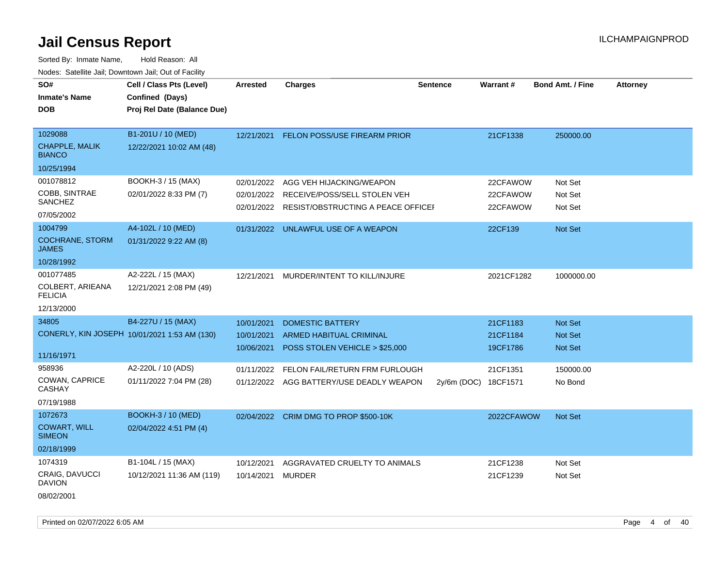| SO#                                    | Cell / Class Pts (Level)                     | <b>Arrested</b> | <b>Charges</b>                           | <b>Sentence</b>      | <b>Warrant#</b> | <b>Bond Amt. / Fine</b> | <b>Attorney</b> |
|----------------------------------------|----------------------------------------------|-----------------|------------------------------------------|----------------------|-----------------|-------------------------|-----------------|
| <b>Inmate's Name</b>                   | Confined (Days)                              |                 |                                          |                      |                 |                         |                 |
| <b>DOB</b>                             | Proj Rel Date (Balance Due)                  |                 |                                          |                      |                 |                         |                 |
|                                        |                                              |                 |                                          |                      |                 |                         |                 |
| 1029088                                | B1-201U / 10 (MED)                           | 12/21/2021      | FELON POSS/USE FIREARM PRIOR             |                      | 21CF1338        | 250000.00               |                 |
| <b>CHAPPLE, MALIK</b><br><b>BIANCO</b> | 12/22/2021 10:02 AM (48)                     |                 |                                          |                      |                 |                         |                 |
| 10/25/1994                             |                                              |                 |                                          |                      |                 |                         |                 |
| 001078812                              | BOOKH-3 / 15 (MAX)                           | 02/01/2022      | AGG VEH HIJACKING/WEAPON                 |                      | 22CFAWOW        | Not Set                 |                 |
| COBB, SINTRAE                          | 02/01/2022 8:33 PM (7)                       | 02/01/2022      | RECEIVE/POSS/SELL STOLEN VEH             |                      | 22CFAWOW        | Not Set                 |                 |
| SANCHEZ                                |                                              | 02/01/2022      | RESIST/OBSTRUCTING A PEACE OFFICEI       |                      | 22CFAWOW        | Not Set                 |                 |
| 07/05/2002                             |                                              |                 |                                          |                      |                 |                         |                 |
| 1004799                                | A4-102L / 10 (MED)                           |                 | 01/31/2022 UNLAWFUL USE OF A WEAPON      |                      | 22CF139         | <b>Not Set</b>          |                 |
| <b>COCHRANE, STORM</b><br><b>JAMES</b> | 01/31/2022 9:22 AM (8)                       |                 |                                          |                      |                 |                         |                 |
| 10/28/1992                             |                                              |                 |                                          |                      |                 |                         |                 |
| 001077485                              | A2-222L / 15 (MAX)                           | 12/21/2021      | MURDER/INTENT TO KILL/INJURE             |                      | 2021CF1282      | 1000000.00              |                 |
| COLBERT, ARIEANA<br><b>FELICIA</b>     | 12/21/2021 2:08 PM (49)                      |                 |                                          |                      |                 |                         |                 |
| 12/13/2000                             |                                              |                 |                                          |                      |                 |                         |                 |
| 34805                                  | B4-227U / 15 (MAX)                           | 10/01/2021      | <b>DOMESTIC BATTERY</b>                  |                      | 21CF1183        | <b>Not Set</b>          |                 |
|                                        | CONERLY, KIN JOSEPH 10/01/2021 1:53 AM (130) | 10/01/2021      | <b>ARMED HABITUAL CRIMINAL</b>           |                      | 21CF1184        | <b>Not Set</b>          |                 |
|                                        |                                              | 10/06/2021      | POSS STOLEN VEHICLE > \$25,000           |                      | 19CF1786        | <b>Not Set</b>          |                 |
| 11/16/1971                             |                                              |                 |                                          |                      |                 |                         |                 |
| 958936                                 | A2-220L / 10 (ADS)                           | 01/11/2022      | FELON FAIL/RETURN FRM FURLOUGH           |                      | 21CF1351        | 150000.00               |                 |
| COWAN, CAPRICE<br><b>CASHAY</b>        | 01/11/2022 7:04 PM (28)                      |                 | 01/12/2022 AGG BATTERY/USE DEADLY WEAPON | 2y/6m (DOC) 18CF1571 |                 | No Bond                 |                 |
| 07/19/1988                             |                                              |                 |                                          |                      |                 |                         |                 |
| 1072673                                | <b>BOOKH-3 / 10 (MED)</b>                    |                 | 02/04/2022 CRIM DMG TO PROP \$500-10K    |                      | 2022CFAWOW      | Not Set                 |                 |
| <b>COWART, WILL</b><br><b>SIMEON</b>   | 02/04/2022 4:51 PM (4)                       |                 |                                          |                      |                 |                         |                 |
| 02/18/1999                             |                                              |                 |                                          |                      |                 |                         |                 |
| 1074319                                | B1-104L / 15 (MAX)                           | 10/12/2021      | AGGRAVATED CRUELTY TO ANIMALS            |                      | 21CF1238        | Not Set                 |                 |
| <b>CRAIG, DAVUCCI</b><br><b>DAVION</b> | 10/12/2021 11:36 AM (119)                    | 10/14/2021      | <b>MURDER</b>                            |                      | 21CF1239        | Not Set                 |                 |
| 08/02/2001                             |                                              |                 |                                          |                      |                 |                         |                 |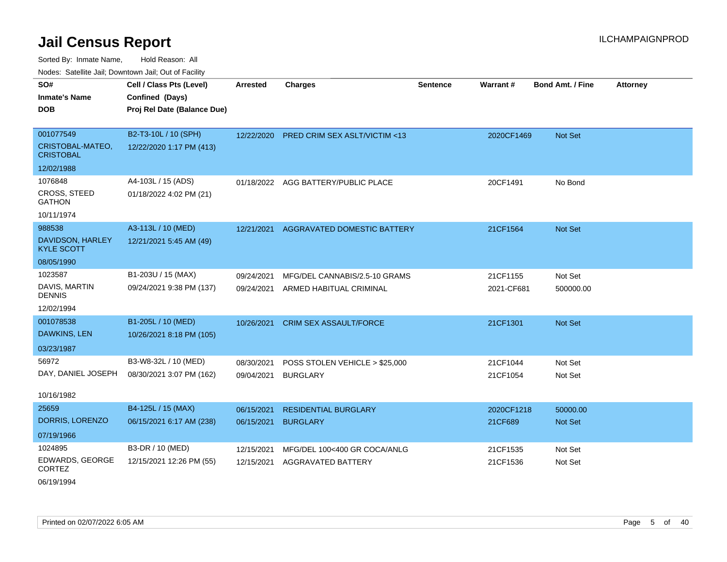Sorted By: Inmate Name, Hold Reason: All Nodes: Satellite Jail; Downtown Jail; Out of Facility

| voucs. Oatchite sail, Downtown sail, Out of Facility |                             |                 |                                         |                 |            |                         |                 |
|------------------------------------------------------|-----------------------------|-----------------|-----------------------------------------|-----------------|------------|-------------------------|-----------------|
| SO#                                                  | Cell / Class Pts (Level)    | <b>Arrested</b> | <b>Charges</b>                          | <b>Sentence</b> | Warrant#   | <b>Bond Amt. / Fine</b> | <b>Attorney</b> |
| <b>Inmate's Name</b>                                 | Confined (Days)             |                 |                                         |                 |            |                         |                 |
| <b>DOB</b>                                           | Proj Rel Date (Balance Due) |                 |                                         |                 |            |                         |                 |
|                                                      |                             |                 |                                         |                 |            |                         |                 |
| 001077549                                            | B2-T3-10L / 10 (SPH)        | 12/22/2020      | <b>PRED CRIM SEX ASLT/VICTIM &lt;13</b> |                 | 2020CF1469 | <b>Not Set</b>          |                 |
| CRISTOBAL-MATEO,<br><b>CRISTOBAL</b>                 | 12/22/2020 1:17 PM (413)    |                 |                                         |                 |            |                         |                 |
| 12/02/1988                                           |                             |                 |                                         |                 |            |                         |                 |
| 1076848                                              | A4-103L / 15 (ADS)          |                 | 01/18/2022 AGG BATTERY/PUBLIC PLACE     |                 | 20CF1491   | No Bond                 |                 |
| <b>CROSS, STEED</b><br><b>GATHON</b>                 | 01/18/2022 4:02 PM (21)     |                 |                                         |                 |            |                         |                 |
| 10/11/1974                                           |                             |                 |                                         |                 |            |                         |                 |
| 988538                                               | A3-113L / 10 (MED)          | 12/21/2021      | AGGRAVATED DOMESTIC BATTERY             |                 | 21CF1564   | <b>Not Set</b>          |                 |
| DAVIDSON, HARLEY<br><b>KYLE SCOTT</b>                | 12/21/2021 5:45 AM (49)     |                 |                                         |                 |            |                         |                 |
| 08/05/1990                                           |                             |                 |                                         |                 |            |                         |                 |
| 1023587                                              | B1-203U / 15 (MAX)          | 09/24/2021      | MFG/DEL CANNABIS/2.5-10 GRAMS           |                 | 21CF1155   | Not Set                 |                 |
| DAVIS, MARTIN<br><b>DENNIS</b>                       | 09/24/2021 9:38 PM (137)    | 09/24/2021      | ARMED HABITUAL CRIMINAL                 |                 | 2021-CF681 | 500000.00               |                 |
| 12/02/1994                                           |                             |                 |                                         |                 |            |                         |                 |
| 001078538                                            | B1-205L / 10 (MED)          | 10/26/2021      | <b>CRIM SEX ASSAULT/FORCE</b>           |                 | 21CF1301   | <b>Not Set</b>          |                 |
| DAWKINS, LEN                                         | 10/26/2021 8:18 PM (105)    |                 |                                         |                 |            |                         |                 |
| 03/23/1987                                           |                             |                 |                                         |                 |            |                         |                 |
| 56972                                                | B3-W8-32L / 10 (MED)        | 08/30/2021      | POSS STOLEN VEHICLE > \$25,000          |                 | 21CF1044   | Not Set                 |                 |
| DAY, DANIEL JOSEPH                                   | 08/30/2021 3:07 PM (162)    | 09/04/2021      | <b>BURGLARY</b>                         |                 | 21CF1054   | Not Set                 |                 |
|                                                      |                             |                 |                                         |                 |            |                         |                 |
| 10/16/1982                                           |                             |                 |                                         |                 |            |                         |                 |
| 25659                                                | B4-125L / 15 (MAX)          | 06/15/2021      | <b>RESIDENTIAL BURGLARY</b>             |                 | 2020CF1218 | 50000.00                |                 |
| DORRIS, LORENZO                                      | 06/15/2021 6:17 AM (238)    | 06/15/2021      | <b>BURGLARY</b>                         |                 | 21CF689    | <b>Not Set</b>          |                 |
| 07/19/1966                                           |                             |                 |                                         |                 |            |                         |                 |
| 1024895                                              | B3-DR / 10 (MED)            | 12/15/2021      | MFG/DEL 100<400 GR COCA/ANLG            |                 | 21CF1535   | Not Set                 |                 |
| EDWARDS, GEORGE<br><b>CORTEZ</b>                     | 12/15/2021 12:26 PM (55)    | 12/15/2021      | <b>AGGRAVATED BATTERY</b>               |                 | 21CF1536   | Not Set                 |                 |

06/19/1994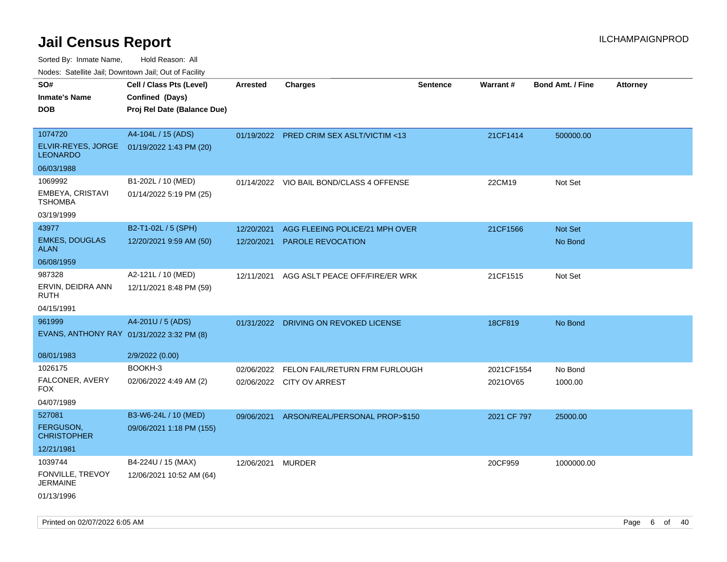Sorted By: Inmate Name, Hold Reason: All

Nodes: Satellite Jail; Downtown Jail; Out of Facility

| roaco. Calcinio dan, Downtown dan, Oal or Fability |                                            |                   |                                          |                 |                 |                         |                 |
|----------------------------------------------------|--------------------------------------------|-------------------|------------------------------------------|-----------------|-----------------|-------------------------|-----------------|
| SO#                                                | Cell / Class Pts (Level)                   | <b>Arrested</b>   | <b>Charges</b>                           | <b>Sentence</b> | <b>Warrant#</b> | <b>Bond Amt. / Fine</b> | <b>Attorney</b> |
| <b>Inmate's Name</b>                               | Confined (Days)                            |                   |                                          |                 |                 |                         |                 |
| <b>DOB</b>                                         | Proj Rel Date (Balance Due)                |                   |                                          |                 |                 |                         |                 |
|                                                    |                                            |                   |                                          |                 |                 |                         |                 |
| 1074720                                            | A4-104L / 15 (ADS)                         |                   | 01/19/2022 PRED CRIM SEX ASLT/VICTIM <13 |                 | 21CF1414        | 500000.00               |                 |
| <b>LEONARDO</b>                                    | ELVIR-REYES, JORGE 01/19/2022 1:43 PM (20) |                   |                                          |                 |                 |                         |                 |
| 06/03/1988                                         |                                            |                   |                                          |                 |                 |                         |                 |
| 1069992                                            | B1-202L / 10 (MED)                         |                   | 01/14/2022 VIO BAIL BOND/CLASS 4 OFFENSE |                 | 22CM19          | Not Set                 |                 |
| EMBEYA, CRISTAVI<br><b>TSHOMBA</b>                 | 01/14/2022 5:19 PM (25)                    |                   |                                          |                 |                 |                         |                 |
| 03/19/1999                                         |                                            |                   |                                          |                 |                 |                         |                 |
| 43977                                              | B2-T1-02L / 5 (SPH)                        | 12/20/2021        | AGG FLEEING POLICE/21 MPH OVER           |                 | 21CF1566        | Not Set                 |                 |
| <b>EMKES, DOUGLAS</b><br><b>ALAN</b>               | 12/20/2021 9:59 AM (50)                    | 12/20/2021        | PAROLE REVOCATION                        |                 |                 | No Bond                 |                 |
| 06/08/1959                                         |                                            |                   |                                          |                 |                 |                         |                 |
| 987328                                             | A2-121L / 10 (MED)                         | 12/11/2021        | AGG ASLT PEACE OFF/FIRE/ER WRK           |                 | 21CF1515        | Not Set                 |                 |
| ERVIN, DEIDRA ANN<br>RUTH                          | 12/11/2021 8:48 PM (59)                    |                   |                                          |                 |                 |                         |                 |
| 04/15/1991                                         |                                            |                   |                                          |                 |                 |                         |                 |
| 961999                                             | A4-201U / 5 (ADS)                          |                   | 01/31/2022 DRIVING ON REVOKED LICENSE    |                 | 18CF819         | No Bond                 |                 |
| EVANS, ANTHONY RAY 01/31/2022 3:32 PM (8)          |                                            |                   |                                          |                 |                 |                         |                 |
| 08/01/1983                                         | 2/9/2022 (0.00)                            |                   |                                          |                 |                 |                         |                 |
| 1026175                                            | BOOKH-3                                    | 02/06/2022        | FELON FAIL/RETURN FRM FURLOUGH           |                 | 2021CF1554      | No Bond                 |                 |
| FALCONER, AVERY<br>FOX.                            | 02/06/2022 4:49 AM (2)                     |                   | 02/06/2022 CITY OV ARREST                |                 | 2021OV65        | 1000.00                 |                 |
| 04/07/1989                                         |                                            |                   |                                          |                 |                 |                         |                 |
| 527081                                             | B3-W6-24L / 10 (MED)                       | 09/06/2021        | ARSON/REAL/PERSONAL PROP>\$150           |                 | 2021 CF 797     | 25000.00                |                 |
| FERGUSON,<br><b>CHRISTOPHER</b>                    | 09/06/2021 1:18 PM (155)                   |                   |                                          |                 |                 |                         |                 |
| 12/21/1981                                         |                                            |                   |                                          |                 |                 |                         |                 |
| 1039744                                            | B4-224U / 15 (MAX)                         | 12/06/2021 MURDER |                                          |                 | 20CF959         | 1000000.00              |                 |
| FONVILLE, TREVOY<br><b>JERMAINE</b>                | 12/06/2021 10:52 AM (64)                   |                   |                                          |                 |                 |                         |                 |
| 01/13/1996                                         |                                            |                   |                                          |                 |                 |                         |                 |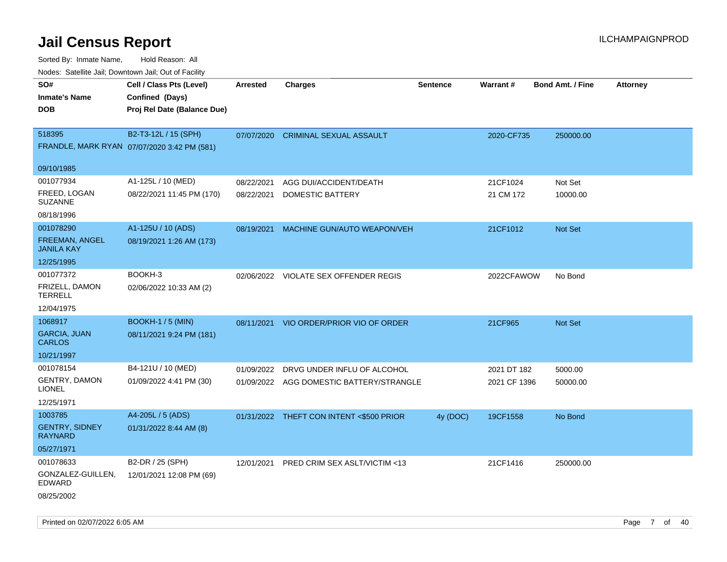| ivouss. Saleling Jali, Downtown Jali, Out of Facility |                                             |            |                                          |                 |                 |                         |                 |
|-------------------------------------------------------|---------------------------------------------|------------|------------------------------------------|-----------------|-----------------|-------------------------|-----------------|
| SO#                                                   | Cell / Class Pts (Level)                    | Arrested   | <b>Charges</b>                           | <b>Sentence</b> | <b>Warrant#</b> | <b>Bond Amt. / Fine</b> | <b>Attorney</b> |
| <b>Inmate's Name</b>                                  | Confined (Days)                             |            |                                          |                 |                 |                         |                 |
| <b>DOB</b>                                            | Proj Rel Date (Balance Due)                 |            |                                          |                 |                 |                         |                 |
|                                                       |                                             |            |                                          |                 |                 |                         |                 |
| 518395                                                | B2-T3-12L / 15 (SPH)                        | 07/07/2020 | <b>CRIMINAL SEXUAL ASSAULT</b>           |                 | 2020-CF735      | 250000.00               |                 |
|                                                       | FRANDLE, MARK RYAN 07/07/2020 3:42 PM (581) |            |                                          |                 |                 |                         |                 |
| 09/10/1985                                            |                                             |            |                                          |                 |                 |                         |                 |
| 001077934                                             | A1-125L / 10 (MED)                          | 08/22/2021 | AGG DUI/ACCIDENT/DEATH                   |                 | 21CF1024        | Not Set                 |                 |
| FREED, LOGAN<br><b>SUZANNE</b>                        | 08/22/2021 11:45 PM (170)                   | 08/22/2021 | DOMESTIC BATTERY                         |                 | 21 CM 172       | 10000.00                |                 |
| 08/18/1996                                            |                                             |            |                                          |                 |                 |                         |                 |
| 001078290                                             | A1-125U / 10 (ADS)                          | 08/19/2021 | MACHINE GUN/AUTO WEAPON/VEH              |                 | 21CF1012        | <b>Not Set</b>          |                 |
| <b>FREEMAN, ANGEL</b><br><b>JANILA KAY</b>            | 08/19/2021 1:26 AM (173)                    |            |                                          |                 |                 |                         |                 |
| 12/25/1995                                            |                                             |            |                                          |                 |                 |                         |                 |
| 001077372                                             | BOOKH-3                                     |            | 02/06/2022 VIOLATE SEX OFFENDER REGIS    |                 | 2022CFAWOW      | No Bond                 |                 |
| FRIZELL, DAMON<br><b>TERRELL</b>                      | 02/06/2022 10:33 AM (2)                     |            |                                          |                 |                 |                         |                 |
| 12/04/1975                                            |                                             |            |                                          |                 |                 |                         |                 |
| 1068917                                               | <b>BOOKH-1 / 5 (MIN)</b>                    | 08/11/2021 | VIO ORDER/PRIOR VIO OF ORDER             |                 | 21CF965         | Not Set                 |                 |
| <b>GARCIA, JUAN</b><br><b>CARLOS</b>                  | 08/11/2021 9:24 PM (181)                    |            |                                          |                 |                 |                         |                 |
| 10/21/1997                                            |                                             |            |                                          |                 |                 |                         |                 |
| 001078154                                             | B4-121U / 10 (MED)                          | 01/09/2022 | DRVG UNDER INFLU OF ALCOHOL              |                 | 2021 DT 182     | 5000.00                 |                 |
| <b>GENTRY, DAMON</b><br>LIONEL                        | 01/09/2022 4:41 PM (30)                     |            | 01/09/2022 AGG DOMESTIC BATTERY/STRANGLE |                 | 2021 CF 1396    | 50000.00                |                 |
| 12/25/1971                                            |                                             |            |                                          |                 |                 |                         |                 |
| 1003785                                               | A4-205L / 5 (ADS)                           |            | 01/31/2022 THEFT CON INTENT <\$500 PRIOR | 4y (DOC)        | 19CF1558        | No Bond                 |                 |
| <b>GENTRY, SIDNEY</b><br>RAYNARD                      | 01/31/2022 8:44 AM (8)                      |            |                                          |                 |                 |                         |                 |
| 05/27/1971                                            |                                             |            |                                          |                 |                 |                         |                 |
| 001078633                                             | B2-DR / 25 (SPH)                            | 12/01/2021 | PRED CRIM SEX ASLT/VICTIM <13            |                 | 21CF1416        | 250000.00               |                 |
| GONZALEZ-GUILLEN,<br>EDWARD                           | 12/01/2021 12:08 PM (69)                    |            |                                          |                 |                 |                         |                 |
| 08/25/2002                                            |                                             |            |                                          |                 |                 |                         |                 |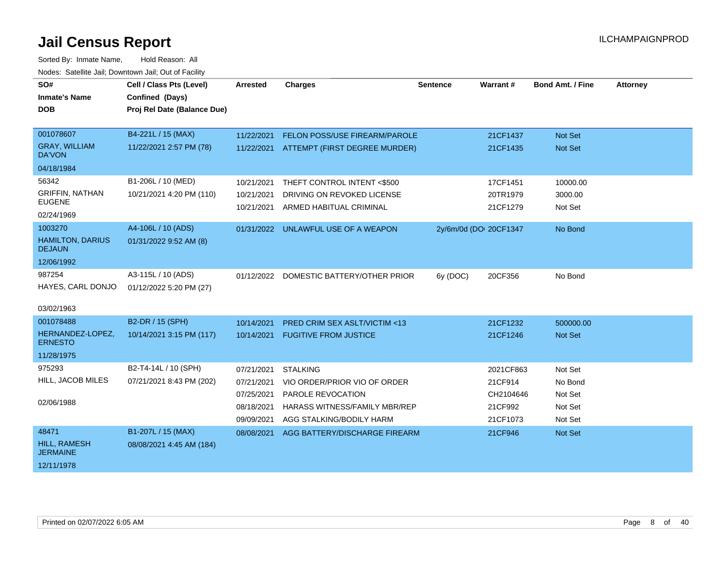| SO#                                      | Cell / Class Pts (Level)    | <b>Arrested</b> | <b>Charges</b>                           | <b>Sentence</b>        | Warrant # | <b>Bond Amt. / Fine</b> | <b>Attorney</b> |
|------------------------------------------|-----------------------------|-----------------|------------------------------------------|------------------------|-----------|-------------------------|-----------------|
| <b>Inmate's Name</b>                     | Confined (Days)             |                 |                                          |                        |           |                         |                 |
| <b>DOB</b>                               | Proj Rel Date (Balance Due) |                 |                                          |                        |           |                         |                 |
|                                          |                             |                 |                                          |                        |           |                         |                 |
| 001078607                                | B4-221L / 15 (MAX)          | 11/22/2021      | <b>FELON POSS/USE FIREARM/PAROLE</b>     |                        | 21CF1437  | <b>Not Set</b>          |                 |
| <b>GRAY, WILLIAM</b><br><b>DA'VON</b>    | 11/22/2021 2:57 PM (78)     |                 | 11/22/2021 ATTEMPT (FIRST DEGREE MURDER) |                        | 21CF1435  | Not Set                 |                 |
| 04/18/1984                               |                             |                 |                                          |                        |           |                         |                 |
| 56342                                    | B1-206L / 10 (MED)          | 10/21/2021      | THEFT CONTROL INTENT <\$500              |                        | 17CF1451  | 10000.00                |                 |
| <b>GRIFFIN, NATHAN</b>                   | 10/21/2021 4:20 PM (110)    | 10/21/2021      | DRIVING ON REVOKED LICENSE               |                        | 20TR1979  | 3000.00                 |                 |
| <b>EUGENE</b>                            |                             | 10/21/2021      | ARMED HABITUAL CRIMINAL                  |                        | 21CF1279  | Not Set                 |                 |
| 02/24/1969                               |                             |                 |                                          |                        |           |                         |                 |
| 1003270                                  | A4-106L / 10 (ADS)          |                 | 01/31/2022 UNLAWFUL USE OF A WEAPON      | 2y/6m/0d (DOI 20CF1347 |           | No Bond                 |                 |
| <b>HAMILTON, DARIUS</b><br><b>DEJAUN</b> | 01/31/2022 9:52 AM (8)      |                 |                                          |                        |           |                         |                 |
| 12/06/1992                               |                             |                 |                                          |                        |           |                         |                 |
| 987254                                   | A3-115L / 10 (ADS)          |                 | 01/12/2022 DOMESTIC BATTERY/OTHER PRIOR  | 6y (DOC)               | 20CF356   | No Bond                 |                 |
| HAYES, CARL DONJO                        | 01/12/2022 5:20 PM (27)     |                 |                                          |                        |           |                         |                 |
| 03/02/1963                               |                             |                 |                                          |                        |           |                         |                 |
| 001078488                                | B2-DR / 15 (SPH)            | 10/14/2021      | <b>PRED CRIM SEX ASLT/VICTIM &lt;13</b>  |                        | 21CF1232  | 500000.00               |                 |
| HERNANDEZ-LOPEZ.                         | 10/14/2021 3:15 PM (117)    | 10/14/2021      | <b>FUGITIVE FROM JUSTICE</b>             |                        | 21CF1246  | <b>Not Set</b>          |                 |
| <b>ERNESTO</b>                           |                             |                 |                                          |                        |           |                         |                 |
| 11/28/1975                               |                             |                 |                                          |                        |           |                         |                 |
| 975293                                   | B2-T4-14L / 10 (SPH)        | 07/21/2021      | <b>STALKING</b>                          |                        | 2021CF863 | Not Set                 |                 |
| HILL, JACOB MILES                        | 07/21/2021 8:43 PM (202)    | 07/21/2021      | VIO ORDER/PRIOR VIO OF ORDER             |                        | 21CF914   | No Bond                 |                 |
| 02/06/1988                               |                             | 07/25/2021      | PAROLE REVOCATION                        |                        | CH2104646 | Not Set                 |                 |
|                                          |                             | 08/18/2021      | <b>HARASS WITNESS/FAMILY MBR/REP</b>     |                        | 21CF992   | Not Set                 |                 |
|                                          |                             | 09/09/2021      | AGG STALKING/BODILY HARM                 |                        | 21CF1073  | Not Set                 |                 |
| 48471                                    | B1-207L / 15 (MAX)          | 08/08/2021      | AGG BATTERY/DISCHARGE FIREARM            |                        | 21CF946   | <b>Not Set</b>          |                 |
| HILL, RAMESH<br><b>JERMAINE</b>          | 08/08/2021 4:45 AM (184)    |                 |                                          |                        |           |                         |                 |
| 12/11/1978                               |                             |                 |                                          |                        |           |                         |                 |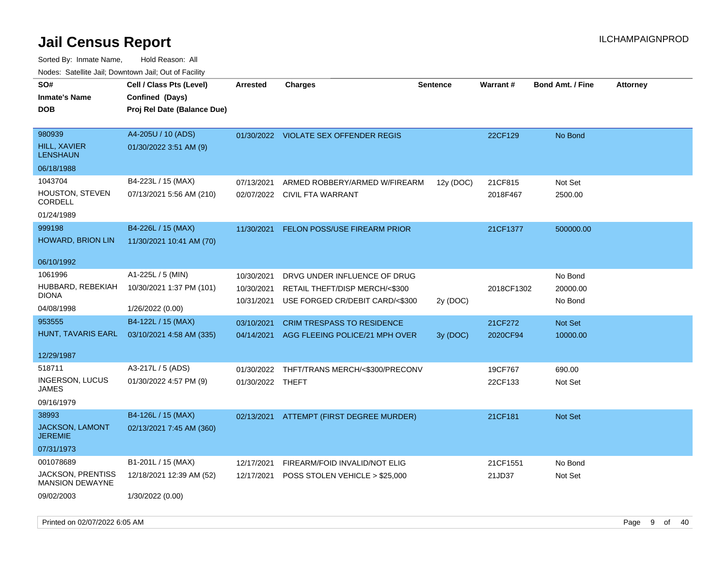| rouco. Calcillo Jali, Downtown Jali, Out of Facility |                             |                  |                                           |                 |            |                         |                 |
|------------------------------------------------------|-----------------------------|------------------|-------------------------------------------|-----------------|------------|-------------------------|-----------------|
| SO#                                                  | Cell / Class Pts (Level)    | <b>Arrested</b>  | <b>Charges</b>                            | <b>Sentence</b> | Warrant#   | <b>Bond Amt. / Fine</b> | <b>Attorney</b> |
| <b>Inmate's Name</b>                                 | Confined (Days)             |                  |                                           |                 |            |                         |                 |
| <b>DOB</b>                                           | Proj Rel Date (Balance Due) |                  |                                           |                 |            |                         |                 |
|                                                      |                             |                  |                                           |                 |            |                         |                 |
| 980939                                               | A4-205U / 10 (ADS)          |                  | 01/30/2022 VIOLATE SEX OFFENDER REGIS     |                 | 22CF129    | No Bond                 |                 |
| HILL, XAVIER<br><b>LENSHAUN</b>                      | 01/30/2022 3:51 AM (9)      |                  |                                           |                 |            |                         |                 |
| 06/18/1988                                           |                             |                  |                                           |                 |            |                         |                 |
| 1043704                                              | B4-223L / 15 (MAX)          | 07/13/2021       | ARMED ROBBERY/ARMED W/FIREARM             | 12y (DOC)       | 21CF815    | Not Set                 |                 |
| HOUSTON, STEVEN<br>CORDELL                           | 07/13/2021 5:56 AM (210)    |                  | 02/07/2022 CIVIL FTA WARRANT              |                 | 2018F467   | 2500.00                 |                 |
| 01/24/1989                                           |                             |                  |                                           |                 |            |                         |                 |
| 999198                                               | B4-226L / 15 (MAX)          | 11/30/2021       | <b>FELON POSS/USE FIREARM PRIOR</b>       |                 | 21CF1377   | 500000.00               |                 |
| HOWARD, BRION LIN                                    | 11/30/2021 10:41 AM (70)    |                  |                                           |                 |            |                         |                 |
|                                                      |                             |                  |                                           |                 |            |                         |                 |
| 06/10/1992                                           |                             |                  |                                           |                 |            |                         |                 |
| 1061996                                              | A1-225L / 5 (MIN)           | 10/30/2021       | DRVG UNDER INFLUENCE OF DRUG              |                 |            | No Bond                 |                 |
| HUBBARD, REBEKIAH                                    | 10/30/2021 1:37 PM (101)    | 10/30/2021       | RETAIL THEFT/DISP MERCH/<\$300            |                 | 2018CF1302 | 20000.00                |                 |
| DIONA                                                |                             | 10/31/2021       | USE FORGED CR/DEBIT CARD/<\$300           | 2y (DOC)        |            | No Bond                 |                 |
| 04/08/1998                                           | 1/26/2022 (0.00)            |                  |                                           |                 |            |                         |                 |
| 953555                                               | B4-122L / 15 (MAX)          | 03/10/2021       | <b>CRIM TRESPASS TO RESIDENCE</b>         |                 | 21CF272    | Not Set                 |                 |
| HUNT, TAVARIS EARL                                   | 03/10/2021 4:58 AM (335)    | 04/14/2021       | AGG FLEEING POLICE/21 MPH OVER            | 3y (DOC)        | 2020CF94   | 10000.00                |                 |
|                                                      |                             |                  |                                           |                 |            |                         |                 |
| 12/29/1987                                           |                             |                  |                                           |                 |            |                         |                 |
| 518711                                               | A3-217L / 5 (ADS)           | 01/30/2022       | THFT/TRANS MERCH/<\$300/PRECONV           |                 | 19CF767    | 690.00                  |                 |
| <b>INGERSON, LUCUS</b><br>JAMES                      | 01/30/2022 4:57 PM (9)      | 01/30/2022 THEFT |                                           |                 | 22CF133    | Not Set                 |                 |
| 09/16/1979                                           |                             |                  |                                           |                 |            |                         |                 |
| 38993                                                | B4-126L / 15 (MAX)          | 02/13/2021       | ATTEMPT (FIRST DEGREE MURDER)             |                 | 21CF181    | Not Set                 |                 |
| JACKSON, LAMONT<br><b>JEREMIE</b>                    | 02/13/2021 7:45 AM (360)    |                  |                                           |                 |            |                         |                 |
| 07/31/1973                                           |                             |                  |                                           |                 |            |                         |                 |
| 001078689                                            | B1-201L / 15 (MAX)          | 12/17/2021       | FIREARM/FOID INVALID/NOT ELIG             |                 | 21CF1551   | No Bond                 |                 |
| JACKSON, PRENTISS<br>MANSION DEWAYNE                 | 12/18/2021 12:39 AM (52)    |                  | 12/17/2021 POSS STOLEN VEHICLE > \$25,000 |                 | 21JD37     | Not Set                 |                 |
| 09/02/2003                                           | 1/30/2022 (0.00)            |                  |                                           |                 |            |                         |                 |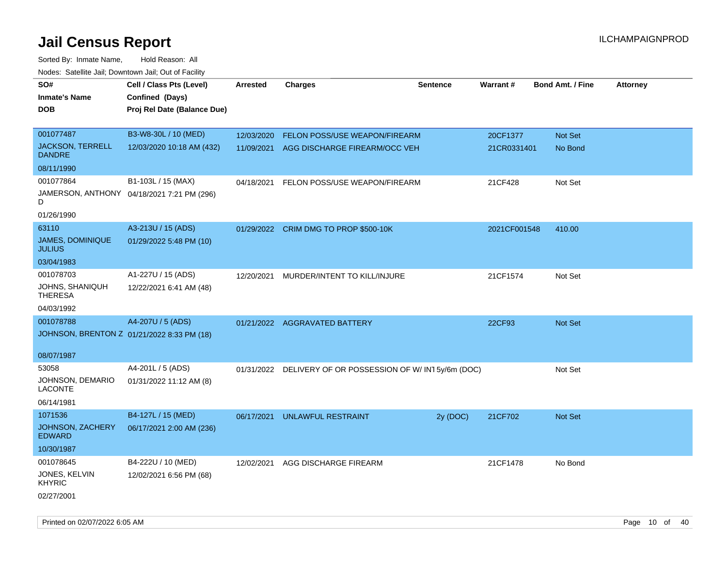| rouco. Calcillo Jali, Downtown Jali, Out of Facility |                                            |                 |                                                          |                 |              |                         |                 |
|------------------------------------------------------|--------------------------------------------|-----------------|----------------------------------------------------------|-----------------|--------------|-------------------------|-----------------|
| SO#                                                  | Cell / Class Pts (Level)                   | <b>Arrested</b> | <b>Charges</b>                                           | <b>Sentence</b> | Warrant#     | <b>Bond Amt. / Fine</b> | <b>Attorney</b> |
| <b>Inmate's Name</b>                                 | Confined (Days)                            |                 |                                                          |                 |              |                         |                 |
| DOB                                                  | Proj Rel Date (Balance Due)                |                 |                                                          |                 |              |                         |                 |
|                                                      |                                            |                 |                                                          |                 |              |                         |                 |
| 001077487                                            | B3-W8-30L / 10 (MED)                       | 12/03/2020      | <b>FELON POSS/USE WEAPON/FIREARM</b>                     |                 | 20CF1377     | Not Set                 |                 |
| <b>JACKSON, TERRELL</b><br><b>DANDRE</b>             | 12/03/2020 10:18 AM (432)                  | 11/09/2021      | AGG DISCHARGE FIREARM/OCC VEH                            |                 | 21CR0331401  | No Bond                 |                 |
| 08/11/1990                                           |                                            |                 |                                                          |                 |              |                         |                 |
| 001077864                                            | B1-103L / 15 (MAX)                         | 04/18/2021      | FELON POSS/USE WEAPON/FIREARM                            |                 | 21CF428      | Not Set                 |                 |
| D                                                    | JAMERSON, ANTHONY 04/18/2021 7:21 PM (296) |                 |                                                          |                 |              |                         |                 |
| 01/26/1990                                           |                                            |                 |                                                          |                 |              |                         |                 |
| 63110                                                | A3-213U / 15 (ADS)                         |                 | 01/29/2022 CRIM DMG TO PROP \$500-10K                    |                 | 2021CF001548 | 410.00                  |                 |
| JAMES, DOMINIQUE<br><b>JULIUS</b>                    | 01/29/2022 5:48 PM (10)                    |                 |                                                          |                 |              |                         |                 |
| 03/04/1983                                           |                                            |                 |                                                          |                 |              |                         |                 |
| 001078703                                            | A1-227U / 15 (ADS)                         | 12/20/2021      | MURDER/INTENT TO KILL/INJURE                             |                 | 21CF1574     | Not Set                 |                 |
| JOHNS, SHANIQUH<br><b>THERESA</b>                    | 12/22/2021 6:41 AM (48)                    |                 |                                                          |                 |              |                         |                 |
| 04/03/1992                                           |                                            |                 |                                                          |                 |              |                         |                 |
| 001078788                                            | A4-207U / 5 (ADS)                          |                 | 01/21/2022 AGGRAVATED BATTERY                            |                 | 22CF93       | <b>Not Set</b>          |                 |
| JOHNSON, BRENTON Z 01/21/2022 8:33 PM (18)           |                                            |                 |                                                          |                 |              |                         |                 |
|                                                      |                                            |                 |                                                          |                 |              |                         |                 |
| 08/07/1987                                           |                                            |                 |                                                          |                 |              |                         |                 |
| 53058                                                | A4-201L / 5 (ADS)                          |                 | 01/31/2022 DELIVERY OF OR POSSESSION OF W/IN15y/6m (DOC) |                 |              | Not Set                 |                 |
| JOHNSON, DEMARIO<br><b>LACONTE</b>                   | 01/31/2022 11:12 AM (8)                    |                 |                                                          |                 |              |                         |                 |
| 06/14/1981                                           |                                            |                 |                                                          |                 |              |                         |                 |
| 1071536                                              | B4-127L / 15 (MED)                         | 06/17/2021      | UNLAWFUL RESTRAINT                                       | 2y (DOC)        | 21CF702      | Not Set                 |                 |
| JOHNSON, ZACHERY<br><b>EDWARD</b>                    | 06/17/2021 2:00 AM (236)                   |                 |                                                          |                 |              |                         |                 |
| 10/30/1987                                           |                                            |                 |                                                          |                 |              |                         |                 |
| 001078645                                            | B4-222U / 10 (MED)                         | 12/02/2021      | AGG DISCHARGE FIREARM                                    |                 | 21CF1478     | No Bond                 |                 |
| JONES, KELVIN<br><b>KHYRIC</b>                       | 12/02/2021 6:56 PM (68)                    |                 |                                                          |                 |              |                         |                 |
| 02/27/2001                                           |                                            |                 |                                                          |                 |              |                         |                 |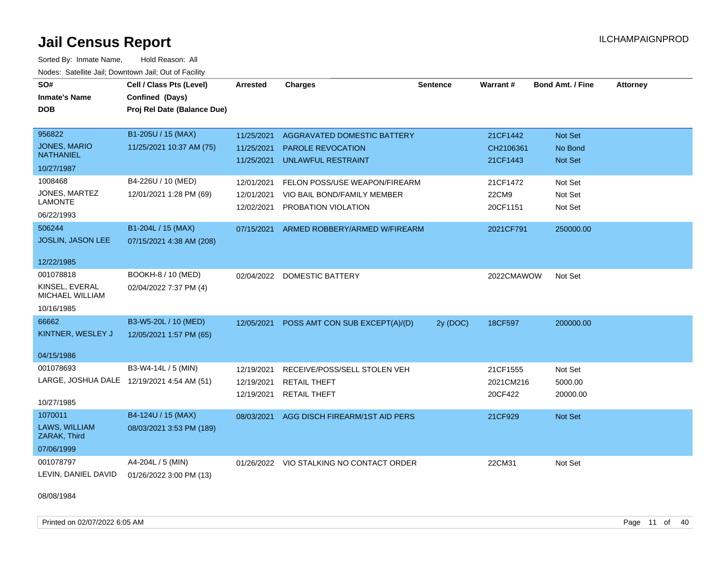Sorted By: Inmate Name, Hold Reason: All Nodes: Satellite Jail; Downtown Jail; Out of Facility

| SO#<br><b>Inmate's Name</b><br><b>DOB</b>                             | Cell / Class Pts (Level)<br>Confined (Days)<br>Proj Rel Date (Balance Due) | <b>Arrested</b>                        | <b>Charges</b>                                                                       | <b>Sentence</b> | Warrant#                          | <b>Bond Amt. / Fine</b>              | <b>Attorney</b> |
|-----------------------------------------------------------------------|----------------------------------------------------------------------------|----------------------------------------|--------------------------------------------------------------------------------------|-----------------|-----------------------------------|--------------------------------------|-----------------|
| 956822<br>JONES, MARIO<br><b>NATHANIEL</b><br>10/27/1987              | B1-205U / 15 (MAX)<br>11/25/2021 10:37 AM (75)                             | 11/25/2021<br>11/25/2021<br>11/25/2021 | <b>AGGRAVATED DOMESTIC BATTERY</b><br>PAROLE REVOCATION<br><b>UNLAWFUL RESTRAINT</b> |                 | 21CF1442<br>CH2106361<br>21CF1443 | Not Set<br>No Bond<br><b>Not Set</b> |                 |
| 1008468<br>JONES, MARTEZ<br><b>LAMONTE</b><br>06/22/1993              | B4-226U / 10 (MED)<br>12/01/2021 1:28 PM (69)                              | 12/01/2021<br>12/01/2021<br>12/02/2021 | FELON POSS/USE WEAPON/FIREARM<br>VIO BAIL BOND/FAMILY MEMBER<br>PROBATION VIOLATION  |                 | 21CF1472<br>22CM9<br>20CF1151     | Not Set<br>Not Set<br>Not Set        |                 |
| 506244<br>JOSLIN, JASON LEE<br>12/22/1985                             | B1-204L / 15 (MAX)<br>07/15/2021 4:38 AM (208)                             | 07/15/2021                             | ARMED ROBBERY/ARMED W/FIREARM                                                        |                 | 2021CF791                         | 250000.00                            |                 |
| 001078818<br>KINSEL, EVERAL<br>MICHAEL WILLIAM<br>10/16/1985          | BOOKH-8 / 10 (MED)<br>02/04/2022 7:37 PM (4)                               |                                        | 02/04/2022 DOMESTIC BATTERY                                                          |                 | 2022CMAWOW                        | Not Set                              |                 |
| 66662<br>KINTNER, WESLEY J<br>04/15/1986                              | B3-W5-20L / 10 (MED)<br>12/05/2021 1:57 PM (65)                            | 12/05/2021                             | POSS AMT CON SUB EXCEPT(A)/(D)                                                       | 2y (DOC)        | 18CF597                           | 200000.00                            |                 |
| 001078693<br>LARGE, JOSHUA DALE 12/19/2021 4:54 AM (51)<br>10/27/1985 | B3-W4-14L / 5 (MIN)                                                        | 12/19/2021<br>12/19/2021<br>12/19/2021 | RECEIVE/POSS/SELL STOLEN VEH<br><b>RETAIL THEFT</b><br><b>RETAIL THEFT</b>           |                 | 21CF1555<br>2021CM216<br>20CF422  | Not Set<br>5000.00<br>20000.00       |                 |
| 1070011<br>LAWS, WILLIAM<br>ZARAK, Third<br>07/06/1999                | B4-124U / 15 (MAX)<br>08/03/2021 3:53 PM (189)                             | 08/03/2021                             | AGG DISCH FIREARM/1ST AID PERS                                                       |                 | 21CF929                           | Not Set                              |                 |
| 001078797<br>LEVIN, DANIEL DAVID                                      | A4-204L / 5 (MIN)<br>01/26/2022 3:00 PM (13)                               |                                        | 01/26/2022 VIO STALKING NO CONTACT ORDER                                             |                 | 22CM31                            | Not Set                              |                 |

08/08/1984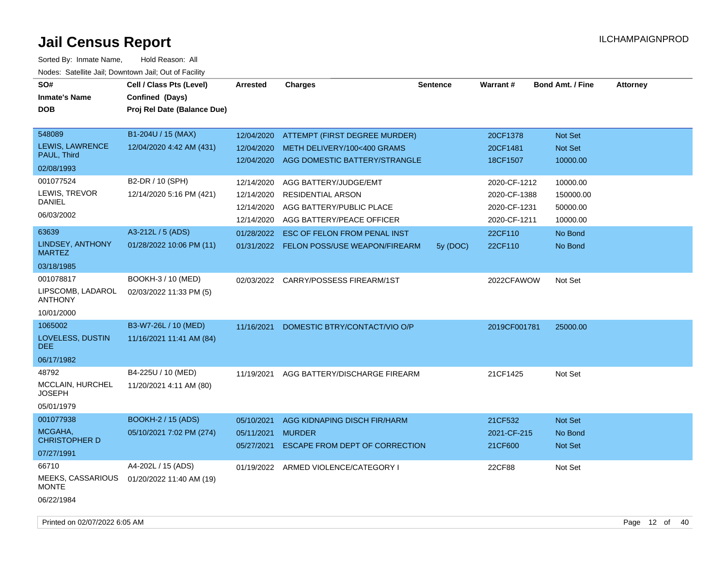| SO#<br><b>Inmate's Name</b><br><b>DOB</b>                          | Cell / Class Pts (Level)<br>Confined (Days)<br>Proj Rel Date (Balance Due) | <b>Arrested</b>                                                    | <b>Charges</b>                                                                                                                                    | <b>Sentence</b> | Warrant#                                                                | <b>Bond Amt. / Fine</b>                                  | <b>Attorney</b> |
|--------------------------------------------------------------------|----------------------------------------------------------------------------|--------------------------------------------------------------------|---------------------------------------------------------------------------------------------------------------------------------------------------|-----------------|-------------------------------------------------------------------------|----------------------------------------------------------|-----------------|
| 548089<br>LEWIS, LAWRENCE<br>PAUL, Third<br>02/08/1993             | B1-204U / 15 (MAX)<br>12/04/2020 4:42 AM (431)                             | 12/04/2020<br>12/04/2020<br>12/04/2020                             | ATTEMPT (FIRST DEGREE MURDER)<br>METH DELIVERY/100<400 GRAMS<br>AGG DOMESTIC BATTERY/STRANGLE                                                     |                 | 20CF1378<br>20CF1481<br>18CF1507                                        | Not Set<br>Not Set<br>10000.00                           |                 |
| 001077524<br>LEWIS, TREVOR<br><b>DANIEL</b><br>06/03/2002<br>63639 | B2-DR / 10 (SPH)<br>12/14/2020 5:16 PM (421)<br>A3-212L / 5 (ADS)          | 12/14/2020<br>12/14/2020<br>12/14/2020<br>12/14/2020<br>01/28/2022 | AGG BATTERY/JUDGE/EMT<br><b>RESIDENTIAL ARSON</b><br>AGG BATTERY/PUBLIC PLACE<br>AGG BATTERY/PEACE OFFICER<br><b>ESC OF FELON FROM PENAL INST</b> |                 | 2020-CF-1212<br>2020-CF-1388<br>2020-CF-1231<br>2020-CF-1211<br>22CF110 | 10000.00<br>150000.00<br>50000.00<br>10000.00<br>No Bond |                 |
| LINDSEY, ANTHONY<br><b>MARTEZ</b><br>03/18/1985                    | 01/28/2022 10:06 PM (11)                                                   |                                                                    | 01/31/2022 FELON POSS/USE WEAPON/FIREARM                                                                                                          | 5y (DOC)        | 22CF110                                                                 | No Bond                                                  |                 |
| 001078817<br>LIPSCOMB, LADAROL<br><b>ANTHONY</b><br>10/01/2000     | BOOKH-3 / 10 (MED)<br>02/03/2022 11:33 PM (5)                              |                                                                    | 02/03/2022 CARRY/POSSESS FIREARM/1ST                                                                                                              |                 | 2022CFAWOW                                                              | Not Set                                                  |                 |
| 1065002<br>LOVELESS, DUSTIN<br>DEE.<br>06/17/1982                  | B3-W7-26L / 10 (MED)<br>11/16/2021 11:41 AM (84)                           | 11/16/2021                                                         | DOMESTIC BTRY/CONTACT/VIO O/P                                                                                                                     |                 | 2019CF001781                                                            | 25000.00                                                 |                 |
| 48792<br>MCCLAIN, HURCHEL<br><b>JOSEPH</b><br>05/01/1979           | B4-225U / 10 (MED)<br>11/20/2021 4:11 AM (80)                              | 11/19/2021                                                         | AGG BATTERY/DISCHARGE FIREARM                                                                                                                     |                 | 21CF1425                                                                | Not Set                                                  |                 |
| 001077938<br>MCGAHA,<br><b>CHRISTOPHER D</b><br>07/27/1991         | <b>BOOKH-2 / 15 (ADS)</b><br>05/10/2021 7:02 PM (274)                      | 05/10/2021<br>05/11/2021<br>05/27/2021                             | AGG KIDNAPING DISCH FIR/HARM<br><b>MURDER</b><br>ESCAPE FROM DEPT OF CORRECTION                                                                   |                 | 21CF532<br>2021-CF-215<br>21CF600                                       | Not Set<br>No Bond<br>Not Set                            |                 |
| 66710<br>MEEKS, CASSARIOUS<br><b>MONTE</b><br>06/22/1984           | A4-202L / 15 (ADS)<br>01/20/2022 11:40 AM (19)                             |                                                                    | 01/19/2022 ARMED VIOLENCE/CATEGORY I                                                                                                              |                 | 22CF88                                                                  | Not Set                                                  |                 |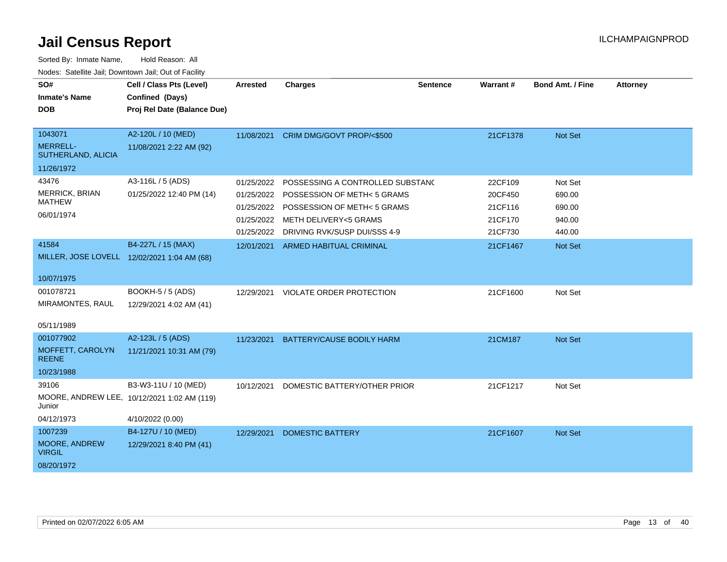| SO#<br><b>Inmate's Name</b><br><b>DOB</b>        | Cell / Class Pts (Level)<br>Confined (Days)<br>Proj Rel Date (Balance Due) | <b>Arrested</b> | <b>Charges</b>                   | <b>Sentence</b> | <b>Warrant#</b> | <b>Bond Amt. / Fine</b> | <b>Attorney</b> |
|--------------------------------------------------|----------------------------------------------------------------------------|-----------------|----------------------------------|-----------------|-----------------|-------------------------|-----------------|
| 1043071<br><b>MERRELL-</b><br>SUTHERLAND, ALICIA | A2-120L / 10 (MED)<br>11/08/2021 2:22 AM (92)                              | 11/08/2021      | CRIM DMG/GOVT PROP/<\$500        |                 | 21CF1378        | Not Set                 |                 |
| 11/26/1972                                       |                                                                            |                 |                                  |                 |                 |                         |                 |
| 43476                                            | A3-116L / 5 (ADS)                                                          | 01/25/2022      | POSSESSING A CONTROLLED SUBSTANC |                 | 22CF109         | Not Set                 |                 |
| MERRICK, BRIAN                                   | 01/25/2022 12:40 PM (14)                                                   | 01/25/2022      | POSSESSION OF METH< 5 GRAMS      |                 | 20CF450         | 690.00                  |                 |
| <b>MATHEW</b>                                    |                                                                            | 01/25/2022      | POSSESSION OF METH< 5 GRAMS      |                 | 21CF116         | 690.00                  |                 |
| 06/01/1974                                       |                                                                            | 01/25/2022      | <b>METH DELIVERY&lt;5 GRAMS</b>  |                 | 21CF170         | 940.00                  |                 |
|                                                  |                                                                            | 01/25/2022      | DRIVING RVK/SUSP DUI/SSS 4-9     |                 | 21CF730         | 440.00                  |                 |
| 41584                                            | B4-227L / 15 (MAX)                                                         | 12/01/2021      | <b>ARMED HABITUAL CRIMINAL</b>   |                 | 21CF1467        | <b>Not Set</b>          |                 |
|                                                  | MILLER, JOSE LOVELL 12/02/2021 1:04 AM (68)                                |                 |                                  |                 |                 |                         |                 |
| 10/07/1975                                       |                                                                            |                 |                                  |                 |                 |                         |                 |
| 001078721                                        | BOOKH-5 / 5 (ADS)                                                          | 12/29/2021      | <b>VIOLATE ORDER PROTECTION</b>  |                 | 21CF1600        | Not Set                 |                 |
| MIRAMONTES, RAUL                                 | 12/29/2021 4:02 AM (41)                                                    |                 |                                  |                 |                 |                         |                 |
| 05/11/1989                                       |                                                                            |                 |                                  |                 |                 |                         |                 |
| 001077902                                        | A2-123L / 5 (ADS)                                                          | 11/23/2021      | <b>BATTERY/CAUSE BODILY HARM</b> |                 | 21CM187         | <b>Not Set</b>          |                 |
| MOFFETT, CAROLYN<br><b>REENE</b>                 | 11/21/2021 10:31 AM (79)                                                   |                 |                                  |                 |                 |                         |                 |
| 10/23/1988                                       |                                                                            |                 |                                  |                 |                 |                         |                 |
| 39106                                            | B3-W3-11U / 10 (MED)                                                       | 10/12/2021      | DOMESTIC BATTERY/OTHER PRIOR     |                 | 21CF1217        | Not Set                 |                 |
| Junior                                           | MOORE, ANDREW LEE, 10/12/2021 1:02 AM (119)                                |                 |                                  |                 |                 |                         |                 |
| 04/12/1973                                       | 4/10/2022 (0.00)                                                           |                 |                                  |                 |                 |                         |                 |
| 1007239                                          | B4-127U / 10 (MED)                                                         | 12/29/2021      | <b>DOMESTIC BATTERY</b>          |                 | 21CF1607        | Not Set                 |                 |
| MOORE, ANDREW<br><b>VIRGIL</b>                   | 12/29/2021 8:40 PM (41)                                                    |                 |                                  |                 |                 |                         |                 |
| 08/20/1972                                       |                                                                            |                 |                                  |                 |                 |                         |                 |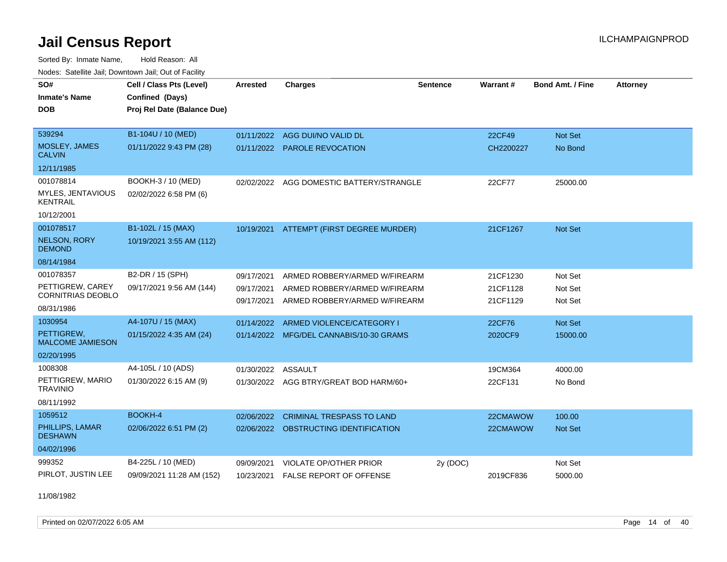Sorted By: Inmate Name, Hold Reason: All Nodes: Satellite Jail; Downtown Jail; Out of Facility

| SO#<br><b>Inmate's Name</b><br><b>DOB</b> | Cell / Class Pts (Level)<br>Confined (Days)<br>Proj Rel Date (Balance Due) | <b>Arrested</b> | <b>Charges</b>                          | <b>Sentence</b> | Warrant#  | <b>Bond Amt. / Fine</b> | <b>Attorney</b> |
|-------------------------------------------|----------------------------------------------------------------------------|-----------------|-----------------------------------------|-----------------|-----------|-------------------------|-----------------|
| 539294                                    | B1-104U / 10 (MED)                                                         |                 | 01/11/2022 AGG DUI/NO VALID DL          |                 | 22CF49    | Not Set                 |                 |
| MOSLEY, JAMES<br><b>CALVIN</b>            | 01/11/2022 9:43 PM (28)                                                    |                 | 01/11/2022 PAROLE REVOCATION            |                 | CH2200227 | No Bond                 |                 |
| 12/11/1985                                |                                                                            |                 |                                         |                 |           |                         |                 |
| 001078814                                 | BOOKH-3 / 10 (MED)                                                         | 02/02/2022      | AGG DOMESTIC BATTERY/STRANGLE           |                 | 22CF77    | 25000.00                |                 |
| MYLES, JENTAVIOUS<br><b>KENTRAIL</b>      | 02/02/2022 6:58 PM (6)                                                     |                 |                                         |                 |           |                         |                 |
| 10/12/2001                                |                                                                            |                 |                                         |                 |           |                         |                 |
| 001078517                                 | B1-102L / 15 (MAX)                                                         | 10/19/2021      | ATTEMPT (FIRST DEGREE MURDER)           |                 | 21CF1267  | Not Set                 |                 |
| <b>NELSON, RORY</b><br><b>DEMOND</b>      | 10/19/2021 3:55 AM (112)                                                   |                 |                                         |                 |           |                         |                 |
| 08/14/1984                                |                                                                            |                 |                                         |                 |           |                         |                 |
| 001078357                                 | B2-DR / 15 (SPH)                                                           | 09/17/2021      | ARMED ROBBERY/ARMED W/FIREARM           |                 | 21CF1230  | Not Set                 |                 |
| PETTIGREW, CAREY                          | 09/17/2021 9:56 AM (144)                                                   | 09/17/2021      | ARMED ROBBERY/ARMED W/FIREARM           |                 | 21CF1128  | Not Set                 |                 |
| <b>CORNITRIAS DEOBLO</b><br>08/31/1986    |                                                                            | 09/17/2021      | ARMED ROBBERY/ARMED W/FIREARM           |                 | 21CF1129  | Not Set                 |                 |
| 1030954                                   | A4-107U / 15 (MAX)                                                         | 01/14/2022      | ARMED VIOLENCE/CATEGORY I               |                 | 22CF76    | Not Set                 |                 |
| PETTIGREW.<br><b>MALCOME JAMIESON</b>     | 01/15/2022 4:35 AM (24)                                                    |                 | 01/14/2022 MFG/DEL CANNABIS/10-30 GRAMS |                 | 2020CF9   | 15000.00                |                 |
| 02/20/1995                                |                                                                            |                 |                                         |                 |           |                         |                 |
| 1008308                                   | A4-105L / 10 (ADS)                                                         | 01/30/2022      | <b>ASSAULT</b>                          |                 | 19CM364   | 4000.00                 |                 |
| PETTIGREW, MARIO<br><b>TRAVINIO</b>       | 01/30/2022 6:15 AM (9)                                                     |                 | 01/30/2022 AGG BTRY/GREAT BOD HARM/60+  |                 | 22CF131   | No Bond                 |                 |
| 08/11/1992                                |                                                                            |                 |                                         |                 |           |                         |                 |
| 1059512                                   | <b>BOOKH-4</b>                                                             | 02/06/2022      | <b>CRIMINAL TRESPASS TO LAND</b>        |                 | 22CMAWOW  | 100.00                  |                 |
| PHILLIPS, LAMAR<br><b>DESHAWN</b>         | 02/06/2022 6:51 PM (2)                                                     |                 | 02/06/2022 OBSTRUCTING IDENTIFICATION   |                 | 22CMAWOW  | <b>Not Set</b>          |                 |
| 04/02/1996                                |                                                                            |                 |                                         |                 |           |                         |                 |
| 999352                                    | B4-225L / 10 (MED)                                                         | 09/09/2021      | <b>VIOLATE OP/OTHER PRIOR</b>           | 2y (DOC)        |           | Not Set                 |                 |
| PIRLOT, JUSTIN LEE                        | 09/09/2021 11:28 AM (152)                                                  | 10/23/2021      | FALSE REPORT OF OFFENSE                 |                 | 2019CF836 | 5000.00                 |                 |

11/08/1982

Printed on 02/07/2022 6:05 AM Page 14 of 40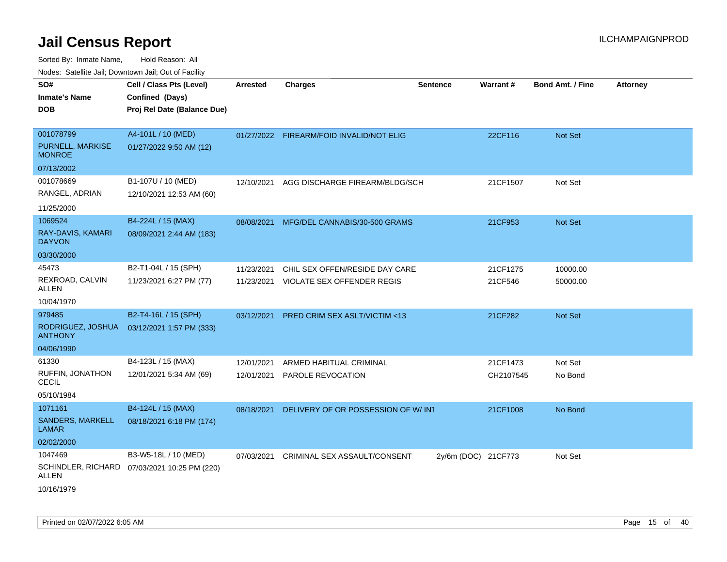| <u>Rodos.</u> Odiolino dali, Downtown dali, Odi of Fabilit |                                              |            |                                          |                     |           |                         |                 |
|------------------------------------------------------------|----------------------------------------------|------------|------------------------------------------|---------------------|-----------|-------------------------|-----------------|
| SO#                                                        | Cell / Class Pts (Level)                     | Arrested   | <b>Charges</b>                           | <b>Sentence</b>     | Warrant#  | <b>Bond Amt. / Fine</b> | <b>Attorney</b> |
| <b>Inmate's Name</b>                                       | Confined (Days)                              |            |                                          |                     |           |                         |                 |
| <b>DOB</b>                                                 | Proj Rel Date (Balance Due)                  |            |                                          |                     |           |                         |                 |
|                                                            |                                              |            |                                          |                     |           |                         |                 |
| 001078799                                                  | A4-101L / 10 (MED)                           |            | 01/27/2022 FIREARM/FOID INVALID/NOT ELIG |                     | 22CF116   | Not Set                 |                 |
| PURNELL, MARKISE<br><b>MONROE</b>                          | 01/27/2022 9:50 AM (12)                      |            |                                          |                     |           |                         |                 |
| 07/13/2002                                                 |                                              |            |                                          |                     |           |                         |                 |
| 001078669                                                  | B1-107U / 10 (MED)                           | 12/10/2021 | AGG DISCHARGE FIREARM/BLDG/SCH           |                     | 21CF1507  | Not Set                 |                 |
| RANGEL, ADRIAN                                             | 12/10/2021 12:53 AM (60)                     |            |                                          |                     |           |                         |                 |
| 11/25/2000                                                 |                                              |            |                                          |                     |           |                         |                 |
| 1069524                                                    | B4-224L / 15 (MAX)                           | 08/08/2021 | MFG/DEL CANNABIS/30-500 GRAMS            |                     | 21CF953   | <b>Not Set</b>          |                 |
| RAY-DAVIS, KAMARI<br><b>DAYVON</b>                         | 08/09/2021 2:44 AM (183)                     |            |                                          |                     |           |                         |                 |
| 03/30/2000                                                 |                                              |            |                                          |                     |           |                         |                 |
| 45473                                                      | B2-T1-04L / 15 (SPH)                         | 11/23/2021 | CHIL SEX OFFEN/RESIDE DAY CARE           |                     | 21CF1275  | 10000.00                |                 |
| REXROAD, CALVIN<br>ALLEN                                   | 11/23/2021 6:27 PM (77)                      |            | 11/23/2021 VIOLATE SEX OFFENDER REGIS    |                     | 21CF546   | 50000.00                |                 |
| 10/04/1970                                                 |                                              |            |                                          |                     |           |                         |                 |
| 979485                                                     | B2-T4-16L / 15 (SPH)                         | 03/12/2021 | <b>PRED CRIM SEX ASLT/VICTIM &lt;13</b>  |                     | 21CF282   | <b>Not Set</b>          |                 |
| RODRIGUEZ, JOSHUA<br><b>ANTHONY</b>                        | 03/12/2021 1:57 PM (333)                     |            |                                          |                     |           |                         |                 |
| 04/06/1990                                                 |                                              |            |                                          |                     |           |                         |                 |
| 61330                                                      | B4-123L / 15 (MAX)                           | 12/01/2021 | ARMED HABITUAL CRIMINAL                  |                     | 21CF1473  | Not Set                 |                 |
| RUFFIN, JONATHON<br><b>CECIL</b>                           | 12/01/2021 5:34 AM (69)                      | 12/01/2021 | PAROLE REVOCATION                        |                     | CH2107545 | No Bond                 |                 |
| 05/10/1984                                                 |                                              |            |                                          |                     |           |                         |                 |
| 1071161                                                    | B4-124L / 15 (MAX)                           | 08/18/2021 | DELIVERY OF OR POSSESSION OF W/ INT      |                     | 21CF1008  | No Bond                 |                 |
| <b>SANDERS, MARKELL</b><br>LAMAR                           | 08/18/2021 6:18 PM (174)                     |            |                                          |                     |           |                         |                 |
| 02/02/2000                                                 |                                              |            |                                          |                     |           |                         |                 |
| 1047469                                                    | B3-W5-18L / 10 (MED)                         | 07/03/2021 | CRIMINAL SEX ASSAULT/CONSENT             | 2y/6m (DOC) 21CF773 |           | Not Set                 |                 |
| ALLEN                                                      | SCHINDLER, RICHARD 07/03/2021 10:25 PM (220) |            |                                          |                     |           |                         |                 |
| 10/16/1979                                                 |                                              |            |                                          |                     |           |                         |                 |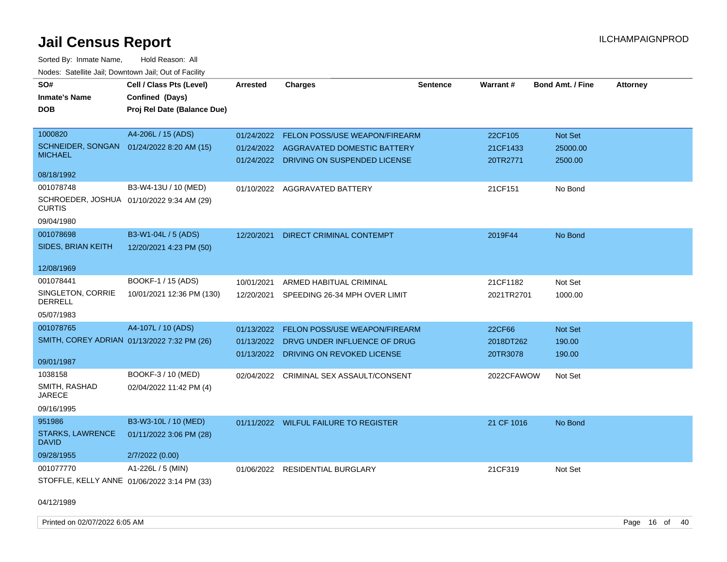Sorted By: Inmate Name, Hold Reason: All Nodes: Satellite Jail; Downtown Jail; Out of Facility

| SO#                                     | Cell / Class Pts (Level)                    | Arrested   | <b>Charges</b>                          | <b>Sentence</b> | Warrant#   | Bond Amt. / Fine | <b>Attorney</b> |
|-----------------------------------------|---------------------------------------------|------------|-----------------------------------------|-----------------|------------|------------------|-----------------|
| <b>Inmate's Name</b>                    | Confined (Days)                             |            |                                         |                 |            |                  |                 |
| <b>DOB</b>                              | Proj Rel Date (Balance Due)                 |            |                                         |                 |            |                  |                 |
|                                         |                                             |            |                                         |                 |            |                  |                 |
| 1000820                                 | A4-206L / 15 (ADS)                          | 01/24/2022 | FELON POSS/USE WEAPON/FIREARM           |                 | 22CF105    | Not Set          |                 |
| <b>SCHNEIDER, SONGAN</b>                | 01/24/2022 8:20 AM (15)                     |            | 01/24/2022 AGGRAVATED DOMESTIC BATTERY  |                 | 21CF1433   | 25000.00         |                 |
| <b>MICHAEL</b>                          |                                             |            | 01/24/2022 DRIVING ON SUSPENDED LICENSE |                 | 20TR2771   | 2500.00          |                 |
| 08/18/1992                              |                                             |            |                                         |                 |            |                  |                 |
| 001078748                               | B3-W4-13U / 10 (MED)                        | 01/10/2022 | AGGRAVATED BATTERY                      |                 | 21CF151    | No Bond          |                 |
| <b>CURTIS</b>                           | SCHROEDER, JOSHUA 01/10/2022 9:34 AM (29)   |            |                                         |                 |            |                  |                 |
| 09/04/1980                              |                                             |            |                                         |                 |            |                  |                 |
| 001078698                               | B3-W1-04L / 5 (ADS)                         | 12/20/2021 | DIRECT CRIMINAL CONTEMPT                |                 | 2019F44    | No Bond          |                 |
| SIDES, BRIAN KEITH                      | 12/20/2021 4:23 PM (50)                     |            |                                         |                 |            |                  |                 |
|                                         |                                             |            |                                         |                 |            |                  |                 |
| 12/08/1969                              |                                             |            |                                         |                 |            |                  |                 |
| 001078441                               | BOOKF-1 / 15 (ADS)                          | 10/01/2021 | ARMED HABITUAL CRIMINAL                 |                 | 21CF1182   | Not Set          |                 |
| SINGLETON, CORRIE<br><b>DERRELL</b>     | 10/01/2021 12:36 PM (130)                   | 12/20/2021 | SPEEDING 26-34 MPH OVER LIMIT           |                 | 2021TR2701 | 1000.00          |                 |
| 05/07/1983                              |                                             |            |                                         |                 |            |                  |                 |
| 001078765                               | A4-107L / 10 (ADS)                          | 01/13/2022 | FELON POSS/USE WEAPON/FIREARM           |                 | 22CF66     | Not Set          |                 |
|                                         | SMITH, COREY ADRIAN 01/13/2022 7:32 PM (26) | 01/13/2022 | DRVG UNDER INFLUENCE OF DRUG            |                 | 2018DT262  | 190.00           |                 |
|                                         |                                             |            | 01/13/2022 DRIVING ON REVOKED LICENSE   |                 | 20TR3078   | 190.00           |                 |
| 09/01/1987                              |                                             |            |                                         |                 |            |                  |                 |
| 1038158                                 | BOOKF-3 / 10 (MED)                          |            | 02/04/2022 CRIMINAL SEX ASSAULT/CONSENT |                 | 2022CFAWOW | Not Set          |                 |
| SMITH, RASHAD<br><b>JARECE</b>          | 02/04/2022 11:42 PM (4)                     |            |                                         |                 |            |                  |                 |
| 09/16/1995                              |                                             |            |                                         |                 |            |                  |                 |
| 951986                                  | B3-W3-10L / 10 (MED)                        |            | 01/11/2022 WILFUL FAILURE TO REGISTER   |                 | 21 CF 1016 | No Bond          |                 |
| <b>STARKS, LAWRENCE</b><br><b>DAVID</b> | 01/11/2022 3:06 PM (28)                     |            |                                         |                 |            |                  |                 |
| 09/28/1955                              | 2/7/2022 (0.00)                             |            |                                         |                 |            |                  |                 |
| 001077770                               | A1-226L / 5 (MIN)                           | 01/06/2022 | <b>RESIDENTIAL BURGLARY</b>             |                 | 21CF319    | Not Set          |                 |
|                                         | STOFFLE, KELLY ANNE 01/06/2022 3:14 PM (33) |            |                                         |                 |            |                  |                 |
|                                         |                                             |            |                                         |                 |            |                  |                 |

04/12/1989

Printed on 02/07/2022 6:05 AM Page 16 of 40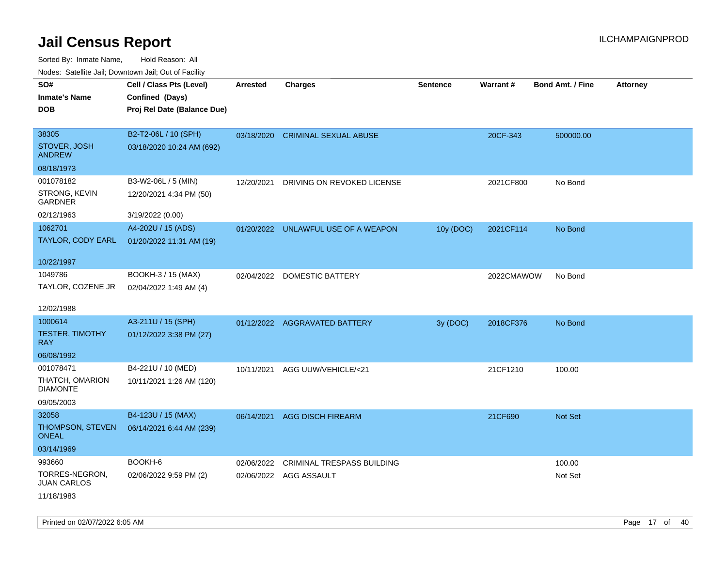| rougs. Calcing Jan, Downtown Jan, Out of Facility |                             |                 |                                     |                 |            |                         |                 |
|---------------------------------------------------|-----------------------------|-----------------|-------------------------------------|-----------------|------------|-------------------------|-----------------|
| SO#                                               | Cell / Class Pts (Level)    | <b>Arrested</b> | <b>Charges</b>                      | <b>Sentence</b> | Warrant#   | <b>Bond Amt. / Fine</b> | <b>Attorney</b> |
| <b>Inmate's Name</b>                              | Confined (Days)             |                 |                                     |                 |            |                         |                 |
| <b>DOB</b>                                        | Proj Rel Date (Balance Due) |                 |                                     |                 |            |                         |                 |
|                                                   |                             |                 |                                     |                 |            |                         |                 |
| 38305                                             | B2-T2-06L / 10 (SPH)        |                 | 03/18/2020 CRIMINAL SEXUAL ABUSE    |                 | 20CF-343   | 500000.00               |                 |
| STOVER, JOSH<br><b>ANDREW</b>                     | 03/18/2020 10:24 AM (692)   |                 |                                     |                 |            |                         |                 |
| 08/18/1973                                        |                             |                 |                                     |                 |            |                         |                 |
| 001078182                                         | B3-W2-06L / 5 (MIN)         | 12/20/2021      | DRIVING ON REVOKED LICENSE          |                 | 2021CF800  | No Bond                 |                 |
| STRONG, KEVIN<br>GARDNER                          | 12/20/2021 4:34 PM (50)     |                 |                                     |                 |            |                         |                 |
| 02/12/1963                                        | 3/19/2022 (0.00)            |                 |                                     |                 |            |                         |                 |
| 1062701                                           | A4-202U / 15 (ADS)          |                 | 01/20/2022 UNLAWFUL USE OF A WEAPON | 10y (DOC)       | 2021CF114  | No Bond                 |                 |
| TAYLOR, CODY EARL                                 | 01/20/2022 11:31 AM (19)    |                 |                                     |                 |            |                         |                 |
|                                                   |                             |                 |                                     |                 |            |                         |                 |
| 10/22/1997                                        |                             |                 |                                     |                 |            |                         |                 |
| 1049786                                           | BOOKH-3 / 15 (MAX)          |                 | 02/04/2022 DOMESTIC BATTERY         |                 | 2022CMAWOW | No Bond                 |                 |
| TAYLOR, COZENE JR                                 | 02/04/2022 1:49 AM (4)      |                 |                                     |                 |            |                         |                 |
|                                                   |                             |                 |                                     |                 |            |                         |                 |
| 12/02/1988                                        |                             |                 |                                     |                 |            |                         |                 |
| 1000614                                           | A3-211U / 15 (SPH)          |                 | 01/12/2022 AGGRAVATED BATTERY       | 3y (DOC)        | 2018CF376  | No Bond                 |                 |
| <b>TESTER, TIMOTHY</b><br>RAY.                    | 01/12/2022 3:38 PM (27)     |                 |                                     |                 |            |                         |                 |
| 06/08/1992                                        |                             |                 |                                     |                 |            |                         |                 |
| 001078471                                         | B4-221U / 10 (MED)          | 10/11/2021      | AGG UUW/VEHICLE/<21                 |                 | 21CF1210   | 100.00                  |                 |
| THATCH, OMARION                                   | 10/11/2021 1:26 AM (120)    |                 |                                     |                 |            |                         |                 |
| <b>DIAMONTE</b>                                   |                             |                 |                                     |                 |            |                         |                 |
| 09/05/2003                                        |                             |                 |                                     |                 |            |                         |                 |
| 32058                                             | B4-123U / 15 (MAX)          |                 | 06/14/2021 AGG DISCH FIREARM        |                 | 21CF690    | Not Set                 |                 |
| THOMPSON, STEVEN<br>ONEAL                         | 06/14/2021 6:44 AM (239)    |                 |                                     |                 |            |                         |                 |
| 03/14/1969                                        |                             |                 |                                     |                 |            |                         |                 |
| 993660                                            | BOOKH-6                     | 02/06/2022      | CRIMINAL TRESPASS BUILDING          |                 |            | 100.00                  |                 |
| TORRES-NEGRON,<br><b>JUAN CARLOS</b>              | 02/06/2022 9:59 PM (2)      |                 | 02/06/2022 AGG ASSAULT              |                 |            | Not Set                 |                 |
| 11/18/1983                                        |                             |                 |                                     |                 |            |                         |                 |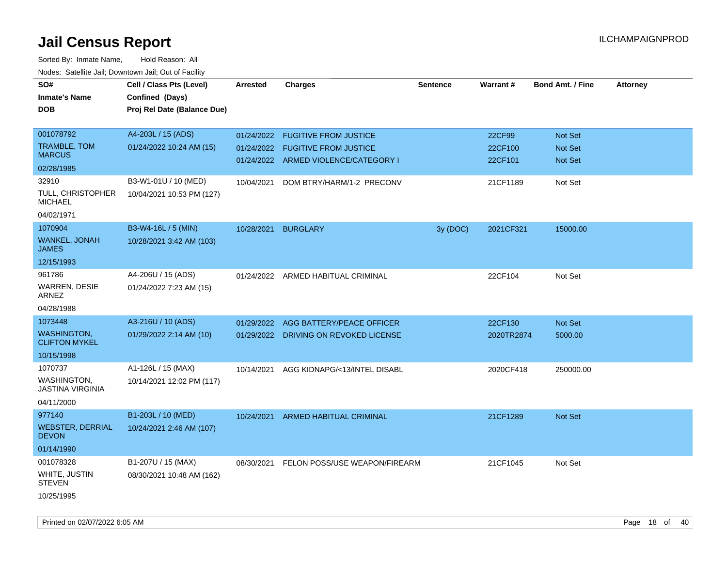| SO#<br><b>Inmate's Name</b><br>DOB         | Cell / Class Pts (Level)<br>Confined (Days)<br>Proj Rel Date (Balance Due) | Arrested   | <b>Charges</b>                           | <b>Sentence</b> | Warrant#   | <b>Bond Amt. / Fine</b> | <b>Attorney</b> |
|--------------------------------------------|----------------------------------------------------------------------------|------------|------------------------------------------|-----------------|------------|-------------------------|-----------------|
| 001078792                                  | A4-203L / 15 (ADS)                                                         | 01/24/2022 | <b>FUGITIVE FROM JUSTICE</b>             |                 | 22CF99     | Not Set                 |                 |
| TRAMBLE, TOM<br><b>MARCUS</b>              | 01/24/2022 10:24 AM (15)                                                   | 01/24/2022 | <b>FUGITIVE FROM JUSTICE</b>             |                 | 22CF100    | <b>Not Set</b>          |                 |
| 02/28/1985                                 |                                                                            |            | 01/24/2022 ARMED VIOLENCE/CATEGORY I     |                 | 22CF101    | Not Set                 |                 |
| 32910                                      | B3-W1-01U / 10 (MED)                                                       | 10/04/2021 | DOM BTRY/HARM/1-2 PRECONV                |                 | 21CF1189   | Not Set                 |                 |
| TULL, CHRISTOPHER<br><b>MICHAEL</b>        | 10/04/2021 10:53 PM (127)                                                  |            |                                          |                 |            |                         |                 |
| 04/02/1971                                 |                                                                            |            |                                          |                 |            |                         |                 |
| 1070904                                    | B3-W4-16L / 5 (MIN)                                                        | 10/28/2021 | <b>BURGLARY</b>                          | 3y (DOC)        | 2021CF321  | 15000.00                |                 |
| WANKEL, JONAH<br><b>JAMES</b>              | 10/28/2021 3:42 AM (103)                                                   |            |                                          |                 |            |                         |                 |
| 12/15/1993                                 |                                                                            |            |                                          |                 |            |                         |                 |
| 961786<br><b>WARREN, DESIE</b><br>ARNEZ    | A4-206U / 15 (ADS)<br>01/24/2022 7:23 AM (15)                              |            | 01/24/2022 ARMED HABITUAL CRIMINAL       |                 | 22CF104    | Not Set                 |                 |
| 04/28/1988                                 |                                                                            |            |                                          |                 |            |                         |                 |
| 1073448                                    | A3-216U / 10 (ADS)                                                         | 01/29/2022 | AGG BATTERY/PEACE OFFICER                |                 | 22CF130    | Not Set                 |                 |
| <b>WASHINGTON.</b><br><b>CLIFTON MYKEL</b> | 01/29/2022 2:14 AM (10)                                                    |            | 01/29/2022 DRIVING ON REVOKED LICENSE    |                 | 2020TR2874 | 5000.00                 |                 |
| 10/15/1998                                 |                                                                            |            |                                          |                 |            |                         |                 |
| 1070737                                    | A1-126L / 15 (MAX)                                                         | 10/14/2021 | AGG KIDNAPG/<13/INTEL DISABL             |                 | 2020CF418  | 250000.00               |                 |
| WASHINGTON.<br>JASTINA VIRGINIA            | 10/14/2021 12:02 PM (117)                                                  |            |                                          |                 |            |                         |                 |
| 04/11/2000                                 |                                                                            |            |                                          |                 |            |                         |                 |
| 977140                                     | B1-203L / 10 (MED)                                                         | 10/24/2021 | ARMED HABITUAL CRIMINAL                  |                 | 21CF1289   | <b>Not Set</b>          |                 |
| <b>WEBSTER, DERRIAL</b><br><b>DEVON</b>    | 10/24/2021 2:46 AM (107)                                                   |            |                                          |                 |            |                         |                 |
| 01/14/1990                                 |                                                                            |            |                                          |                 |            |                         |                 |
| 001078328                                  | B1-207U / 15 (MAX)                                                         |            | 08/30/2021 FELON POSS/USE WEAPON/FIREARM |                 | 21CF1045   | Not Set                 |                 |
| WHITE, JUSTIN<br><b>STEVEN</b>             | 08/30/2021 10:48 AM (162)                                                  |            |                                          |                 |            |                         |                 |
| 10/25/1995                                 |                                                                            |            |                                          |                 |            |                         |                 |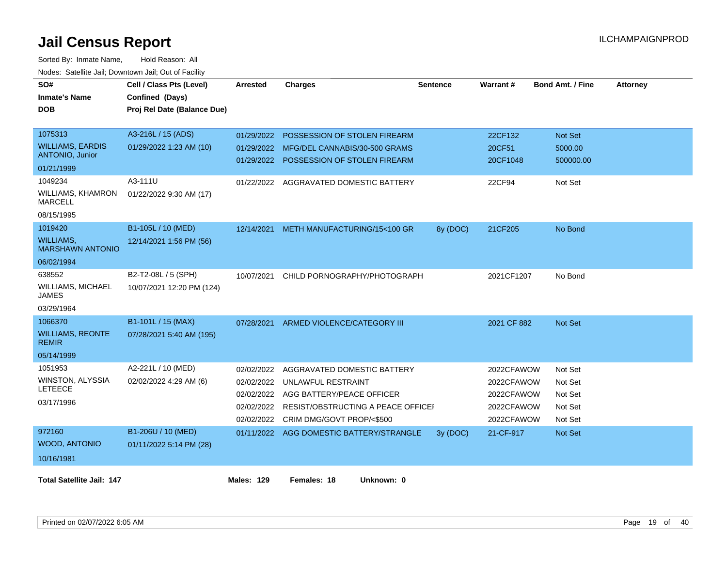| SO#<br><b>Inmate's Name</b><br><b>DOB</b>   | Cell / Class Pts (Level)<br>Confined (Days)<br>Proj Rel Date (Balance Due) | <b>Arrested</b>          | <b>Charges</b>                                                | <b>Sentence</b> | Warrant#           | <b>Bond Amt. / Fine</b> | <b>Attorney</b> |
|---------------------------------------------|----------------------------------------------------------------------------|--------------------------|---------------------------------------------------------------|-----------------|--------------------|-------------------------|-----------------|
| 1075313<br><b>WILLIAMS, EARDIS</b>          | A3-216L / 15 (ADS)                                                         | 01/29/2022               | POSSESSION OF STOLEN FIREARM                                  |                 | 22CF132            | Not Set                 |                 |
| <b>ANTONIO, Junior</b>                      | 01/29/2022 1:23 AM (10)                                                    | 01/29/2022<br>01/29/2022 | MFG/DEL CANNABIS/30-500 GRAMS<br>POSSESSION OF STOLEN FIREARM |                 | 20CF51<br>20CF1048 | 5000.00<br>500000.00    |                 |
| 01/21/1999                                  |                                                                            |                          |                                                               |                 |                    |                         |                 |
| 1049234                                     | A3-111U                                                                    |                          | 01/22/2022 AGGRAVATED DOMESTIC BATTERY                        |                 | 22CF94             | Not Set                 |                 |
| <b>WILLIAMS, KHAMRON</b><br><b>MARCELL</b>  | 01/22/2022 9:30 AM (17)                                                    |                          |                                                               |                 |                    |                         |                 |
| 08/15/1995                                  |                                                                            |                          |                                                               |                 |                    |                         |                 |
| 1019420                                     | B1-105L / 10 (MED)                                                         | 12/14/2021               | METH MANUFACTURING/15<100 GR                                  | 8y (DOC)        | 21CF205            | No Bond                 |                 |
| <b>WILLIAMS.</b><br><b>MARSHAWN ANTONIO</b> | 12/14/2021 1:56 PM (56)                                                    |                          |                                                               |                 |                    |                         |                 |
| 06/02/1994                                  |                                                                            |                          |                                                               |                 |                    |                         |                 |
| 638552                                      | B2-T2-08L / 5 (SPH)                                                        | 10/07/2021               | CHILD PORNOGRAPHY/PHOTOGRAPH                                  |                 | 2021CF1207         | No Bond                 |                 |
| WILLIAMS, MICHAEL<br><b>JAMES</b>           | 10/07/2021 12:20 PM (124)                                                  |                          |                                                               |                 |                    |                         |                 |
| 03/29/1964                                  |                                                                            |                          |                                                               |                 |                    |                         |                 |
| 1066370                                     | B1-101L / 15 (MAX)                                                         | 07/28/2021               | ARMED VIOLENCE/CATEGORY III                                   |                 | 2021 CF 882        | <b>Not Set</b>          |                 |
| <b>WILLIAMS, REONTE</b><br><b>REMIR</b>     | 07/28/2021 5:40 AM (195)                                                   |                          |                                                               |                 |                    |                         |                 |
| 05/14/1999                                  |                                                                            |                          |                                                               |                 |                    |                         |                 |
| 1051953                                     | A2-221L / 10 (MED)                                                         | 02/02/2022               | AGGRAVATED DOMESTIC BATTERY                                   |                 | 2022CFAWOW         | Not Set                 |                 |
| WINSTON, ALYSSIA                            | 02/02/2022 4:29 AM (6)                                                     | 02/02/2022               | UNLAWFUL RESTRAINT                                            |                 | 2022CFAWOW         | Not Set                 |                 |
| <b>LETEECE</b>                              |                                                                            | 02/02/2022               | AGG BATTERY/PEACE OFFICER                                     |                 | 2022CFAWOW         | Not Set                 |                 |
| 03/17/1996                                  |                                                                            | 02/02/2022               | RESIST/OBSTRUCTING A PEACE OFFICEI                            |                 | 2022CFAWOW         | Not Set                 |                 |
|                                             |                                                                            | 02/02/2022               | CRIM DMG/GOVT PROP/<\$500                                     |                 | 2022CFAWOW         | Not Set                 |                 |
| 972160                                      | B1-206U / 10 (MED)                                                         |                          | 01/11/2022 AGG DOMESTIC BATTERY/STRANGLE                      | 3y(DOC)         | 21-CF-917          | Not Set                 |                 |
| <b>WOOD, ANTONIO</b>                        | 01/11/2022 5:14 PM (28)                                                    |                          |                                                               |                 |                    |                         |                 |
| 10/16/1981                                  |                                                                            |                          |                                                               |                 |                    |                         |                 |
| <b>Total Satellite Jail: 147</b>            |                                                                            | <b>Males: 129</b>        | Females: 18<br>Unknown: 0                                     |                 |                    |                         |                 |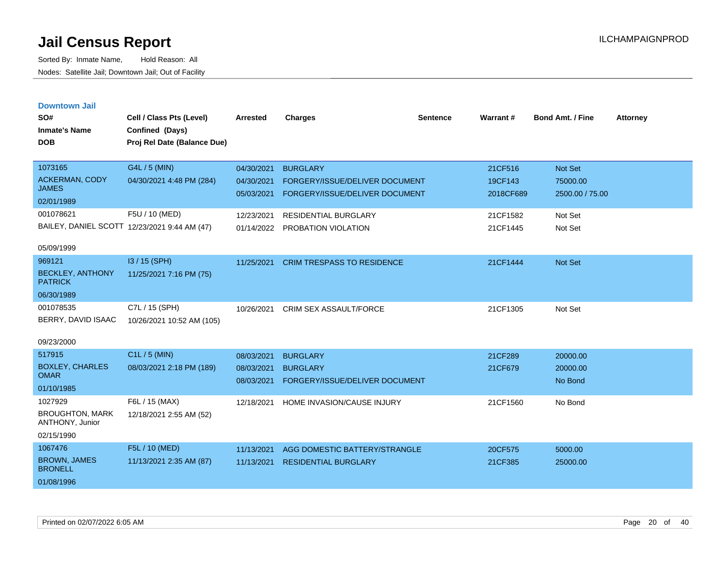| <b>Downtown Jail</b><br>SO#<br><b>Inmate's Name</b><br><b>DOB</b> | Cell / Class Pts (Level)<br>Confined (Days)<br>Proj Rel Date (Balance Due) | <b>Arrested</b>          | <b>Charges</b>                    | <b>Sentence</b> | Warrant#             | <b>Bond Amt. / Fine</b>     | <b>Attorney</b> |
|-------------------------------------------------------------------|----------------------------------------------------------------------------|--------------------------|-----------------------------------|-----------------|----------------------|-----------------------------|-----------------|
| 1073165                                                           | G4L / 5 (MIN)                                                              | 04/30/2021               | <b>BURGLARY</b>                   |                 | 21CF516              | <b>Not Set</b>              |                 |
| <b>ACKERMAN, CODY</b><br><b>JAMES</b>                             | 04/30/2021 4:48 PM (284)                                                   | 04/30/2021<br>05/03/2021 | FORGERY/ISSUE/DELIVER DOCUMENT    |                 | 19CF143<br>2018CF689 | 75000.00<br>2500.00 / 75.00 |                 |
| 02/01/1989                                                        |                                                                            |                          | FORGERY/ISSUE/DELIVER DOCUMENT    |                 |                      |                             |                 |
| 001078621                                                         | F5U / 10 (MED)                                                             | 12/23/2021               | <b>RESIDENTIAL BURGLARY</b>       |                 | 21CF1582             | Not Set                     |                 |
| BAILEY, DANIEL SCOTT 12/23/2021 9:44 AM (47)                      |                                                                            | 01/14/2022               | PROBATION VIOLATION               |                 | 21CF1445             | Not Set                     |                 |
| 05/09/1999                                                        |                                                                            |                          |                                   |                 |                      |                             |                 |
| 969121                                                            | $13/15$ (SPH)                                                              | 11/25/2021               | <b>CRIM TRESPASS TO RESIDENCE</b> |                 | 21CF1444             | <b>Not Set</b>              |                 |
| <b>BECKLEY, ANTHONY</b><br><b>PATRICK</b>                         | 11/25/2021 7:16 PM (75)                                                    |                          |                                   |                 |                      |                             |                 |
| 06/30/1989                                                        |                                                                            |                          |                                   |                 |                      |                             |                 |
| 001078535                                                         | C7L / 15 (SPH)                                                             | 10/26/2021               | <b>CRIM SEX ASSAULT/FORCE</b>     |                 | 21CF1305             | Not Set                     |                 |
| BERRY, DAVID ISAAC                                                | 10/26/2021 10:52 AM (105)                                                  |                          |                                   |                 |                      |                             |                 |
| 09/23/2000                                                        |                                                                            |                          |                                   |                 |                      |                             |                 |
| 517915                                                            | $C1L / 5$ (MIN)                                                            | 08/03/2021               | <b>BURGLARY</b>                   |                 | 21CF289              | 20000.00                    |                 |
| <b>BOXLEY, CHARLES</b><br><b>OMAR</b>                             | 08/03/2021 2:18 PM (189)                                                   | 08/03/2021               | <b>BURGLARY</b>                   |                 | 21CF679              | 20000.00                    |                 |
| 01/10/1985                                                        |                                                                            | 08/03/2021               | FORGERY/ISSUE/DELIVER DOCUMENT    |                 |                      | No Bond                     |                 |
| 1027929                                                           | F6L / 15 (MAX)                                                             | 12/18/2021               | HOME INVASION/CAUSE INJURY        |                 | 21CF1560             | No Bond                     |                 |
| <b>BROUGHTON, MARK</b><br>ANTHONY, Junior                         | 12/18/2021 2:55 AM (52)                                                    |                          |                                   |                 |                      |                             |                 |
| 02/15/1990                                                        |                                                                            |                          |                                   |                 |                      |                             |                 |
| 1067476                                                           | F5L / 10 (MED)                                                             | 11/13/2021               | AGG DOMESTIC BATTERY/STRANGLE     |                 | 20CF575              | 5000.00                     |                 |
| <b>BROWN, JAMES</b><br><b>BRONELL</b>                             | 11/13/2021 2:35 AM (87)                                                    | 11/13/2021               | <b>RESIDENTIAL BURGLARY</b>       |                 | 21CF385              | 25000.00                    |                 |
| 01/08/1996                                                        |                                                                            |                          |                                   |                 |                      |                             |                 |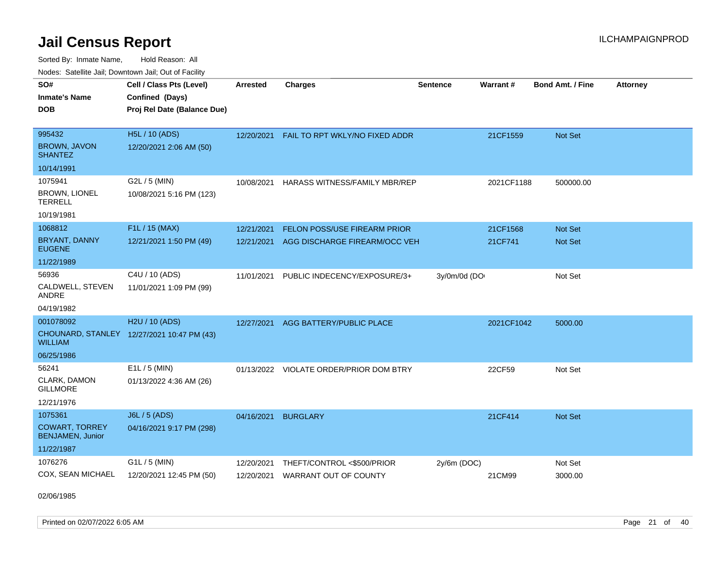Sorted By: Inmate Name, Hold Reason: All Nodes: Satellite Jail; Downtown Jail; Out of Facility

| SO#<br><b>Inmate's Name</b><br><b>DOB</b>                                 | Cell / Class Pts (Level)<br>Confined (Days)<br>Proj Rel Date (Balance Due) | <b>Arrested</b>          | <b>Charges</b>                                      | <b>Sentence</b> | Warrant#   | <b>Bond Amt. / Fine</b> | <b>Attorney</b> |
|---------------------------------------------------------------------------|----------------------------------------------------------------------------|--------------------------|-----------------------------------------------------|-----------------|------------|-------------------------|-----------------|
| 995432<br><b>BROWN, JAVON</b><br>SHANTEZ                                  | <b>H5L / 10 (ADS)</b><br>12/20/2021 2:06 AM (50)                           | 12/20/2021               | FAIL TO RPT WKLY/NO FIXED ADDR                      |                 | 21CF1559   | Not Set                 |                 |
| 10/14/1991                                                                |                                                                            |                          |                                                     |                 |            |                         |                 |
| 1075941<br><b>BROWN, LIONEL</b><br>TERRELL<br>10/19/1981                  | G2L / 5 (MIN)<br>10/08/2021 5:16 PM (123)                                  | 10/08/2021               | HARASS WITNESS/FAMILY MBR/REP                       |                 | 2021CF1188 | 500000.00               |                 |
| 1068812                                                                   | F1L / 15 (MAX)                                                             | 12/21/2021               | FELON POSS/USE FIREARM PRIOR                        |                 | 21CF1568   | <b>Not Set</b>          |                 |
| <b>BRYANT, DANNY</b><br><b>EUGENE</b>                                     | 12/21/2021 1:50 PM (49)                                                    | 12/21/2021               | AGG DISCHARGE FIREARM/OCC VEH                       |                 | 21CF741    | <b>Not Set</b>          |                 |
| 11/22/1989                                                                |                                                                            |                          |                                                     |                 |            |                         |                 |
| 56936<br>CALDWELL, STEVEN<br>ANDRE<br>04/19/1982                          | C4U / 10 (ADS)<br>11/01/2021 1:09 PM (99)                                  | 11/01/2021               | PUBLIC INDECENCY/EXPOSURE/3+                        | 3y/0m/0d (DO    |            | Not Set                 |                 |
| 001078092                                                                 | H <sub>2</sub> U / 10 (ADS)                                                | 12/27/2021               | AGG BATTERY/PUBLIC PLACE                            |                 | 2021CF1042 | 5000.00                 |                 |
| WILLIAM                                                                   | CHOUNARD, STANLEY 12/27/2021 10:47 PM (43)                                 |                          |                                                     |                 |            |                         |                 |
| 06/25/1986                                                                |                                                                            |                          |                                                     |                 |            |                         |                 |
| 56241<br>CLARK, DAMON<br>GILLMORE<br>12/21/1976                           | $E1L / 5$ (MIN)<br>01/13/2022 4:36 AM (26)                                 |                          | 01/13/2022 VIOLATE ORDER/PRIOR DOM BTRY             |                 | 22CF59     | Not Set                 |                 |
| 1075361<br><b>COWART, TORREY</b><br><b>BENJAMEN, Junior</b><br>11/22/1987 | <b>J6L / 5 (ADS)</b><br>04/16/2021 9:17 PM (298)                           | 04/16/2021               | <b>BURGLARY</b>                                     |                 | 21CF414    | Not Set                 |                 |
| 1076276<br>COX, SEAN MICHAEL                                              | G1L / 5 (MIN)<br>12/20/2021 12:45 PM (50)                                  | 12/20/2021<br>12/20/2021 | THEFT/CONTROL <\$500/PRIOR<br>WARRANT OUT OF COUNTY | 2y/6m (DOC)     | 21CM99     | Not Set<br>3000.00      |                 |

02/06/1985

Printed on 02/07/2022 6:05 AM Page 21 of 40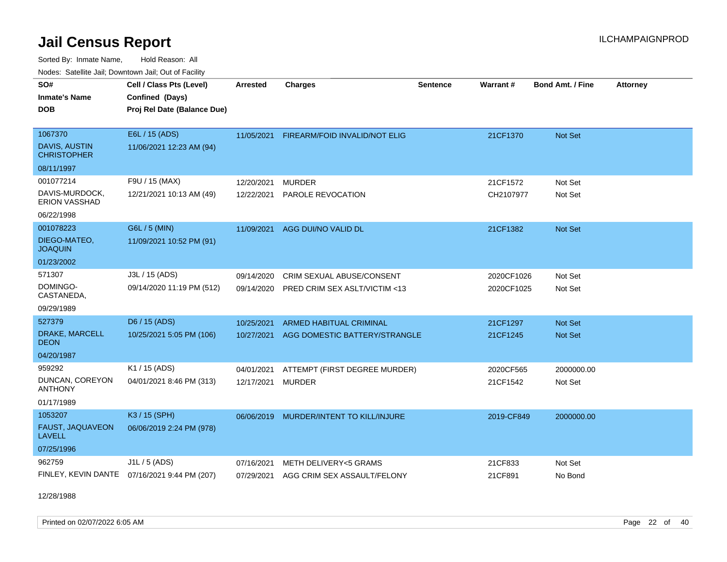Sorted By: Inmate Name, Hold Reason: All Nodes: Satellite Jail; Downtown Jail; Out of Facility

| <u>Houcs.</u> Outchne Juli, Downtown Juli, Out of Facility |                                              |                 |                                         |                 |            |                         |                 |
|------------------------------------------------------------|----------------------------------------------|-----------------|-----------------------------------------|-----------------|------------|-------------------------|-----------------|
| SO#                                                        | Cell / Class Pts (Level)                     | <b>Arrested</b> | <b>Charges</b>                          | <b>Sentence</b> | Warrant#   | <b>Bond Amt. / Fine</b> | <b>Attorney</b> |
| <b>Inmate's Name</b>                                       | Confined (Days)                              |                 |                                         |                 |            |                         |                 |
| <b>DOB</b>                                                 | Proj Rel Date (Balance Due)                  |                 |                                         |                 |            |                         |                 |
|                                                            |                                              |                 |                                         |                 |            |                         |                 |
| 1067370                                                    | E6L / 15 (ADS)                               | 11/05/2021      | <b>FIREARM/FOID INVALID/NOT ELIG</b>    |                 | 21CF1370   | Not Set                 |                 |
| <b>DAVIS, AUSTIN</b><br><b>CHRISTOPHER</b>                 | 11/06/2021 12:23 AM (94)                     |                 |                                         |                 |            |                         |                 |
| 08/11/1997                                                 |                                              |                 |                                         |                 |            |                         |                 |
| 001077214                                                  | F9U / 15 (MAX)                               | 12/20/2021      | <b>MURDER</b>                           |                 | 21CF1572   | Not Set                 |                 |
| DAVIS-MURDOCK,<br><b>ERION VASSHAD</b>                     | 12/21/2021 10:13 AM (49)                     | 12/22/2021      | PAROLE REVOCATION                       |                 | CH2107977  | Not Set                 |                 |
| 06/22/1998                                                 |                                              |                 |                                         |                 |            |                         |                 |
| 001078223                                                  | G6L / 5 (MIN)                                | 11/09/2021      | AGG DUI/NO VALID DL                     |                 | 21CF1382   | Not Set                 |                 |
| DIEGO-MATEO,<br><b>JOAQUIN</b>                             | 11/09/2021 10:52 PM (91)                     |                 |                                         |                 |            |                         |                 |
| 01/23/2002                                                 |                                              |                 |                                         |                 |            |                         |                 |
| 571307                                                     | J3L / 15 (ADS)                               | 09/14/2020      | <b>CRIM SEXUAL ABUSE/CONSENT</b>        |                 | 2020CF1026 | Not Set                 |                 |
| DOMINGO-<br>CASTANEDA,                                     | 09/14/2020 11:19 PM (512)                    | 09/14/2020      | <b>PRED CRIM SEX ASLT/VICTIM &lt;13</b> |                 | 2020CF1025 | Not Set                 |                 |
| 09/29/1989                                                 |                                              |                 |                                         |                 |            |                         |                 |
| 527379                                                     | D6 / 15 (ADS)                                | 10/25/2021      | <b>ARMED HABITUAL CRIMINAL</b>          |                 | 21CF1297   | <b>Not Set</b>          |                 |
| DRAKE, MARCELL<br><b>DEON</b>                              | 10/25/2021 5:05 PM (106)                     | 10/27/2021      | AGG DOMESTIC BATTERY/STRANGLE           |                 | 21CF1245   | <b>Not Set</b>          |                 |
| 04/20/1987                                                 |                                              |                 |                                         |                 |            |                         |                 |
| 959292                                                     | K1 / 15 (ADS)                                | 04/01/2021      | ATTEMPT (FIRST DEGREE MURDER)           |                 | 2020CF565  | 2000000.00              |                 |
| DUNCAN, COREYON<br><b>ANTHONY</b>                          | 04/01/2021 8:46 PM (313)                     | 12/17/2021      | <b>MURDER</b>                           |                 | 21CF1542   | Not Set                 |                 |
| 01/17/1989                                                 |                                              |                 |                                         |                 |            |                         |                 |
| 1053207                                                    | K3 / 15 (SPH)                                | 06/06/2019      | MURDER/INTENT TO KILL/INJURE            |                 | 2019-CF849 | 2000000.00              |                 |
| FAUST, JAQUAVEON<br>LAVELL                                 | 06/06/2019 2:24 PM (978)                     |                 |                                         |                 |            |                         |                 |
| 07/25/1996                                                 |                                              |                 |                                         |                 |            |                         |                 |
| 962759                                                     | $J1L / 5$ (ADS)                              | 07/16/2021      | METH DELIVERY<5 GRAMS                   |                 | 21CF833    | Not Set                 |                 |
|                                                            | FINLEY, KEVIN DANTE 07/16/2021 9:44 PM (207) | 07/29/2021      | AGG CRIM SEX ASSAULT/FELONY             |                 | 21CF891    | No Bond                 |                 |

12/28/1988

Printed on 02/07/2022 6:05 AM Page 22 of 40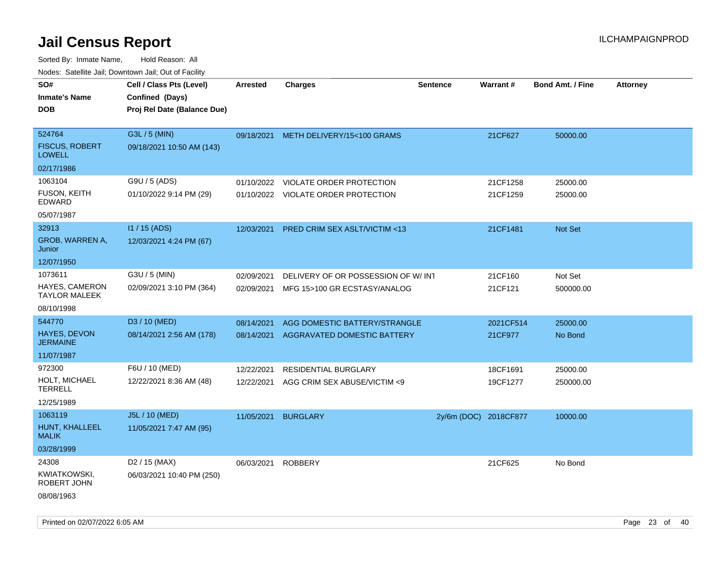| rouco. Calcinic Jan, Downtown Jan, Out of Facility |                                                                            |                 |                                       |                       |           |                         |                 |
|----------------------------------------------------|----------------------------------------------------------------------------|-----------------|---------------------------------------|-----------------------|-----------|-------------------------|-----------------|
| SO#<br>Inmate's Name<br><b>DOB</b>                 | Cell / Class Pts (Level)<br>Confined (Days)<br>Proj Rel Date (Balance Due) | <b>Arrested</b> | <b>Charges</b>                        | <b>Sentence</b>       | Warrant#  | <b>Bond Amt. / Fine</b> | <b>Attorney</b> |
| 524764<br><b>FISCUS, ROBERT</b><br><b>LOWELL</b>   | G3L / 5 (MIN)<br>09/18/2021 10:50 AM (143)                                 |                 | 09/18/2021 METH DELIVERY/15<100 GRAMS |                       | 21CF627   | 50000.00                |                 |
| 02/17/1986                                         |                                                                            |                 |                                       |                       |           |                         |                 |
| 1063104                                            | G9U / 5 (ADS)                                                              | 01/10/2022      | <b>VIOLATE ORDER PROTECTION</b>       |                       | 21CF1258  | 25000.00                |                 |
| FUSON, KEITH<br>EDWARD                             | 01/10/2022 9:14 PM (29)                                                    |                 | 01/10/2022 VIOLATE ORDER PROTECTION   |                       | 21CF1259  | 25000.00                |                 |
| 05/07/1987                                         |                                                                            |                 |                                       |                       |           |                         |                 |
| 32913                                              | I1 / 15 (ADS)                                                              | 12/03/2021      | PRED CRIM SEX ASLT/VICTIM <13         |                       | 21CF1481  | Not Set                 |                 |
| GROB, WARREN A,<br>Junior                          | 12/03/2021 4:24 PM (67)                                                    |                 |                                       |                       |           |                         |                 |
| 12/07/1950                                         |                                                                            |                 |                                       |                       |           |                         |                 |
| 1073611                                            | G3U / 5 (MIN)                                                              | 02/09/2021      | DELIVERY OF OR POSSESSION OF W/INT    |                       | 21CF160   | Not Set                 |                 |
| HAYES, CAMERON<br>TAYLOR MALEEK                    | 02/09/2021 3:10 PM (364)                                                   | 02/09/2021      | MFG 15>100 GR ECSTASY/ANALOG          |                       | 21CF121   | 500000.00               |                 |
| 08/10/1998                                         |                                                                            |                 |                                       |                       |           |                         |                 |
| 544770                                             | D3 / 10 (MED)                                                              | 08/14/2021      | AGG DOMESTIC BATTERY/STRANGLE         |                       | 2021CF514 | 25000.00                |                 |
| <b>HAYES, DEVON</b><br>JERMAINE                    | 08/14/2021 2:56 AM (178)                                                   | 08/14/2021      | AGGRAVATED DOMESTIC BATTERY           |                       | 21CF977   | No Bond                 |                 |
| 11/07/1987                                         |                                                                            |                 |                                       |                       |           |                         |                 |
| 972300                                             | F6U / 10 (MED)                                                             | 12/22/2021      | RESIDENTIAL BURGLARY                  |                       | 18CF1691  | 25000.00                |                 |
| HOLT, MICHAEL<br>TERRELL                           | 12/22/2021 8:36 AM (48)                                                    | 12/22/2021      | AGG CRIM SEX ABUSE/VICTIM <9          |                       | 19CF1277  | 250000.00               |                 |
| 12/25/1989                                         |                                                                            |                 |                                       |                       |           |                         |                 |
| 1063119                                            | J5L / 10 (MED)                                                             | 11/05/2021      | <b>BURGLARY</b>                       | 2y/6m (DOC) 2018CF877 |           | 10000.00                |                 |
| HUNT, KHALLEEL<br>MALIK                            | 11/05/2021 7:47 AM (95)                                                    |                 |                                       |                       |           |                         |                 |
| 03/28/1999                                         |                                                                            |                 |                                       |                       |           |                         |                 |
| 24308                                              | D <sub>2</sub> / 15 (MAX)                                                  | 06/03/2021      | <b>ROBBERY</b>                        |                       | 21CF625   | No Bond                 |                 |
| KWIATKOWSKI,<br>ROBERT JOHN                        | 06/03/2021 10:40 PM (250)                                                  |                 |                                       |                       |           |                         |                 |
| 08/08/1963                                         |                                                                            |                 |                                       |                       |           |                         |                 |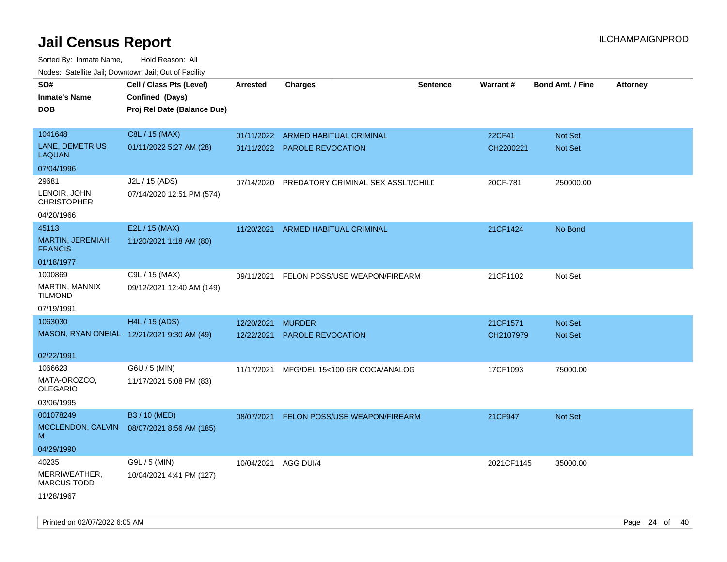| roaco. Catolino dall, Downtown dall, Out of Fability |                                            |                 |                                    |                 |                 |                         |                 |
|------------------------------------------------------|--------------------------------------------|-----------------|------------------------------------|-----------------|-----------------|-------------------------|-----------------|
| SO#                                                  | Cell / Class Pts (Level)                   | <b>Arrested</b> | Charges                            | <b>Sentence</b> | <b>Warrant#</b> | <b>Bond Amt. / Fine</b> | <b>Attorney</b> |
| <b>Inmate's Name</b>                                 | Confined (Days)                            |                 |                                    |                 |                 |                         |                 |
| <b>DOB</b>                                           | Proj Rel Date (Balance Due)                |                 |                                    |                 |                 |                         |                 |
|                                                      |                                            |                 |                                    |                 |                 |                         |                 |
| 1041648                                              | C8L / 15 (MAX)                             |                 | 01/11/2022 ARMED HABITUAL CRIMINAL |                 | 22CF41          | Not Set                 |                 |
| LANE, DEMETRIUS<br><b>LAQUAN</b>                     | 01/11/2022 5:27 AM (28)                    |                 | 01/11/2022 PAROLE REVOCATION       |                 | CH2200221       | Not Set                 |                 |
| 07/04/1996                                           |                                            |                 |                                    |                 |                 |                         |                 |
| 29681                                                | J2L / 15 (ADS)                             | 07/14/2020      | PREDATORY CRIMINAL SEX ASSLT/CHILE |                 | 20CF-781        | 250000.00               |                 |
| LENOIR, JOHN<br><b>CHRISTOPHER</b>                   | 07/14/2020 12:51 PM (574)                  |                 |                                    |                 |                 |                         |                 |
| 04/20/1966                                           |                                            |                 |                                    |                 |                 |                         |                 |
| 45113                                                | E2L / 15 (MAX)                             | 11/20/2021      | ARMED HABITUAL CRIMINAL            |                 | 21CF1424        | No Bond                 |                 |
| MARTIN, JEREMIAH<br><b>FRANCIS</b>                   | 11/20/2021 1:18 AM (80)                    |                 |                                    |                 |                 |                         |                 |
| 01/18/1977                                           |                                            |                 |                                    |                 |                 |                         |                 |
| 1000869                                              | C9L / 15 (MAX)                             | 09/11/2021      | FELON POSS/USE WEAPON/FIREARM      |                 | 21CF1102        | Not Set                 |                 |
| <b>MARTIN, MANNIX</b><br>TILMOND                     | 09/12/2021 12:40 AM (149)                  |                 |                                    |                 |                 |                         |                 |
| 07/19/1991                                           |                                            |                 |                                    |                 |                 |                         |                 |
| 1063030                                              | H4L / 15 (ADS)                             | 12/20/2021      | <b>MURDER</b>                      |                 | 21CF1571        | <b>Not Set</b>          |                 |
|                                                      | MASON, RYAN ONEIAL 12/21/2021 9:30 AM (49) | 12/22/2021      | <b>PAROLE REVOCATION</b>           |                 | CH2107979       | Not Set                 |                 |
|                                                      |                                            |                 |                                    |                 |                 |                         |                 |
| 02/22/1991                                           |                                            |                 |                                    |                 |                 |                         |                 |
| 1066623                                              | G6U / 5 (MIN)                              | 11/17/2021      | MFG/DEL 15<100 GR COCA/ANALOG      |                 | 17CF1093        | 75000.00                |                 |
| MATA-OROZCO.<br>OLEGARIO                             | 11/17/2021 5:08 PM (83)                    |                 |                                    |                 |                 |                         |                 |
| 03/06/1995                                           |                                            |                 |                                    |                 |                 |                         |                 |
| 001078249                                            | B3 / 10 (MED)                              | 08/07/2021      | FELON POSS/USE WEAPON/FIREARM      |                 | 21CF947         | <b>Not Set</b>          |                 |
| MCCLENDON, CALVIN<br>M                               | 08/07/2021 8:56 AM (185)                   |                 |                                    |                 |                 |                         |                 |
| 04/29/1990                                           |                                            |                 |                                    |                 |                 |                         |                 |
| 40235                                                | G9L / 5 (MIN)                              | 10/04/2021      | AGG DUI/4                          |                 | 2021CF1145      | 35000.00                |                 |
| MERRIWEATHER,<br><b>MARCUS TODD</b>                  | 10/04/2021 4:41 PM (127)                   |                 |                                    |                 |                 |                         |                 |
| 11/28/1967                                           |                                            |                 |                                    |                 |                 |                         |                 |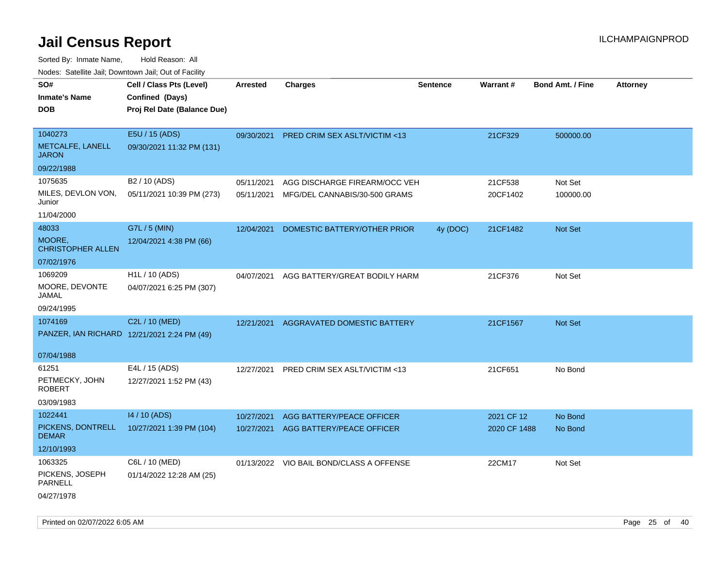| Todoo. Catolino can, Bowritown can, Oat or I domt<br>SO#<br><b>Inmate's Name</b><br><b>DOB</b> | Cell / Class Pts (Level)<br>Confined (Days)<br>Proj Rel Date (Balance Due) | <b>Arrested</b>          | <b>Charges</b>                                                 | <b>Sentence</b> | Warrant#            | <b>Bond Amt. / Fine</b> | <b>Attorney</b> |
|------------------------------------------------------------------------------------------------|----------------------------------------------------------------------------|--------------------------|----------------------------------------------------------------|-----------------|---------------------|-------------------------|-----------------|
| 1040273<br>METCALFE, LANELL<br><b>JARON</b>                                                    | E5U / 15 (ADS)<br>09/30/2021 11:32 PM (131)                                | 09/30/2021               | PRED CRIM SEX ASLT/VICTIM <13                                  |                 | 21CF329             | 500000.00               |                 |
| 09/22/1988                                                                                     |                                                                            |                          |                                                                |                 |                     |                         |                 |
| 1075635<br>MILES, DEVLON VON,<br>Junior<br>11/04/2000                                          | B2 / 10 (ADS)<br>05/11/2021 10:39 PM (273)                                 | 05/11/2021<br>05/11/2021 | AGG DISCHARGE FIREARM/OCC VEH<br>MFG/DEL CANNABIS/30-500 GRAMS |                 | 21CF538<br>20CF1402 | Not Set<br>100000.00    |                 |
| 48033                                                                                          | G7L / 5 (MIN)                                                              |                          |                                                                |                 |                     |                         |                 |
| MOORE,<br><b>CHRISTOPHER ALLEN</b>                                                             | 12/04/2021 4:38 PM (66)                                                    | 12/04/2021               | DOMESTIC BATTERY/OTHER PRIOR                                   | 4y (DOC)        | 21CF1482            | Not Set                 |                 |
| 07/02/1976                                                                                     |                                                                            |                          |                                                                |                 |                     |                         |                 |
| 1069209<br>MOORE, DEVONTE<br>JAMAL                                                             | H <sub>1</sub> L / 10 (ADS)<br>04/07/2021 6:25 PM (307)                    | 04/07/2021               | AGG BATTERY/GREAT BODILY HARM                                  |                 | 21CF376             | Not Set                 |                 |
| 09/24/1995                                                                                     |                                                                            |                          |                                                                |                 |                     |                         |                 |
| 1074169                                                                                        | C2L / 10 (MED)<br>PANZER, IAN RICHARD 12/21/2021 2:24 PM (49)              | 12/21/2021               | <b>AGGRAVATED DOMESTIC BATTERY</b>                             |                 | 21CF1567            | <b>Not Set</b>          |                 |
| 07/04/1988                                                                                     |                                                                            |                          |                                                                |                 |                     |                         |                 |
| 61251<br>PETMECKY, JOHN<br><b>ROBERT</b><br>03/09/1983                                         | E4L / 15 (ADS)<br>12/27/2021 1:52 PM (43)                                  | 12/27/2021               | PRED CRIM SEX ASLT/VICTIM <13                                  |                 | 21CF651             | No Bond                 |                 |
| 1022441                                                                                        | 14 / 10 (ADS)                                                              | 10/27/2021               | AGG BATTERY/PEACE OFFICER                                      |                 | 2021 CF 12          | No Bond                 |                 |
| PICKENS, DONTRELL<br><b>DEMAR</b>                                                              | 10/27/2021 1:39 PM (104)                                                   | 10/27/2021               | AGG BATTERY/PEACE OFFICER                                      |                 | 2020 CF 1488        | No Bond                 |                 |
| 12/10/1993                                                                                     |                                                                            |                          |                                                                |                 |                     |                         |                 |
| 1063325                                                                                        | C6L / 10 (MED)                                                             |                          | 01/13/2022 VIO BAIL BOND/CLASS A OFFENSE                       |                 | 22CM17              | Not Set                 |                 |
| PICKENS, JOSEPH<br><b>PARNELL</b>                                                              | 01/14/2022 12:28 AM (25)                                                   |                          |                                                                |                 |                     |                         |                 |
| 04/27/1978                                                                                     |                                                                            |                          |                                                                |                 |                     |                         |                 |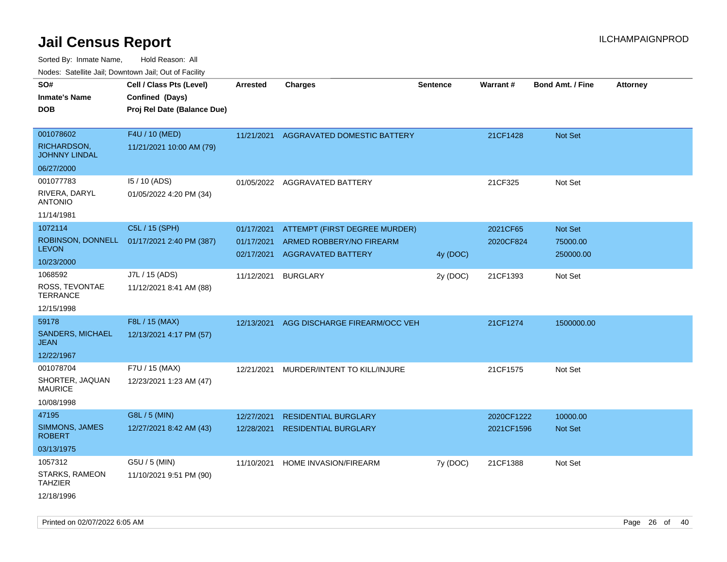Sorted By: Inmate Name, Hold Reason: All Nodes: Satellite Jail; Downtown Jail; Out of Facility

| Nudes. Satellite Jali, Downtown Jali, Out of Facility |                                            |                 |                                        |                 |            |                         |                 |
|-------------------------------------------------------|--------------------------------------------|-----------------|----------------------------------------|-----------------|------------|-------------------------|-----------------|
| SO#                                                   | Cell / Class Pts (Level)                   | <b>Arrested</b> | <b>Charges</b>                         | <b>Sentence</b> | Warrant#   | <b>Bond Amt. / Fine</b> | <b>Attorney</b> |
| <b>Inmate's Name</b>                                  | Confined (Days)                            |                 |                                        |                 |            |                         |                 |
| <b>DOB</b>                                            | Proj Rel Date (Balance Due)                |                 |                                        |                 |            |                         |                 |
|                                                       |                                            |                 |                                        |                 |            |                         |                 |
| 001078602                                             | F4U / 10 (MED)                             |                 | 11/21/2021 AGGRAVATED DOMESTIC BATTERY |                 | 21CF1428   | Not Set                 |                 |
| RICHARDSON,<br><b>JOHNNY LINDAL</b>                   | 11/21/2021 10:00 AM (79)                   |                 |                                        |                 |            |                         |                 |
| 06/27/2000                                            |                                            |                 |                                        |                 |            |                         |                 |
| 001077783                                             | 15 / 10 (ADS)                              |                 | 01/05/2022 AGGRAVATED BATTERY          |                 | 21CF325    | Not Set                 |                 |
| RIVERA, DARYL<br><b>ANTONIO</b>                       | 01/05/2022 4:20 PM (34)                    |                 |                                        |                 |            |                         |                 |
| 11/14/1981                                            |                                            |                 |                                        |                 |            |                         |                 |
| 1072114                                               | C5L / 15 (SPH)                             | 01/17/2021      | ATTEMPT (FIRST DEGREE MURDER)          |                 | 2021CF65   | Not Set                 |                 |
|                                                       | ROBINSON, DONNELL 01/17/2021 2:40 PM (387) | 01/17/2021      | ARMED ROBBERY/NO FIREARM               |                 | 2020CF824  | 75000.00                |                 |
| <b>LEVON</b>                                          |                                            | 02/17/2021      | <b>AGGRAVATED BATTERY</b>              | 4y (DOC)        |            | 250000.00               |                 |
| 10/23/2000                                            |                                            |                 |                                        |                 |            |                         |                 |
| 1068592                                               | J7L / 15 (ADS)                             | 11/12/2021      | <b>BURGLARY</b>                        | 2y (DOC)        | 21CF1393   | Not Set                 |                 |
| ROSS, TEVONTAE<br>TERRANCE                            | 11/12/2021 8:41 AM (88)                    |                 |                                        |                 |            |                         |                 |
| 12/15/1998                                            |                                            |                 |                                        |                 |            |                         |                 |
| 59178                                                 | F8L / 15 (MAX)                             | 12/13/2021      | AGG DISCHARGE FIREARM/OCC VEH          |                 | 21CF1274   | 1500000.00              |                 |
| SANDERS, MICHAEL<br>JEAN                              | 12/13/2021 4:17 PM (57)                    |                 |                                        |                 |            |                         |                 |
| 12/22/1967                                            |                                            |                 |                                        |                 |            |                         |                 |
| 001078704                                             | F7U / 15 (MAX)                             | 12/21/2021      | MURDER/INTENT TO KILL/INJURE           |                 | 21CF1575   | Not Set                 |                 |
| SHORTER, JAQUAN<br>MAURICE                            | 12/23/2021 1:23 AM (47)                    |                 |                                        |                 |            |                         |                 |
| 10/08/1998                                            |                                            |                 |                                        |                 |            |                         |                 |
| 47195                                                 | G8L / 5 (MIN)                              | 12/27/2021      | <b>RESIDENTIAL BURGLARY</b>            |                 | 2020CF1222 | 10000.00                |                 |
| SIMMONS, JAMES<br><b>ROBERT</b>                       | 12/27/2021 8:42 AM (43)                    | 12/28/2021      | <b>RESIDENTIAL BURGLARY</b>            |                 | 2021CF1596 | Not Set                 |                 |
| 03/13/1975                                            |                                            |                 |                                        |                 |            |                         |                 |
| 1057312                                               | G5U / 5 (MIN)                              | 11/10/2021      | HOME INVASION/FIREARM                  | 7y (DOC)        | 21CF1388   | Not Set                 |                 |
| STARKS, RAMEON<br>TAHZIER                             | 11/10/2021 9:51 PM (90)                    |                 |                                        |                 |            |                         |                 |
| 12/18/1996                                            |                                            |                 |                                        |                 |            |                         |                 |

Printed on 02/07/2022 6:05 AM Page 26 of 40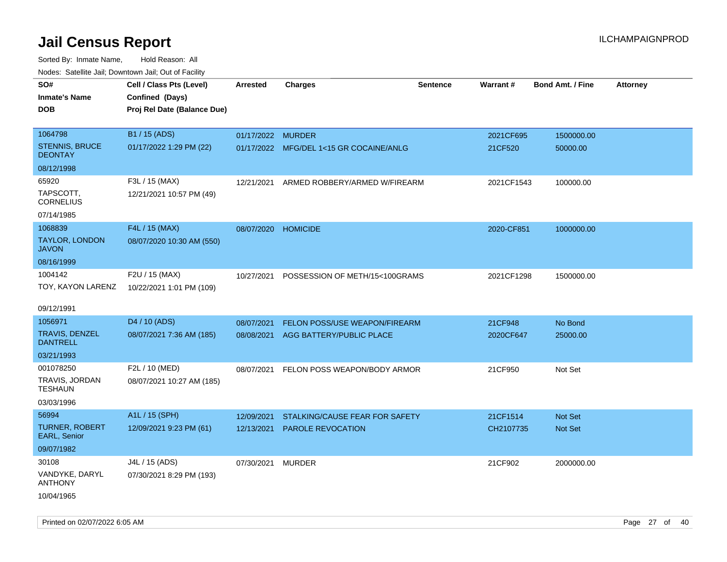| rougs. Calcing Jan, Downtown Jan, Out of Facility |                                                                            |                     |                                         |                 |                 |                         |                 |
|---------------------------------------------------|----------------------------------------------------------------------------|---------------------|-----------------------------------------|-----------------|-----------------|-------------------------|-----------------|
| SO#<br><b>Inmate's Name</b><br><b>DOB</b>         | Cell / Class Pts (Level)<br>Confined (Days)<br>Proj Rel Date (Balance Due) | <b>Arrested</b>     | <b>Charges</b>                          | <b>Sentence</b> | <b>Warrant#</b> | <b>Bond Amt. / Fine</b> | <b>Attorney</b> |
| 1064798                                           | B1 / 15 (ADS)                                                              | 01/17/2022 MURDER   |                                         |                 | 2021CF695       | 1500000.00              |                 |
| <b>STENNIS, BRUCE</b><br><b>DEONTAY</b>           | 01/17/2022 1:29 PM (22)                                                    |                     | 01/17/2022 MFG/DEL 1<15 GR COCAINE/ANLG |                 | 21CF520         | 50000.00                |                 |
| 08/12/1998                                        |                                                                            |                     |                                         |                 |                 |                         |                 |
| 65920                                             | F3L / 15 (MAX)                                                             | 12/21/2021          | ARMED ROBBERY/ARMED W/FIREARM           |                 | 2021CF1543      | 100000.00               |                 |
| TAPSCOTT.<br><b>CORNELIUS</b>                     | 12/21/2021 10:57 PM (49)                                                   |                     |                                         |                 |                 |                         |                 |
| 07/14/1985                                        |                                                                            |                     |                                         |                 |                 |                         |                 |
| 1068839                                           | F4L / 15 (MAX)                                                             | 08/07/2020 HOMICIDE |                                         |                 | 2020-CF851      | 1000000.00              |                 |
| <b>TAYLOR, LONDON</b><br><b>JAVON</b>             | 08/07/2020 10:30 AM (550)                                                  |                     |                                         |                 |                 |                         |                 |
| 08/16/1999                                        |                                                                            |                     |                                         |                 |                 |                         |                 |
| 1004142<br>TOY, KAYON LARENZ                      | F2U / 15 (MAX)<br>10/22/2021 1:01 PM (109)                                 | 10/27/2021          | POSSESSION OF METH/15<100GRAMS          |                 | 2021CF1298      | 1500000.00              |                 |
| 09/12/1991                                        |                                                                            |                     |                                         |                 |                 |                         |                 |
| 1056971                                           | D4 / 10 (ADS)                                                              | 08/07/2021          | <b>FELON POSS/USE WEAPON/FIREARM</b>    |                 | 21CF948         | No Bond                 |                 |
| <b>TRAVIS, DENZEL</b><br><b>DANTRELL</b>          | 08/07/2021 7:36 AM (185)                                                   | 08/08/2021          | AGG BATTERY/PUBLIC PLACE                |                 | 2020CF647       | 25000.00                |                 |
| 03/21/1993                                        |                                                                            |                     |                                         |                 |                 |                         |                 |
| 001078250                                         | F2L / 10 (MED)                                                             | 08/07/2021          | FELON POSS WEAPON/BODY ARMOR            |                 | 21CF950         | Not Set                 |                 |
| TRAVIS, JORDAN<br>TESHAUN                         | 08/07/2021 10:27 AM (185)                                                  |                     |                                         |                 |                 |                         |                 |
| 03/03/1996                                        |                                                                            |                     |                                         |                 |                 |                         |                 |
| 56994                                             | A1L / 15 (SPH)                                                             | 12/09/2021          | STALKING/CAUSE FEAR FOR SAFETY          |                 | 21CF1514        | <b>Not Set</b>          |                 |
| <b>TURNER, ROBERT</b><br>EARL, Senior             | 12/09/2021 9:23 PM (61)                                                    | 12/13/2021          | PAROLE REVOCATION                       |                 | CH2107735       | <b>Not Set</b>          |                 |
| 09/07/1982                                        |                                                                            |                     |                                         |                 |                 |                         |                 |
| 30108                                             | J4L / 15 (ADS)                                                             | 07/30/2021          | MURDER                                  |                 | 21CF902         | 2000000.00              |                 |
| VANDYKE, DARYL<br><b>ANTHONY</b>                  | 07/30/2021 8:29 PM (193)                                                   |                     |                                         |                 |                 |                         |                 |
| 10/04/1965                                        |                                                                            |                     |                                         |                 |                 |                         |                 |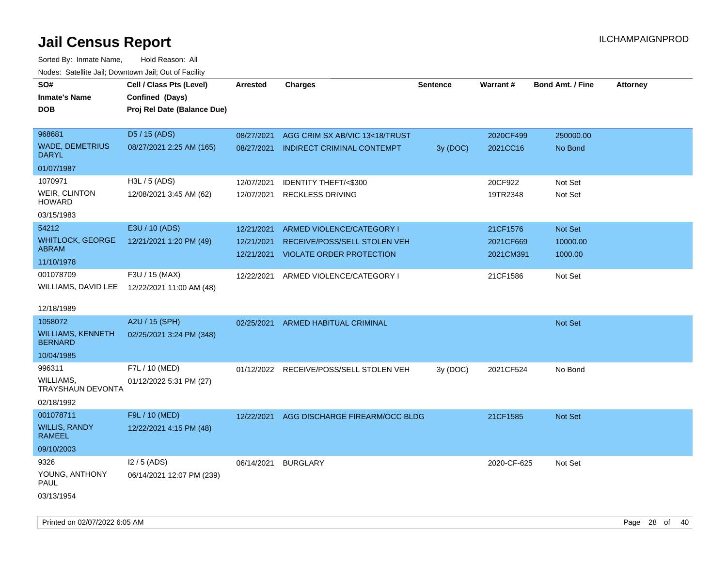Sorted By: Inmate Name, Hold Reason: All Nodes: Satellite Jail; Downtown Jail; Out of Facility

| roaco. Catolino cali, Downtown cali, Out of Fability |                             |            |                                         |                 |             |                         |                 |
|------------------------------------------------------|-----------------------------|------------|-----------------------------------------|-----------------|-------------|-------------------------|-----------------|
| SO#                                                  | Cell / Class Pts (Level)    | Arrested   | <b>Charges</b>                          | <b>Sentence</b> | Warrant#    | <b>Bond Amt. / Fine</b> | <b>Attorney</b> |
| <b>Inmate's Name</b>                                 | Confined (Days)             |            |                                         |                 |             |                         |                 |
| <b>DOB</b>                                           | Proj Rel Date (Balance Due) |            |                                         |                 |             |                         |                 |
| 968681                                               | D5 / 15 (ADS)               |            |                                         |                 |             |                         |                 |
| <b>WADE, DEMETRIUS</b>                               |                             | 08/27/2021 | AGG CRIM SX AB/VIC 13<18/TRUST          |                 | 2020CF499   | 250000.00               |                 |
| <b>DARYL</b>                                         | 08/27/2021 2:25 AM (165)    | 08/27/2021 | INDIRECT CRIMINAL CONTEMPT              | 3y (DOC)        | 2021CC16    | No Bond                 |                 |
| 01/07/1987                                           |                             |            |                                         |                 |             |                         |                 |
| 1070971                                              | H3L / 5 (ADS)               | 12/07/2021 | <b>IDENTITY THEFT/&lt;\$300</b>         |                 | 20CF922     | Not Set                 |                 |
| <b>WEIR, CLINTON</b><br><b>HOWARD</b>                | 12/08/2021 3:45 AM (62)     | 12/07/2021 | <b>RECKLESS DRIVING</b>                 |                 | 19TR2348    | Not Set                 |                 |
| 03/15/1983                                           |                             |            |                                         |                 |             |                         |                 |
| 54212                                                | E3U / 10 (ADS)              | 12/21/2021 | ARMED VIOLENCE/CATEGORY I               |                 | 21CF1576    | Not Set                 |                 |
| <b>WHITLOCK, GEORGE</b>                              | 12/21/2021 1:20 PM (49)     | 12/21/2021 | RECEIVE/POSS/SELL STOLEN VEH            |                 | 2021CF669   | 10000.00                |                 |
| ABRAM                                                |                             | 12/21/2021 | <b>VIOLATE ORDER PROTECTION</b>         |                 | 2021CM391   | 1000.00                 |                 |
| 11/10/1978                                           |                             |            |                                         |                 |             |                         |                 |
| 001078709                                            | F3U / 15 (MAX)              | 12/22/2021 | ARMED VIOLENCE/CATEGORY I               |                 | 21CF1586    | Not Set                 |                 |
| WILLIAMS, DAVID LEE                                  | 12/22/2021 11:00 AM (48)    |            |                                         |                 |             |                         |                 |
|                                                      |                             |            |                                         |                 |             |                         |                 |
| 12/18/1989                                           |                             |            |                                         |                 |             |                         |                 |
| 1058072                                              | A2U / 15 (SPH)              | 02/25/2021 | ARMED HABITUAL CRIMINAL                 |                 |             | <b>Not Set</b>          |                 |
| <b>WILLIAMS, KENNETH</b><br><b>BERNARD</b>           | 02/25/2021 3:24 PM (348)    |            |                                         |                 |             |                         |                 |
| 10/04/1985                                           |                             |            |                                         |                 |             |                         |                 |
| 996311                                               | F7L / 10 (MED)              |            | 01/12/2022 RECEIVE/POSS/SELL STOLEN VEH | 3y(DOC)         | 2021CF524   | No Bond                 |                 |
| WILLIAMS,<br><b>TRAYSHAUN DEVONTA</b>                | 01/12/2022 5:31 PM (27)     |            |                                         |                 |             |                         |                 |
| 02/18/1992                                           |                             |            |                                         |                 |             |                         |                 |
| 001078711                                            | F9L / 10 (MED)              | 12/22/2021 | AGG DISCHARGE FIREARM/OCC BLDG          |                 | 21CF1585    | <b>Not Set</b>          |                 |
| <b>WILLIS, RANDY</b><br>RAMEEL                       | 12/22/2021 4:15 PM (48)     |            |                                         |                 |             |                         |                 |
| 09/10/2003                                           |                             |            |                                         |                 |             |                         |                 |
| 9326                                                 | $12/5$ (ADS)                | 06/14/2021 | <b>BURGLARY</b>                         |                 | 2020-CF-625 | Not Set                 |                 |
| YOUNG, ANTHONY<br>PAUL                               | 06/14/2021 12:07 PM (239)   |            |                                         |                 |             |                         |                 |
| 03/13/1954                                           |                             |            |                                         |                 |             |                         |                 |

Printed on 02/07/2022 6:05 AM Page 28 of 40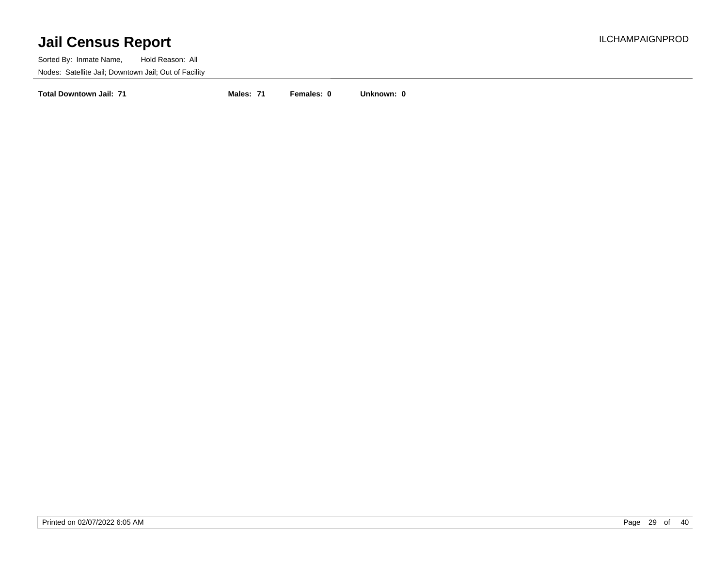Sorted By: Inmate Name, Hold Reason: All Nodes: Satellite Jail; Downtown Jail; Out of Facility

**Total Downtown Jail: 71 Males: 71 Females: 0 Unknown: 0**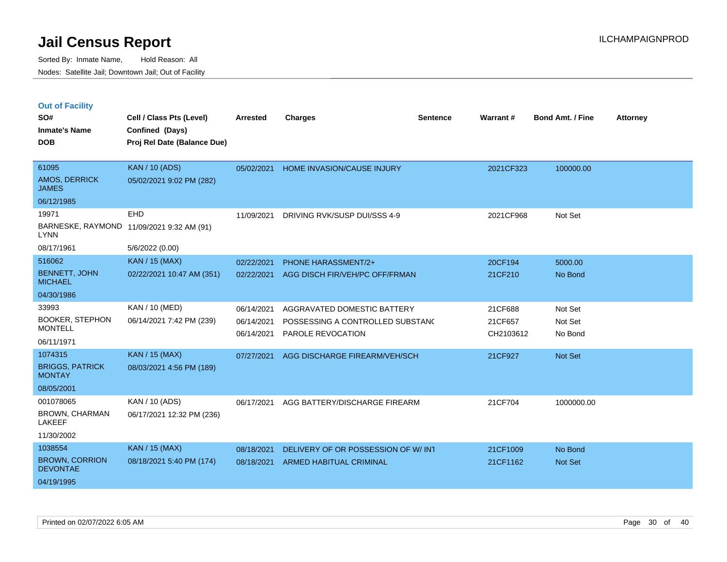|  | <b>Out of Facility</b> |
|--|------------------------|
|--|------------------------|

| SO#                                      | Cell / Class Pts (Level)                       | <b>Arrested</b> | <b>Charges</b>                     | <b>Sentence</b> | Warrant#  | <b>Bond Amt. / Fine</b> | <b>Attorney</b> |
|------------------------------------------|------------------------------------------------|-----------------|------------------------------------|-----------------|-----------|-------------------------|-----------------|
| <b>Inmate's Name</b><br><b>DOB</b>       | Confined (Days)<br>Proj Rel Date (Balance Due) |                 |                                    |                 |           |                         |                 |
|                                          |                                                |                 |                                    |                 |           |                         |                 |
| 61095                                    | <b>KAN / 10 (ADS)</b>                          | 05/02/2021      | HOME INVASION/CAUSE INJURY         |                 | 2021CF323 | 100000.00               |                 |
| <b>AMOS, DERRICK</b><br><b>JAMES</b>     | 05/02/2021 9:02 PM (282)                       |                 |                                    |                 |           |                         |                 |
| 06/12/1985                               |                                                |                 |                                    |                 |           |                         |                 |
| 19971                                    | EHD                                            | 11/09/2021      | DRIVING RVK/SUSP DUI/SSS 4-9       |                 | 2021CF968 | Not Set                 |                 |
| BARNESKE, RAYMOND<br><b>LYNN</b>         | 11/09/2021 9:32 AM (91)                        |                 |                                    |                 |           |                         |                 |
| 08/17/1961                               | 5/6/2022 (0.00)                                |                 |                                    |                 |           |                         |                 |
| 516062                                   | KAN / 15 (MAX)                                 | 02/22/2021      | PHONE HARASSMENT/2+                |                 | 20CF194   | 5000.00                 |                 |
| <b>BENNETT, JOHN</b><br><b>MICHAEL</b>   | 02/22/2021 10:47 AM (351)                      | 02/22/2021      | AGG DISCH FIR/VEH/PC OFF/FRMAN     |                 | 21CF210   | No Bond                 |                 |
| 04/30/1986                               |                                                |                 |                                    |                 |           |                         |                 |
| 33993                                    | KAN / 10 (MED)                                 | 06/14/2021      | AGGRAVATED DOMESTIC BATTERY        |                 | 21CF688   | Not Set                 |                 |
| <b>BOOKER, STEPHON</b>                   | 06/14/2021 7:42 PM (239)                       | 06/14/2021      | POSSESSING A CONTROLLED SUBSTAND   |                 | 21CF657   | Not Set                 |                 |
| <b>MONTELL</b>                           |                                                | 06/14/2021      | PAROLE REVOCATION                  |                 | CH2103612 | No Bond                 |                 |
| 06/11/1971<br>1074315                    |                                                |                 |                                    |                 |           |                         |                 |
| <b>BRIGGS, PATRICK</b>                   | KAN / 15 (MAX)                                 | 07/27/2021      | AGG DISCHARGE FIREARM/VEH/SCH      |                 | 21CF927   | Not Set                 |                 |
| <b>MONTAY</b>                            | 08/03/2021 4:56 PM (189)                       |                 |                                    |                 |           |                         |                 |
| 08/05/2001                               |                                                |                 |                                    |                 |           |                         |                 |
| 001078065                                | KAN / 10 (ADS)                                 | 06/17/2021      | AGG BATTERY/DISCHARGE FIREARM      |                 | 21CF704   | 1000000.00              |                 |
| <b>BROWN, CHARMAN</b><br><b>LAKEEF</b>   | 06/17/2021 12:32 PM (236)                      |                 |                                    |                 |           |                         |                 |
| 11/30/2002                               |                                                |                 |                                    |                 |           |                         |                 |
| 1038554                                  | <b>KAN / 15 (MAX)</b>                          | 08/18/2021      | DELIVERY OF OR POSSESSION OF W/INT |                 | 21CF1009  | No Bond                 |                 |
| <b>BROWN, CORRION</b><br><b>DEVONTAE</b> | 08/18/2021 5:40 PM (174)                       | 08/18/2021      | ARMED HABITUAL CRIMINAL            |                 | 21CF1162  | Not Set                 |                 |
| 04/19/1995                               |                                                |                 |                                    |                 |           |                         |                 |
|                                          |                                                |                 |                                    |                 |           |                         |                 |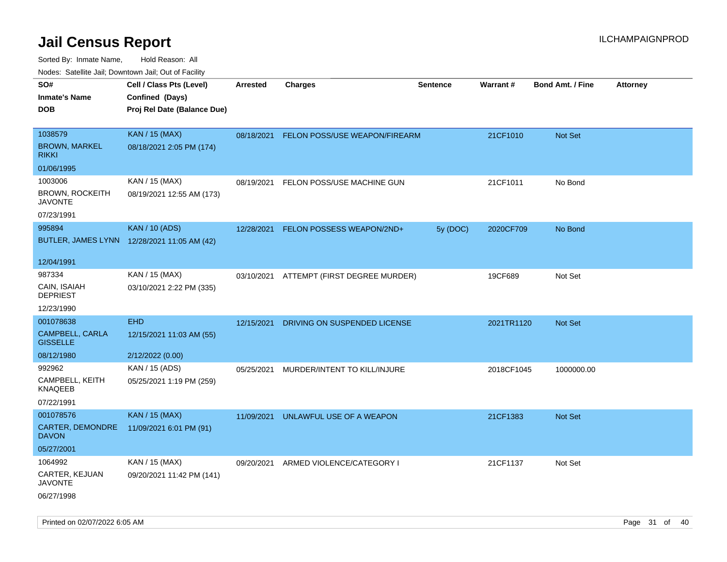| ivouss. Satellite Jali, Downtown Jali, Out of Facility |                                             |            |                                          |                 |            |                         |                 |
|--------------------------------------------------------|---------------------------------------------|------------|------------------------------------------|-----------------|------------|-------------------------|-----------------|
| SO#                                                    | Cell / Class Pts (Level)                    | Arrested   | <b>Charges</b>                           | <b>Sentence</b> | Warrant#   | <b>Bond Amt. / Fine</b> | <b>Attorney</b> |
| Inmate's Name                                          | Confined (Days)                             |            |                                          |                 |            |                         |                 |
| DOB                                                    | Proj Rel Date (Balance Due)                 |            |                                          |                 |            |                         |                 |
|                                                        |                                             |            |                                          |                 |            |                         |                 |
| 1038579                                                | <b>KAN / 15 (MAX)</b>                       | 08/18/2021 | FELON POSS/USE WEAPON/FIREARM            |                 | 21CF1010   | Not Set                 |                 |
| <b>BROWN, MARKEL</b><br>RIKKI                          | 08/18/2021 2:05 PM (174)                    |            |                                          |                 |            |                         |                 |
| 01/06/1995                                             |                                             |            |                                          |                 |            |                         |                 |
| 1003006                                                | KAN / 15 (MAX)                              | 08/19/2021 | FELON POSS/USE MACHINE GUN               |                 | 21CF1011   | No Bond                 |                 |
| BROWN, ROCKEITH<br>JAVONTE                             | 08/19/2021 12:55 AM (173)                   |            |                                          |                 |            |                         |                 |
| 07/23/1991                                             |                                             |            |                                          |                 |            |                         |                 |
| 995894                                                 | <b>KAN / 10 (ADS)</b>                       | 12/28/2021 | FELON POSSESS WEAPON/2ND+                | 5y (DOC)        | 2020CF709  | No Bond                 |                 |
|                                                        | BUTLER, JAMES LYNN 12/28/2021 11:05 AM (42) |            |                                          |                 |            |                         |                 |
| 12/04/1991                                             |                                             |            |                                          |                 |            |                         |                 |
| 987334                                                 | KAN / 15 (MAX)                              |            | 03/10/2021 ATTEMPT (FIRST DEGREE MURDER) |                 | 19CF689    | Not Set                 |                 |
| CAIN, ISAIAH<br>DEPRIEST                               | 03/10/2021 2:22 PM (335)                    |            |                                          |                 |            |                         |                 |
| 12/23/1990                                             |                                             |            |                                          |                 |            |                         |                 |
| 001078638                                              | <b>EHD</b>                                  | 12/15/2021 | DRIVING ON SUSPENDED LICENSE             |                 | 2021TR1120 | Not Set                 |                 |
| CAMPBELL, CARLA<br><b>GISSELLE</b>                     | 12/15/2021 11:03 AM (55)                    |            |                                          |                 |            |                         |                 |
| 08/12/1980                                             | 2/12/2022 (0.00)                            |            |                                          |                 |            |                         |                 |
| 992962                                                 | KAN / 15 (ADS)                              | 05/25/2021 | MURDER/INTENT TO KILL/INJURE             |                 | 2018CF1045 | 1000000.00              |                 |
| CAMPBELL, KEITH<br>KNAQEEB                             | 05/25/2021 1:19 PM (259)                    |            |                                          |                 |            |                         |                 |
| 07/22/1991                                             |                                             |            |                                          |                 |            |                         |                 |
| 001078576                                              | <b>KAN / 15 (MAX)</b>                       | 11/09/2021 | UNLAWFUL USE OF A WEAPON                 |                 | 21CF1383   | <b>Not Set</b>          |                 |
| CARTER, DEMONDRE<br>DAVON                              | 11/09/2021 6:01 PM (91)                     |            |                                          |                 |            |                         |                 |
| 05/27/2001                                             |                                             |            |                                          |                 |            |                         |                 |
| 1064992                                                | KAN / 15 (MAX)                              | 09/20/2021 | ARMED VIOLENCE/CATEGORY I                |                 | 21CF1137   | Not Set                 |                 |
| CARTER, KEJUAN<br>JAVONTE                              | 09/20/2021 11:42 PM (141)                   |            |                                          |                 |            |                         |                 |
| 06/27/1998                                             |                                             |            |                                          |                 |            |                         |                 |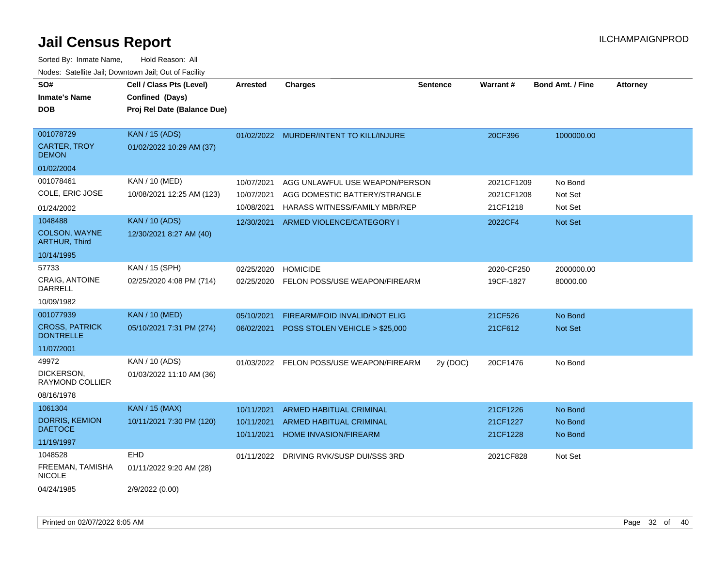| SO#<br><b>Inmate's Name</b><br><b>DOB</b>        | Cell / Class Pts (Level)<br>Confined (Days)<br>Proj Rel Date (Balance Due) | <b>Arrested</b>          | <b>Charges</b>                                                  | <b>Sentence</b> | Warrant#                 | <b>Bond Amt. / Fine</b> | <b>Attorney</b> |
|--------------------------------------------------|----------------------------------------------------------------------------|--------------------------|-----------------------------------------------------------------|-----------------|--------------------------|-------------------------|-----------------|
| 001078729<br><b>CARTER, TROY</b><br><b>DEMON</b> | <b>KAN / 15 (ADS)</b><br>01/02/2022 10:29 AM (37)                          |                          | 01/02/2022 MURDER/INTENT TO KILL/INJURE                         |                 | 20CF396                  | 1000000.00              |                 |
| 01/02/2004<br>001078461                          | KAN / 10 (MED)                                                             |                          |                                                                 |                 |                          |                         |                 |
| COLE, ERIC JOSE                                  | 10/08/2021 12:25 AM (123)                                                  | 10/07/2021<br>10/07/2021 | AGG UNLAWFUL USE WEAPON/PERSON<br>AGG DOMESTIC BATTERY/STRANGLE |                 | 2021CF1209<br>2021CF1208 | No Bond<br>Not Set      |                 |
| 01/24/2002                                       |                                                                            | 10/08/2021               | HARASS WITNESS/FAMILY MBR/REP                                   |                 | 21CF1218                 | Not Set                 |                 |
| 1048488<br>COLSON, WAYNE<br><b>ARTHUR, Third</b> | <b>KAN / 10 (ADS)</b><br>12/30/2021 8:27 AM (40)                           | 12/30/2021               | ARMED VIOLENCE/CATEGORY I                                       |                 | 2022CF4                  | Not Set                 |                 |
| 10/14/1995                                       |                                                                            |                          |                                                                 |                 |                          |                         |                 |
| 57733                                            | KAN / 15 (SPH)                                                             | 02/25/2020               | <b>HOMICIDE</b>                                                 |                 | 2020-CF250               | 2000000.00              |                 |
| CRAIG, ANTOINE<br><b>DARRELL</b>                 | 02/25/2020 4:08 PM (714)                                                   | 02/25/2020               | FELON POSS/USE WEAPON/FIREARM                                   |                 | 19CF-1827                | 80000.00                |                 |
| 10/09/1982                                       |                                                                            |                          |                                                                 |                 |                          |                         |                 |
| 001077939                                        | <b>KAN / 10 (MED)</b>                                                      | 05/10/2021               | FIREARM/FOID INVALID/NOT ELIG                                   |                 | 21CF526                  | No Bond                 |                 |
| <b>CROSS, PATRICK</b><br><b>DONTRELLE</b>        | 05/10/2021 7:31 PM (274)                                                   | 06/02/2021               | POSS STOLEN VEHICLE > \$25,000                                  |                 | 21CF612                  | Not Set                 |                 |
| 11/07/2001                                       |                                                                            |                          |                                                                 |                 |                          |                         |                 |
| 49972                                            | KAN / 10 (ADS)                                                             | 01/03/2022               | FELON POSS/USE WEAPON/FIREARM                                   | 2y (DOC)        | 20CF1476                 | No Bond                 |                 |
| DICKERSON,<br>RAYMOND COLLIER                    | 01/03/2022 11:10 AM (36)                                                   |                          |                                                                 |                 |                          |                         |                 |
| 08/16/1978                                       |                                                                            |                          |                                                                 |                 |                          |                         |                 |
| 1061304                                          | <b>KAN / 15 (MAX)</b>                                                      | 10/11/2021               | <b>ARMED HABITUAL CRIMINAL</b>                                  |                 | 21CF1226                 | No Bond                 |                 |
| <b>DORRIS, KEMION</b><br><b>DAETOCE</b>          | 10/11/2021 7:30 PM (120)                                                   | 10/11/2021<br>10/11/2021 | ARMED HABITUAL CRIMINAL<br>HOME INVASION/FIREARM                |                 | 21CF1227<br>21CF1228     | No Bond<br>No Bond      |                 |
| 11/19/1997                                       |                                                                            |                          |                                                                 |                 |                          |                         |                 |
| 1048528                                          | EHD                                                                        | 01/11/2022               | DRIVING RVK/SUSP DUI/SSS 3RD                                    |                 | 2021CF828                | Not Set                 |                 |
| FREEMAN, TAMISHA<br><b>NICOLE</b>                | 01/11/2022 9:20 AM (28)                                                    |                          |                                                                 |                 |                          |                         |                 |
| 04/24/1985                                       | 2/9/2022 (0.00)                                                            |                          |                                                                 |                 |                          |                         |                 |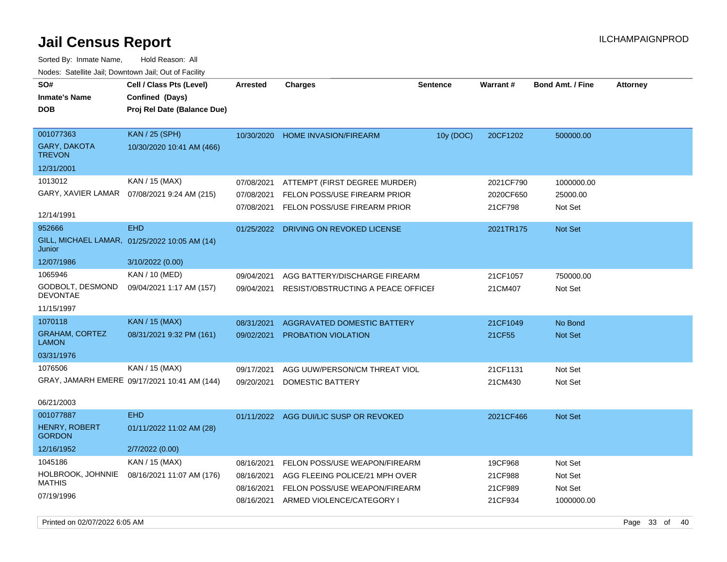| roaco. Calcinio dan, Domntonn dan, Out or Fability |                                               |                 |                                    |                 |           |                         |                 |
|----------------------------------------------------|-----------------------------------------------|-----------------|------------------------------------|-----------------|-----------|-------------------------|-----------------|
| SO#                                                | Cell / Class Pts (Level)                      | <b>Arrested</b> | <b>Charges</b>                     | <b>Sentence</b> | Warrant#  | <b>Bond Amt. / Fine</b> | <b>Attorney</b> |
| <b>Inmate's Name</b>                               | Confined (Days)                               |                 |                                    |                 |           |                         |                 |
| <b>DOB</b>                                         | Proj Rel Date (Balance Due)                   |                 |                                    |                 |           |                         |                 |
| 001077363                                          | <b>KAN / 25 (SPH)</b>                         |                 |                                    |                 |           |                         |                 |
| GARY, DAKOTA                                       | 10/30/2020 10:41 AM (466)                     | 10/30/2020      | <b>HOME INVASION/FIREARM</b>       | 10y (DOC)       | 20CF1202  | 500000.00               |                 |
| <b>TREVON</b>                                      |                                               |                 |                                    |                 |           |                         |                 |
| 12/31/2001                                         |                                               |                 |                                    |                 |           |                         |                 |
| 1013012                                            | KAN / 15 (MAX)                                | 07/08/2021      | ATTEMPT (FIRST DEGREE MURDER)      |                 | 2021CF790 | 1000000.00              |                 |
| GARY, XAVIER LAMAR                                 | 07/08/2021 9:24 AM (215)                      | 07/08/2021      | FELON POSS/USE FIREARM PRIOR       |                 | 2020CF650 | 25000.00                |                 |
|                                                    |                                               | 07/08/2021      | FELON POSS/USE FIREARM PRIOR       |                 | 21CF798   | Not Set                 |                 |
| 12/14/1991                                         |                                               |                 |                                    |                 |           |                         |                 |
| 952666                                             | <b>EHD</b>                                    | 01/25/2022      | DRIVING ON REVOKED LICENSE         |                 | 2021TR175 | Not Set                 |                 |
| Junior                                             | GILL, MICHAEL LAMAR, 01/25/2022 10:05 AM (14) |                 |                                    |                 |           |                         |                 |
| 12/07/1986                                         | 3/10/2022(0.00)                               |                 |                                    |                 |           |                         |                 |
| 1065946                                            | KAN / 10 (MED)                                | 09/04/2021      | AGG BATTERY/DISCHARGE FIREARM      |                 | 21CF1057  | 750000.00               |                 |
| GODBOLT, DESMOND<br>DEVONTAE                       | 09/04/2021 1:17 AM (157)                      | 09/04/2021      | RESIST/OBSTRUCTING A PEACE OFFICEF |                 | 21CM407   | Not Set                 |                 |
| 11/15/1997                                         |                                               |                 |                                    |                 |           |                         |                 |
| 1070118                                            | <b>KAN / 15 (MAX)</b>                         | 08/31/2021      | <b>AGGRAVATED DOMESTIC BATTERY</b> |                 | 21CF1049  | No Bond                 |                 |
| <b>GRAHAM, CORTEZ</b><br>LAMON                     | 08/31/2021 9:32 PM (161)                      | 09/02/2021      | <b>PROBATION VIOLATION</b>         |                 | 21CF55    | <b>Not Set</b>          |                 |
| 03/31/1976                                         |                                               |                 |                                    |                 |           |                         |                 |
| 1076506                                            | KAN / 15 (MAX)                                | 09/17/2021      | AGG UUW/PERSON/CM THREAT VIOL      |                 | 21CF1131  | Not Set                 |                 |
|                                                    | GRAY, JAMARH EMERE 09/17/2021 10:41 AM (144)  | 09/20/2021      | DOMESTIC BATTERY                   |                 | 21CM430   | Not Set                 |                 |
|                                                    |                                               |                 |                                    |                 |           |                         |                 |
| 06/21/2003                                         |                                               |                 |                                    |                 |           |                         |                 |
| 001077887                                          | <b>EHD</b>                                    | 01/11/2022      | AGG DUI/LIC SUSP OR REVOKED        |                 | 2021CF466 | <b>Not Set</b>          |                 |
| <b>HENRY, ROBERT</b><br><b>GORDON</b>              | 01/11/2022 11:02 AM (28)                      |                 |                                    |                 |           |                         |                 |
| 12/16/1952                                         | 2/7/2022 (0.00)                               |                 |                                    |                 |           |                         |                 |
| 1045186                                            | KAN / 15 (MAX)                                | 08/16/2021      | FELON POSS/USE WEAPON/FIREARM      |                 | 19CF968   | Not Set                 |                 |
| HOLBROOK, JOHNNIE<br><b>MATHIS</b>                 | 08/16/2021 11:07 AM (176)                     | 08/16/2021      | AGG FLEEING POLICE/21 MPH OVER     |                 | 21CF988   | Not Set                 |                 |
| 07/19/1996                                         |                                               | 08/16/2021      | FELON POSS/USE WEAPON/FIREARM      |                 | 21CF989   | Not Set                 |                 |
|                                                    |                                               | 08/16/2021      | ARMED VIOLENCE/CATEGORY I          |                 | 21CF934   | 1000000.00              |                 |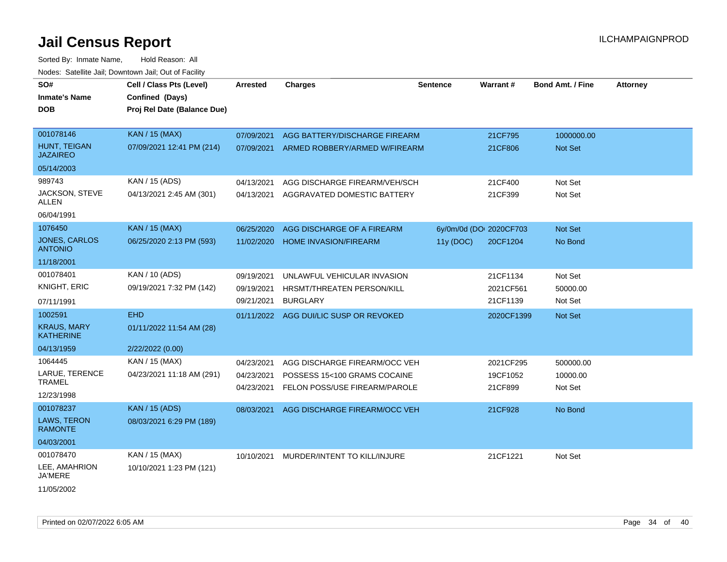| SO#<br><b>Inmate's Name</b><br><b>DOB</b> | Cell / Class Pts (Level)<br>Confined (Days)<br>Proj Rel Date (Balance Due) | <b>Arrested</b> | <b>Charges</b>                         | <b>Sentence</b> | Warrant#                | <b>Bond Amt. / Fine</b> | <b>Attorney</b> |
|-------------------------------------------|----------------------------------------------------------------------------|-----------------|----------------------------------------|-----------------|-------------------------|-------------------------|-----------------|
| 001078146                                 | <b>KAN / 15 (MAX)</b>                                                      | 07/09/2021      | AGG BATTERY/DISCHARGE FIREARM          |                 | 21CF795                 | 1000000.00              |                 |
| HUNT, TEIGAN<br><b>JAZAIREO</b>           | 07/09/2021 12:41 PM (214)                                                  | 07/09/2021      | ARMED ROBBERY/ARMED W/FIREARM          |                 | 21CF806                 | Not Set                 |                 |
| 05/14/2003                                |                                                                            |                 |                                        |                 |                         |                         |                 |
| 989743                                    | KAN / 15 (ADS)                                                             | 04/13/2021      | AGG DISCHARGE FIREARM/VEH/SCH          |                 | 21CF400                 | Not Set                 |                 |
| JACKSON, STEVE<br>ALLEN                   | 04/13/2021 2:45 AM (301)                                                   | 04/13/2021      | AGGRAVATED DOMESTIC BATTERY            |                 | 21CF399                 | Not Set                 |                 |
| 06/04/1991                                |                                                                            |                 |                                        |                 |                         |                         |                 |
| 1076450                                   | <b>KAN / 15 (MAX)</b>                                                      | 06/25/2020      | AGG DISCHARGE OF A FIREARM             |                 | 6y/0m/0d (DOI 2020CF703 | Not Set                 |                 |
| <b>JONES, CARLOS</b><br><b>ANTONIO</b>    | 06/25/2020 2:13 PM (593)                                                   | 11/02/2020      | <b>HOME INVASION/FIREARM</b>           | 11y (DOC)       | 20CF1204                | No Bond                 |                 |
| 11/18/2001                                |                                                                            |                 |                                        |                 |                         |                         |                 |
| 001078401                                 | KAN / 10 (ADS)                                                             | 09/19/2021      | UNLAWFUL VEHICULAR INVASION            |                 | 21CF1134                | Not Set                 |                 |
| KNIGHT, ERIC                              | 09/19/2021 7:32 PM (142)                                                   | 09/19/2021      | HRSMT/THREATEN PERSON/KILL             |                 | 2021CF561               | 50000.00                |                 |
| 07/11/1991                                |                                                                            | 09/21/2021      | <b>BURGLARY</b>                        |                 | 21CF1139                | Not Set                 |                 |
| 1002591                                   | <b>EHD</b>                                                                 |                 | 01/11/2022 AGG DUI/LIC SUSP OR REVOKED |                 | 2020CF1399              | Not Set                 |                 |
| <b>KRAUS, MARY</b><br><b>KATHERINE</b>    | 01/11/2022 11:54 AM (28)                                                   |                 |                                        |                 |                         |                         |                 |
| 04/13/1959                                | 2/22/2022 (0.00)                                                           |                 |                                        |                 |                         |                         |                 |
| 1064445                                   | KAN / 15 (MAX)                                                             | 04/23/2021      | AGG DISCHARGE FIREARM/OCC VEH          |                 | 2021CF295               | 500000.00               |                 |
| LARUE, TERENCE                            | 04/23/2021 11:18 AM (291)                                                  | 04/23/2021      | POSSESS 15<100 GRAMS COCAINE           |                 | 19CF1052                | 10000.00                |                 |
| <b>TRAMEL</b>                             |                                                                            | 04/23/2021      | FELON POSS/USE FIREARM/PAROLE          |                 | 21CF899                 | Not Set                 |                 |
| 12/23/1998                                |                                                                            |                 |                                        |                 |                         |                         |                 |
| 001078237                                 | <b>KAN / 15 (ADS)</b>                                                      | 08/03/2021      | AGG DISCHARGE FIREARM/OCC VEH          |                 | 21CF928                 | No Bond                 |                 |
| <b>LAWS, TERON</b><br><b>RAMONTE</b>      | 08/03/2021 6:29 PM (189)                                                   |                 |                                        |                 |                         |                         |                 |
| 04/03/2001                                |                                                                            |                 |                                        |                 |                         |                         |                 |
| 001078470                                 | KAN / 15 (MAX)                                                             | 10/10/2021      | MURDER/INTENT TO KILL/INJURE           |                 | 21CF1221                | Not Set                 |                 |
| LEE, AMAHRION<br>JA'MERE                  | 10/10/2021 1:23 PM (121)                                                   |                 |                                        |                 |                         |                         |                 |
| 11/05/2002                                |                                                                            |                 |                                        |                 |                         |                         |                 |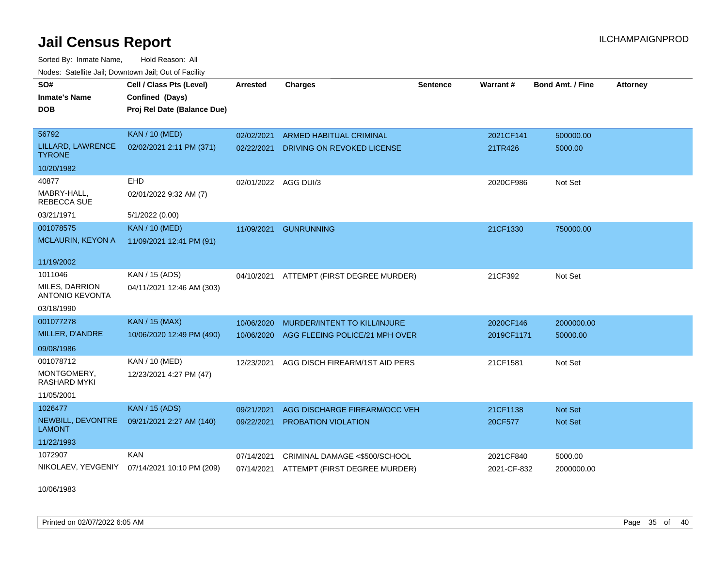Sorted By: Inmate Name, Hold Reason: All Nodes: Satellite Jail; Downtown Jail; Out of Facility

| SO#                                      | Cell / Class Pts (Level)    | <b>Arrested</b>      | <b>Charges</b>                 | <b>Sentence</b> | Warrant#    | <b>Bond Amt. / Fine</b> | <b>Attorney</b> |
|------------------------------------------|-----------------------------|----------------------|--------------------------------|-----------------|-------------|-------------------------|-----------------|
| <b>Inmate's Name</b>                     | Confined (Days)             |                      |                                |                 |             |                         |                 |
| <b>DOB</b>                               | Proj Rel Date (Balance Due) |                      |                                |                 |             |                         |                 |
|                                          |                             |                      |                                |                 |             |                         |                 |
| 56792                                    | <b>KAN / 10 (MED)</b>       | 02/02/2021           | ARMED HABITUAL CRIMINAL        |                 | 2021CF141   | 500000.00               |                 |
| LILLARD, LAWRENCE<br><b>TYRONE</b>       | 02/02/2021 2:11 PM (371)    | 02/22/2021           | DRIVING ON REVOKED LICENSE     |                 | 21TR426     | 5000.00                 |                 |
| 10/20/1982                               |                             |                      |                                |                 |             |                         |                 |
| 40877                                    | <b>EHD</b>                  | 02/01/2022 AGG DUI/3 |                                |                 | 2020CF986   | Not Set                 |                 |
| MABRY-HALL.<br>REBECCA SUE               | 02/01/2022 9:32 AM (7)      |                      |                                |                 |             |                         |                 |
| 03/21/1971                               | 5/1/2022 (0.00)             |                      |                                |                 |             |                         |                 |
| 001078575                                | <b>KAN / 10 (MED)</b>       | 11/09/2021           | <b>GUNRUNNING</b>              |                 | 21CF1330    | 750000.00               |                 |
| <b>MCLAURIN, KEYON A</b>                 | 11/09/2021 12:41 PM (91)    |                      |                                |                 |             |                         |                 |
| 11/19/2002                               |                             |                      |                                |                 |             |                         |                 |
| 1011046                                  | KAN / 15 (ADS)              | 04/10/2021           | ATTEMPT (FIRST DEGREE MURDER)  |                 | 21CF392     | Not Set                 |                 |
| MILES, DARRION<br><b>ANTONIO KEVONTA</b> | 04/11/2021 12:46 AM (303)   |                      |                                |                 |             |                         |                 |
| 03/18/1990                               |                             |                      |                                |                 |             |                         |                 |
| 001077278                                | KAN / 15 (MAX)              | 10/06/2020           | MURDER/INTENT TO KILL/INJURE   |                 | 2020CF146   | 2000000.00              |                 |
| MILLER, D'ANDRE                          | 10/06/2020 12:49 PM (490)   | 10/06/2020           | AGG FLEEING POLICE/21 MPH OVER |                 | 2019CF1171  | 50000.00                |                 |
| 09/08/1986                               |                             |                      |                                |                 |             |                         |                 |
| 001078712                                | KAN / 10 (MED)              | 12/23/2021           | AGG DISCH FIREARM/1ST AID PERS |                 | 21CF1581    | Not Set                 |                 |
| MONTGOMERY,<br>RASHARD MYKI              | 12/23/2021 4:27 PM (47)     |                      |                                |                 |             |                         |                 |
| 11/05/2001                               |                             |                      |                                |                 |             |                         |                 |
| 1026477                                  | <b>KAN / 15 (ADS)</b>       | 09/21/2021           | AGG DISCHARGE FIREARM/OCC VEH  |                 | 21CF1138    | <b>Not Set</b>          |                 |
| NEWBILL, DEVONTRE<br><b>LAMONT</b>       | 09/21/2021 2:27 AM (140)    | 09/22/2021           | PROBATION VIOLATION            |                 | 20CF577     | Not Set                 |                 |
| 11/22/1993                               |                             |                      |                                |                 |             |                         |                 |
| 1072907                                  | <b>KAN</b>                  | 07/14/2021           | CRIMINAL DAMAGE <\$500/SCHOOL  |                 | 2021CF840   | 5000.00                 |                 |
| NIKOLAEV, YEVGENIY                       | 07/14/2021 10:10 PM (209)   | 07/14/2021           | ATTEMPT (FIRST DEGREE MURDER)  |                 | 2021-CF-832 | 2000000.00              |                 |
|                                          |                             |                      |                                |                 |             |                         |                 |

10/06/1983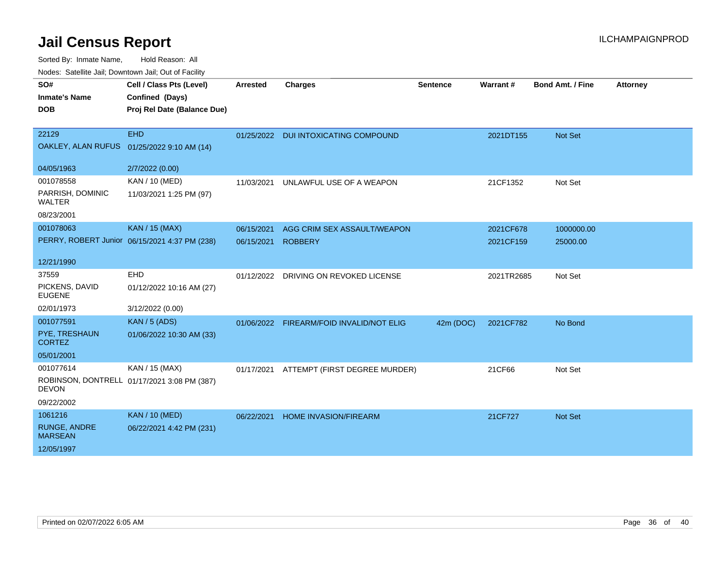| wacs. Calcillic Jali, Downtown Jali, Out of Facility |                                               |            |                                          |                 |            |                         |                 |  |
|------------------------------------------------------|-----------------------------------------------|------------|------------------------------------------|-----------------|------------|-------------------------|-----------------|--|
| SO#                                                  | Cell / Class Pts (Level)                      | Arrested   | <b>Charges</b>                           | <b>Sentence</b> | Warrant#   | <b>Bond Amt. / Fine</b> | <b>Attorney</b> |  |
| <b>Inmate's Name</b>                                 | Confined (Days)                               |            |                                          |                 |            |                         |                 |  |
| <b>DOB</b>                                           | Proj Rel Date (Balance Due)                   |            |                                          |                 |            |                         |                 |  |
|                                                      |                                               |            |                                          |                 |            |                         |                 |  |
| 22129                                                | <b>EHD</b>                                    |            | 01/25/2022 DUI INTOXICATING COMPOUND     |                 | 2021DT155  | Not Set                 |                 |  |
|                                                      | OAKLEY, ALAN RUFUS 01/25/2022 9:10 AM (14)    |            |                                          |                 |            |                         |                 |  |
|                                                      |                                               |            |                                          |                 |            |                         |                 |  |
| 04/05/1963                                           | 2/7/2022 (0.00)                               |            |                                          |                 |            |                         |                 |  |
| 001078558                                            | KAN / 10 (MED)                                | 11/03/2021 | UNLAWFUL USE OF A WEAPON                 |                 | 21CF1352   | Not Set                 |                 |  |
| PARRISH, DOMINIC<br>WALTER                           | 11/03/2021 1:25 PM (97)                       |            |                                          |                 |            |                         |                 |  |
| 08/23/2001                                           |                                               |            |                                          |                 |            |                         |                 |  |
| 001078063                                            | <b>KAN / 15 (MAX)</b>                         | 06/15/2021 | AGG CRIM SEX ASSAULT/WEAPON              |                 | 2021CF678  | 1000000.00              |                 |  |
|                                                      | PERRY, ROBERT Junior 06/15/2021 4:37 PM (238) | 06/15/2021 | <b>ROBBERY</b>                           |                 | 2021CF159  | 25000.00                |                 |  |
|                                                      |                                               |            |                                          |                 |            |                         |                 |  |
| 12/21/1990                                           |                                               |            |                                          |                 |            |                         |                 |  |
| 37559                                                | EHD                                           |            | 01/12/2022 DRIVING ON REVOKED LICENSE    |                 | 2021TR2685 | Not Set                 |                 |  |
| PICKENS, DAVID<br><b>EUGENE</b>                      | 01/12/2022 10:16 AM (27)                      |            |                                          |                 |            |                         |                 |  |
| 02/01/1973                                           | 3/12/2022 (0.00)                              |            |                                          |                 |            |                         |                 |  |
| 001077591                                            | <b>KAN / 5 (ADS)</b>                          |            | 01/06/2022 FIREARM/FOID INVALID/NOT ELIG | 42m (DOC)       | 2021CF782  | No Bond                 |                 |  |
| PYE, TRESHAUN<br><b>CORTEZ</b>                       | 01/06/2022 10:30 AM (33)                      |            |                                          |                 |            |                         |                 |  |
| 05/01/2001                                           |                                               |            |                                          |                 |            |                         |                 |  |
| 001077614                                            | KAN / 15 (MAX)                                | 01/17/2021 | ATTEMPT (FIRST DEGREE MURDER)            |                 | 21CF66     | Not Set                 |                 |  |
| <b>DEVON</b>                                         | ROBINSON, DONTRELL 01/17/2021 3:08 PM (387)   |            |                                          |                 |            |                         |                 |  |
| 09/22/2002                                           |                                               |            |                                          |                 |            |                         |                 |  |
| 1061216                                              | <b>KAN / 10 (MED)</b>                         | 06/22/2021 | <b>HOME INVASION/FIREARM</b>             |                 | 21CF727    | Not Set                 |                 |  |
| <b>RUNGE, ANDRE</b><br><b>MARSEAN</b>                | 06/22/2021 4:42 PM (231)                      |            |                                          |                 |            |                         |                 |  |
| 12/05/1997                                           |                                               |            |                                          |                 |            |                         |                 |  |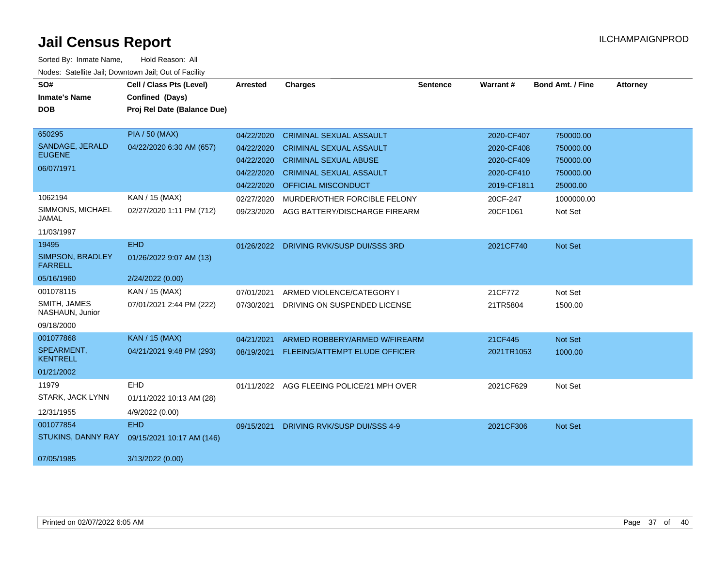| SO#<br><b>Inmate's Name</b>        | Cell / Class Pts (Level)<br>Confined (Days) | Arrested   | <b>Charges</b>                            | <b>Sentence</b> | <b>Warrant#</b> | <b>Bond Amt. / Fine</b> | <b>Attorney</b> |
|------------------------------------|---------------------------------------------|------------|-------------------------------------------|-----------------|-----------------|-------------------------|-----------------|
| <b>DOB</b>                         | Proj Rel Date (Balance Due)                 |            |                                           |                 |                 |                         |                 |
| 650295                             | <b>PIA / 50 (MAX)</b>                       | 04/22/2020 | <b>CRIMINAL SEXUAL ASSAULT</b>            |                 | 2020-CF407      | 750000.00               |                 |
| SANDAGE, JERALD<br><b>EUGENE</b>   | 04/22/2020 6:30 AM (657)                    | 04/22/2020 | <b>CRIMINAL SEXUAL ASSAULT</b>            |                 | 2020-CF408      | 750000.00               |                 |
| 06/07/1971                         |                                             | 04/22/2020 | <b>CRIMINAL SEXUAL ABUSE</b>              |                 | 2020-CF409      | 750000.00               |                 |
|                                    |                                             | 04/22/2020 | <b>CRIMINAL SEXUAL ASSAULT</b>            |                 | 2020-CF410      | 750000.00               |                 |
|                                    |                                             | 04/22/2020 | <b>OFFICIAL MISCONDUCT</b>                |                 | 2019-CF1811     | 25000.00                |                 |
| 1062194                            | KAN / 15 (MAX)                              | 02/27/2020 | MURDER/OTHER FORCIBLE FELONY              |                 | 20CF-247        | 1000000.00              |                 |
| SIMMONS, MICHAEL<br><b>JAMAL</b>   | 02/27/2020 1:11 PM (712)                    | 09/23/2020 | AGG BATTERY/DISCHARGE FIREARM             |                 | 20CF1061        | Not Set                 |                 |
| 11/03/1997                         |                                             |            |                                           |                 |                 |                         |                 |
| 19495                              | <b>EHD</b>                                  | 01/26/2022 | DRIVING RVK/SUSP DUI/SSS 3RD              |                 | 2021CF740       | Not Set                 |                 |
| SIMPSON, BRADLEY<br><b>FARRELL</b> | 01/26/2022 9:07 AM (13)                     |            |                                           |                 |                 |                         |                 |
| 05/16/1960                         | 2/24/2022 (0.00)                            |            |                                           |                 |                 |                         |                 |
| 001078115                          | KAN / 15 (MAX)                              | 07/01/2021 | ARMED VIOLENCE/CATEGORY I                 |                 | 21CF772         | Not Set                 |                 |
| SMITH, JAMES<br>NASHAUN, Junior    | 07/01/2021 2:44 PM (222)                    | 07/30/2021 | DRIVING ON SUSPENDED LICENSE              |                 | 21TR5804        | 1500.00                 |                 |
| 09/18/2000                         |                                             |            |                                           |                 |                 |                         |                 |
| 001077868                          | <b>KAN / 15 (MAX)</b>                       | 04/21/2021 | ARMED ROBBERY/ARMED W/FIREARM             |                 | 21CF445         | Not Set                 |                 |
| SPEARMENT,<br><b>KENTRELL</b>      | 04/21/2021 9:48 PM (293)                    | 08/19/2021 | FLEEING/ATTEMPT ELUDE OFFICER             |                 | 2021TR1053      | 1000.00                 |                 |
| 01/21/2002                         |                                             |            |                                           |                 |                 |                         |                 |
| 11979                              | EHD                                         |            | 01/11/2022 AGG FLEEING POLICE/21 MPH OVER |                 | 2021CF629       | Not Set                 |                 |
| STARK, JACK LYNN                   | 01/11/2022 10:13 AM (28)                    |            |                                           |                 |                 |                         |                 |
| 12/31/1955                         | 4/9/2022 (0.00)                             |            |                                           |                 |                 |                         |                 |
| 001077854                          | <b>EHD</b>                                  | 09/15/2021 | DRIVING RVK/SUSP DUI/SSS 4-9              |                 | 2021CF306       | Not Set                 |                 |
| <b>STUKINS, DANNY RAY</b>          | 09/15/2021 10:17 AM (146)                   |            |                                           |                 |                 |                         |                 |
| 07/05/1985                         | 3/13/2022 (0.00)                            |            |                                           |                 |                 |                         |                 |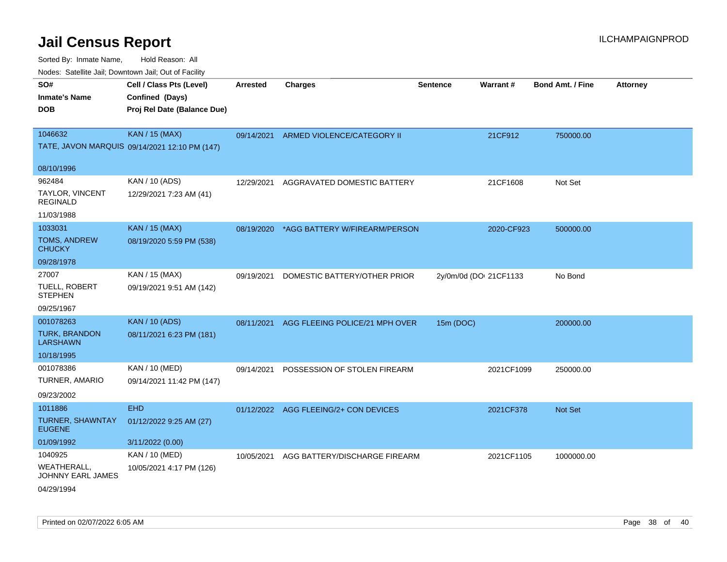| roaco. Calcinio dan, Downtown dan, Oal or Fability        |                                                                            |                 |                                          |                 |                        |                         |                 |
|-----------------------------------------------------------|----------------------------------------------------------------------------|-----------------|------------------------------------------|-----------------|------------------------|-------------------------|-----------------|
| SO#<br>Inmate's Name<br><b>DOB</b>                        | Cell / Class Pts (Level)<br>Confined (Days)<br>Proj Rel Date (Balance Due) | <b>Arrested</b> | <b>Charges</b>                           | <b>Sentence</b> | Warrant#               | <b>Bond Amt. / Fine</b> | <b>Attorney</b> |
| 1046632                                                   | <b>KAN / 15 (MAX)</b><br>TATE, JAVON MARQUIS 09/14/2021 12:10 PM (147)     | 09/14/2021      | ARMED VIOLENCE/CATEGORY II               |                 | 21CF912                | 750000.00               |                 |
| 08/10/1996                                                |                                                                            |                 |                                          |                 |                        |                         |                 |
| 962484<br>TAYLOR, VINCENT<br>REGINALD                     | KAN / 10 (ADS)<br>12/29/2021 7:23 AM (41)                                  | 12/29/2021      | AGGRAVATED DOMESTIC BATTERY              |                 | 21CF1608               | Not Set                 |                 |
| 11/03/1988                                                |                                                                            |                 |                                          |                 |                        |                         |                 |
| 1033031<br>TOMS, ANDREW<br>CHUCKY                         | <b>KAN / 15 (MAX)</b><br>08/19/2020 5:59 PM (538)                          |                 | 08/19/2020 *AGG BATTERY W/FIREARM/PERSON |                 | 2020-CF923             | 500000.00               |                 |
| 09/28/1978                                                |                                                                            |                 |                                          |                 |                        |                         |                 |
| 27007<br>TUELL, ROBERT<br>STEPHEN<br>09/25/1967           | KAN / 15 (MAX)<br>09/19/2021 9:51 AM (142)                                 | 09/19/2021      | DOMESTIC BATTERY/OTHER PRIOR             |                 | 2y/0m/0d (DOI 21CF1133 | No Bond                 |                 |
| 001078263<br>TURK, BRANDON<br>LARSHAWN<br>10/18/1995      | <b>KAN / 10 (ADS)</b><br>08/11/2021 6:23 PM (181)                          | 08/11/2021      | AGG FLEEING POLICE/21 MPH OVER           | 15m (DOC)       |                        | 200000.00               |                 |
| 001078386<br>TURNER, AMARIO<br>09/23/2002                 | KAN / 10 (MED)<br>09/14/2021 11:42 PM (147)                                | 09/14/2021      | POSSESSION OF STOLEN FIREARM             |                 | 2021CF1099             | 250000.00               |                 |
| 1011886<br>TURNER, SHAWNTAY<br><b>EUGENE</b>              | <b>EHD</b><br>01/12/2022 9:25 AM (27)                                      |                 | 01/12/2022 AGG FLEEING/2+ CON DEVICES    |                 | 2021CF378              | <b>Not Set</b>          |                 |
| 01/09/1992                                                | 3/11/2022 (0.00)                                                           |                 |                                          |                 |                        |                         |                 |
| 1040925<br>WEATHERALL.<br>JOHNNY EARL JAMES<br>04/29/1994 | KAN / 10 (MED)<br>10/05/2021 4:17 PM (126)                                 | 10/05/2021      | AGG BATTERY/DISCHARGE FIREARM            |                 | 2021CF1105             | 1000000.00              |                 |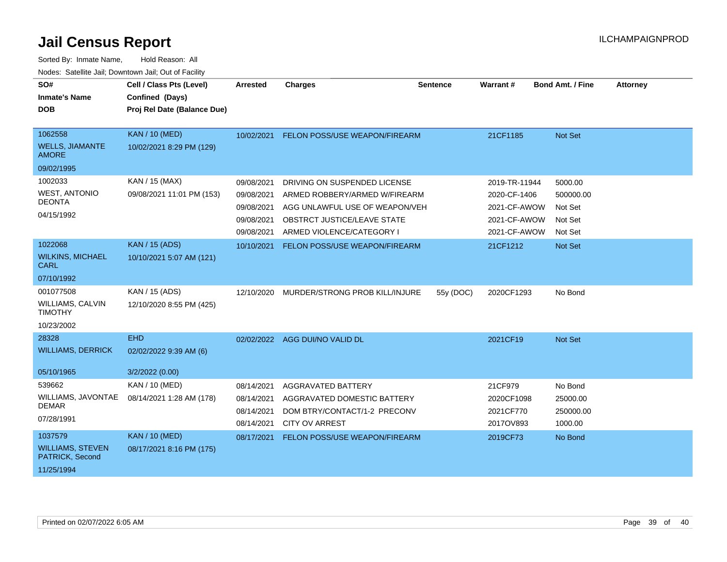| SO#<br><b>Inmate's Name</b><br><b>DOB</b>                            | Cell / Class Pts (Level)<br>Confined (Days)<br>Proj Rel Date (Balance Due) | <b>Arrested</b>                                                    | <b>Charges</b>                                                                                                                                              | <b>Sentence</b> | Warrant#                                                                      | <b>Bond Amt. / Fine</b>                               | <b>Attorney</b> |
|----------------------------------------------------------------------|----------------------------------------------------------------------------|--------------------------------------------------------------------|-------------------------------------------------------------------------------------------------------------------------------------------------------------|-----------------|-------------------------------------------------------------------------------|-------------------------------------------------------|-----------------|
| 1062558<br><b>WELLS, JIAMANTE</b><br><b>AMORE</b><br>09/02/1995      | <b>KAN / 10 (MED)</b><br>10/02/2021 8:29 PM (129)                          | 10/02/2021                                                         | FELON POSS/USE WEAPON/FIREARM                                                                                                                               |                 | 21CF1185                                                                      | Not Set                                               |                 |
| 1002033<br><b>WEST, ANTONIO</b><br><b>DEONTA</b><br>04/15/1992       | KAN / 15 (MAX)<br>09/08/2021 11:01 PM (153)                                | 09/08/2021<br>09/08/2021<br>09/08/2021<br>09/08/2021<br>09/08/2021 | DRIVING ON SUSPENDED LICENSE<br>ARMED ROBBERY/ARMED W/FIREARM<br>AGG UNLAWFUL USE OF WEAPON/VEH<br>OBSTRCT JUSTICE/LEAVE STATE<br>ARMED VIOLENCE/CATEGORY I |                 | 2019-TR-11944<br>2020-CF-1406<br>2021-CF-AWOW<br>2021-CF-AWOW<br>2021-CF-AWOW | 5000.00<br>500000.00<br>Not Set<br>Not Set<br>Not Set |                 |
| 1022068<br><b>WILKINS, MICHAEL</b><br><b>CARL</b><br>07/10/1992      | <b>KAN / 15 (ADS)</b><br>10/10/2021 5:07 AM (121)                          | 10/10/2021                                                         | <b>FELON POSS/USE WEAPON/FIREARM</b>                                                                                                                        |                 | 21CF1212                                                                      | Not Set                                               |                 |
| 001077508<br><b>WILLIAMS, CALVIN</b><br><b>TIMOTHY</b><br>10/23/2002 | KAN / 15 (ADS)<br>12/10/2020 8:55 PM (425)                                 | 12/10/2020                                                         | MURDER/STRONG PROB KILL/INJURE                                                                                                                              | 55y (DOC)       | 2020CF1293                                                                    | No Bond                                               |                 |
| 28328<br><b>WILLIAMS, DERRICK</b><br>05/10/1965                      | <b>EHD</b><br>02/02/2022 9:39 AM (6)<br>3/2/2022 (0.00)                    |                                                                    | 02/02/2022 AGG DUI/NO VALID DL                                                                                                                              |                 | 2021CF19                                                                      | Not Set                                               |                 |
| 539662<br>WILLIAMS, JAVONTAE<br><b>DEMAR</b><br>07/28/1991           | <b>KAN / 10 (MED)</b><br>08/14/2021 1:28 AM (178)                          | 08/14/2021<br>08/14/2021<br>08/14/2021<br>08/14/2021               | <b>AGGRAVATED BATTERY</b><br>AGGRAVATED DOMESTIC BATTERY<br>DOM BTRY/CONTACT/1-2 PRECONV<br><b>CITY OV ARREST</b>                                           |                 | 21CF979<br>2020CF1098<br>2021CF770<br>2017OV893                               | No Bond<br>25000.00<br>250000.00<br>1000.00           |                 |
| 1037579<br><b>WILLIAMS, STEVEN</b><br>PATRICK, Second<br>11/25/1994  | <b>KAN / 10 (MED)</b><br>08/17/2021 8:16 PM (175)                          | 08/17/2021                                                         | FELON POSS/USE WEAPON/FIREARM                                                                                                                               |                 | 2019CF73                                                                      | No Bond                                               |                 |